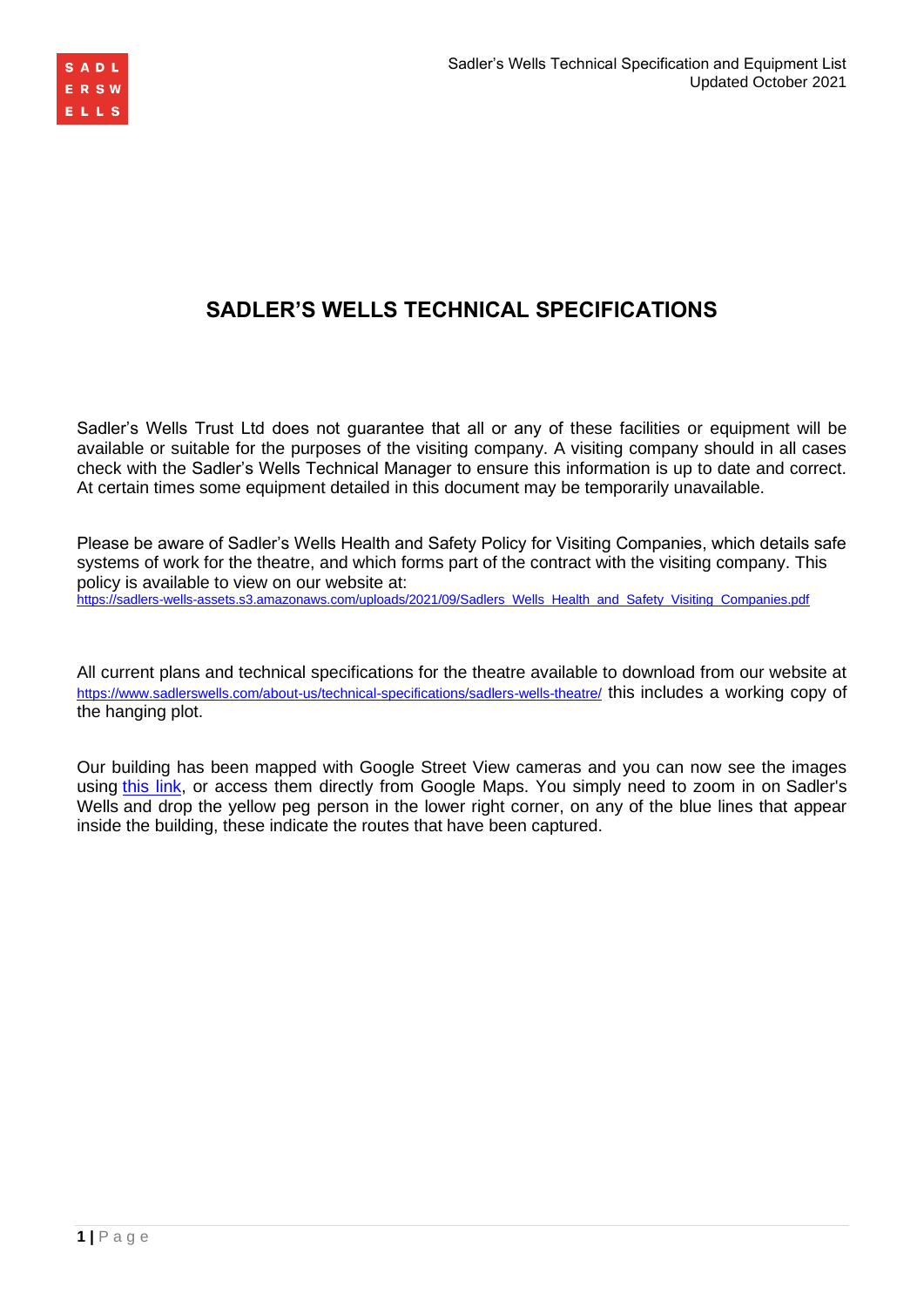

# **SADLER'S WELLS TECHNICAL SPECIFICATIONS**

Sadler's Wells Trust Ltd does not guarantee that all or any of these facilities or equipment will be available or suitable for the purposes of the visiting company. A visiting company should in all cases check with the Sadler's Wells Technical Manager to ensure this information is up to date and correct. At certain times some equipment detailed in this document may be temporarily unavailable.

Please be aware of Sadler's Wells Health and Safety Policy for Visiting Companies, which details safe systems of work for the theatre, and which forms part of the contract with the visiting company. This policy is available to view on our website at:

[https://sadlers-wells-assets.s3.amazonaws.com/uploads/2021/09/Sadlers\\_Wells\\_Health\\_and\\_Safety\\_Visiting\\_Companies.pdf](https://sadlers-wells-assets.s3.amazonaws.com/uploads/2021/09/Sadlers_Wells_Health_and_Safety_Visiting_Companies.pdf)

All current plans and technical specifications for the theatre available to download from our website at <https://www.sadlerswells.com/about-us/technical-specifications/sadlers-wells-theatre/> this includes a working copy of the hanging plot.

Our building has been mapped with Google Street View cameras and you can now see the images using [this link,](https://www.google.com/maps/@51.5293405,-0.1062567,3a,75y,8.29h,86.93t/data=!3m6!1e1!3m4!1sItw2W6juezJZatBlzzCLyw!2e0!7i13312!8i6656?hl=en) or access them directly from Google Maps. You simply need to zoom in on Sadler's Wells and drop the yellow peg person in the lower right corner, on any of the blue lines that appear inside the building, these indicate the routes that have been captured.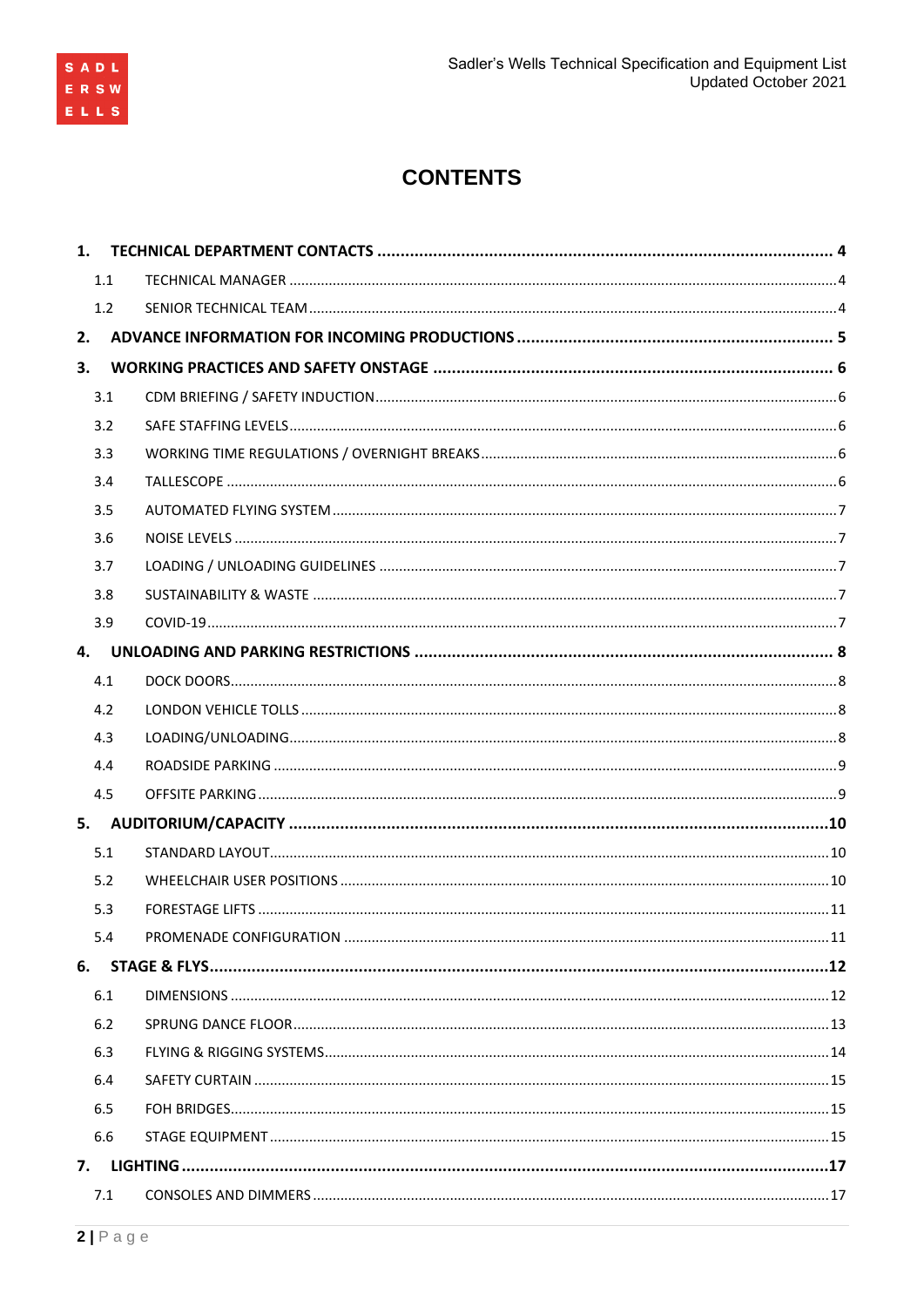

# **CONTENTS**

|    | 1.1 |  |
|----|-----|--|
|    | 1.2 |  |
| 2. |     |  |
| 3. |     |  |
|    | 3.1 |  |
|    | 3.2 |  |
|    | 3.3 |  |
|    | 3.4 |  |
|    | 3.5 |  |
|    | 3.6 |  |
|    | 3.7 |  |
|    | 3.8 |  |
|    | 3.9 |  |
| 4. |     |  |
|    | 4.1 |  |
|    | 4.2 |  |
|    | 4.3 |  |
|    | 4.4 |  |
|    | 4.5 |  |
| 5. |     |  |
|    | 5.1 |  |
|    | 5.2 |  |
|    | 5.3 |  |
|    | 5.4 |  |
|    |     |  |
|    | 6.1 |  |
|    | 6.2 |  |
|    | 6.3 |  |
|    | 6.4 |  |
|    | 6.5 |  |
|    | 6.6 |  |
|    |     |  |
|    | 7.1 |  |
|    |     |  |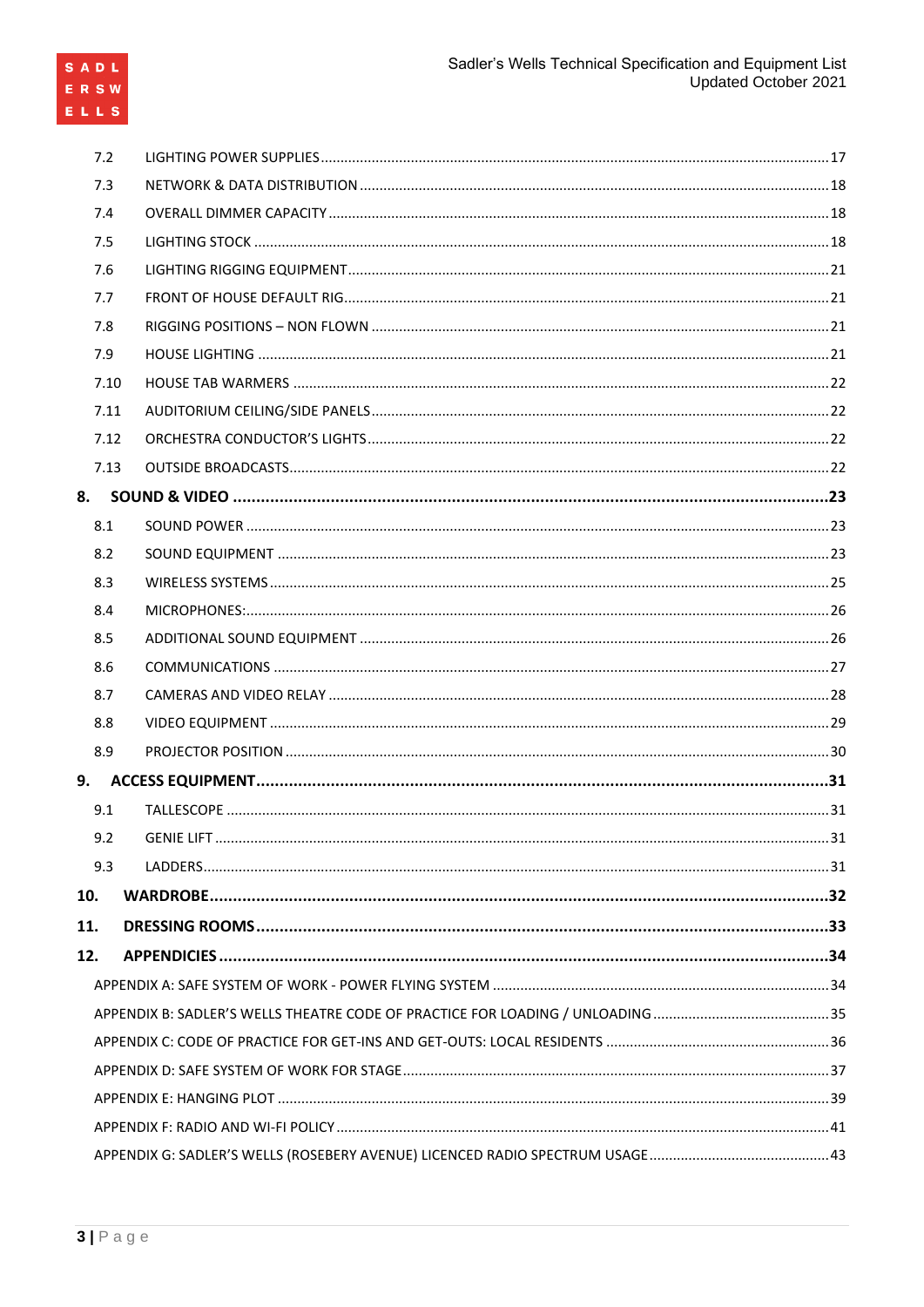| 7.2 |      |  |
|-----|------|--|
| 7.3 |      |  |
| 7.4 |      |  |
| 7.5 |      |  |
| 7.6 |      |  |
| 7.7 |      |  |
| 7.8 |      |  |
| 7.9 |      |  |
|     | 7.10 |  |
|     | 7.11 |  |
|     | 7.12 |  |
|     | 7.13 |  |
| 8.  |      |  |
| 8.1 |      |  |
| 8.2 |      |  |
| 8.3 |      |  |
| 8.4 |      |  |
| 8.5 |      |  |
| 8.6 |      |  |
| 8.7 |      |  |
| 8.8 |      |  |
| 8.9 |      |  |
|     |      |  |
| 9.1 |      |  |
|     |      |  |
| 9.3 |      |  |
| 10. |      |  |
| 11. |      |  |
| 12. |      |  |
|     |      |  |
|     |      |  |
|     |      |  |
|     |      |  |
|     |      |  |
|     |      |  |
|     |      |  |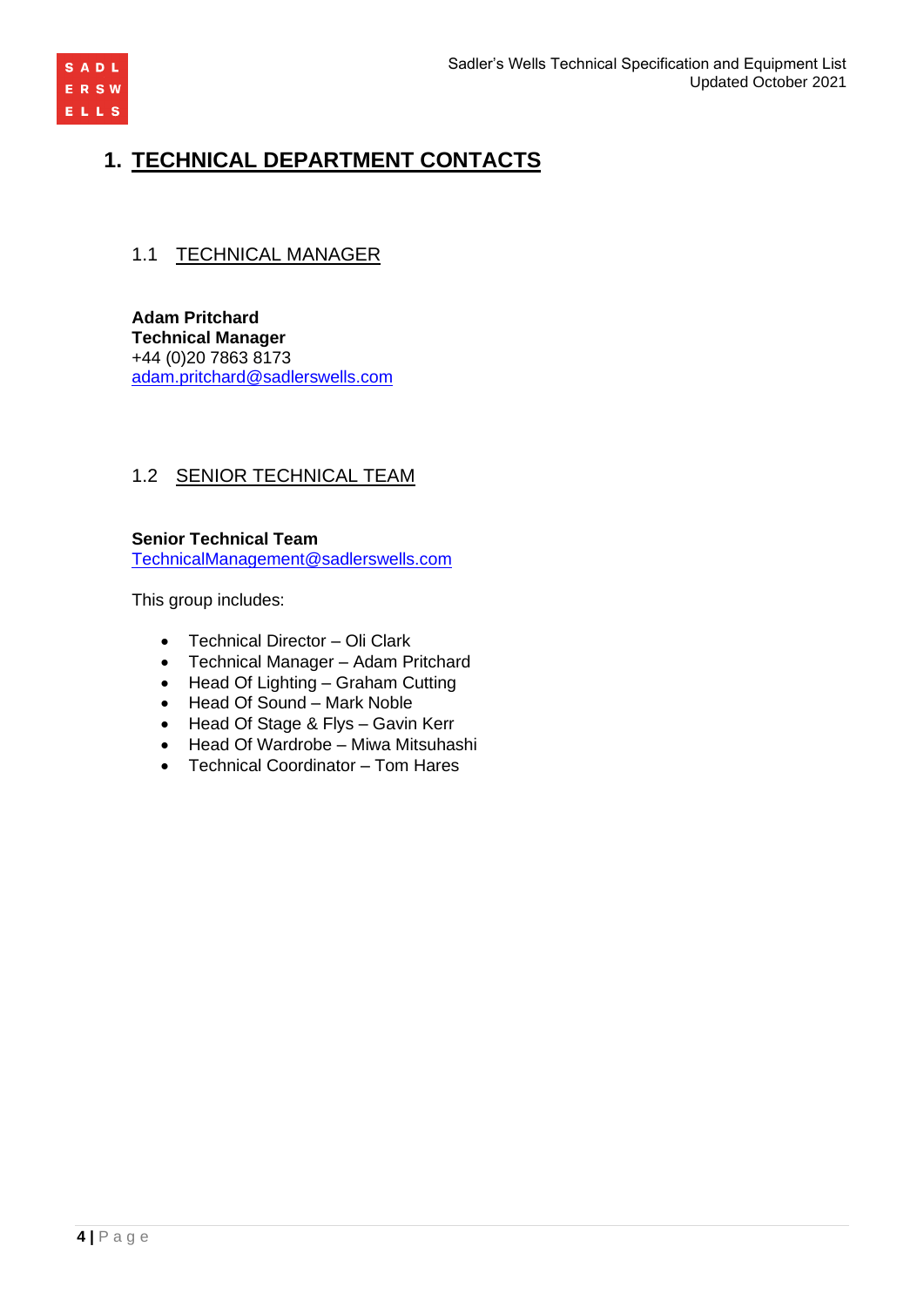

# **1. TECHNICAL DEPARTMENT CONTACTS**

# 1.1 TECHNICAL MANAGER

**Adam Pritchard Technical Manager** +44 (0)20 7863 8173 [adam.pritchard@sadlerswells.com](mailto:adam.pritchard@sadlerswells.com)

# 1.2 SENIOR TECHNICAL TEAM

**Senior Technical Team** [TechnicalManagement@sadlerswells.com](mailto:TechnicalManagement@sadlerswells.com)

This group includes:

- Technical Director Oli Clark
- Technical Manager Adam Pritchard
- Head Of Lighting Graham Cutting
- Head Of Sound Mark Noble
- Head Of Stage & Flys Gavin Kerr
- Head Of Wardrobe Miwa Mitsuhashi
- Technical Coordinator Tom Hares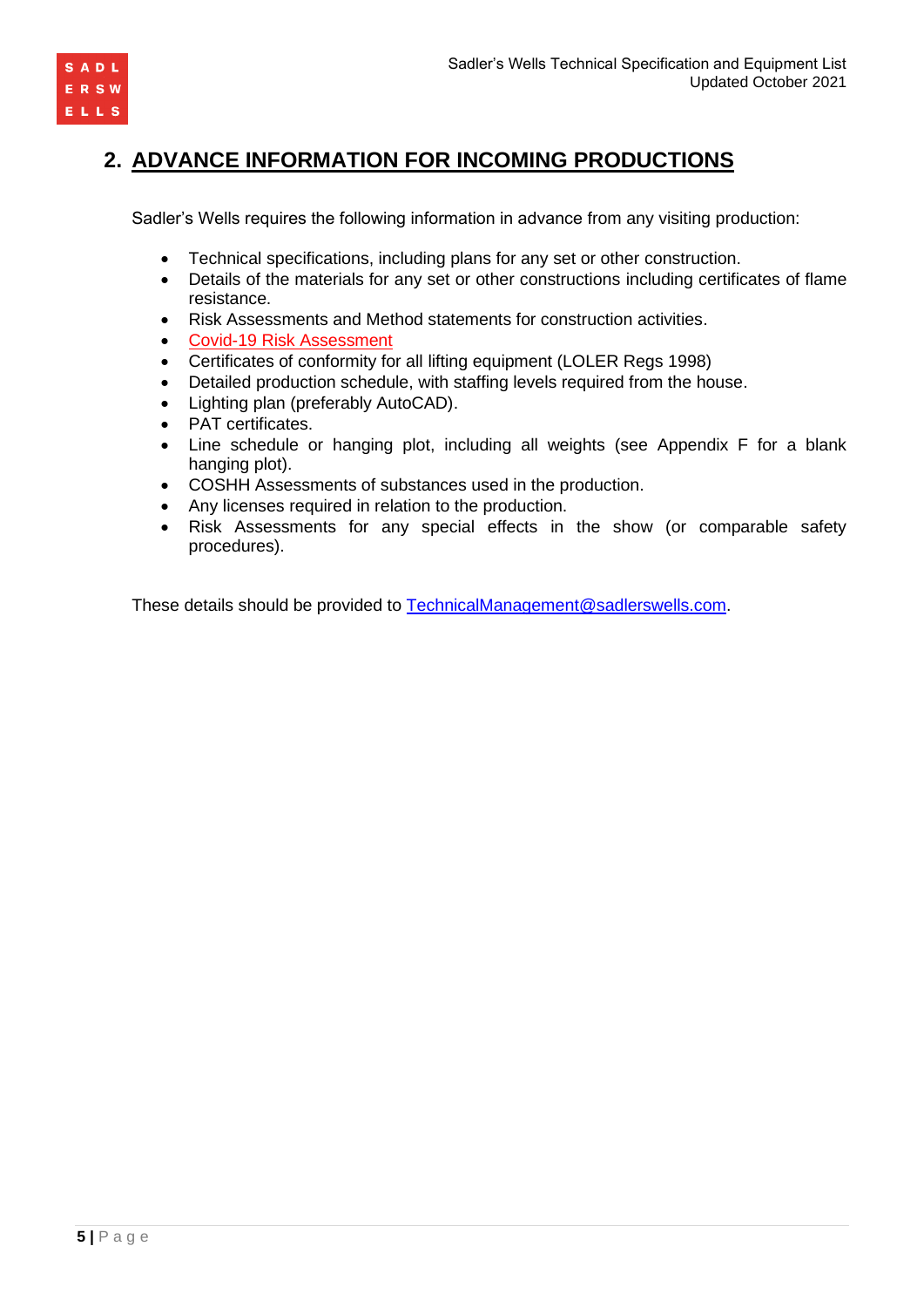

# **2. ADVANCE INFORMATION FOR INCOMING PRODUCTIONS**

Sadler's Wells requires the following information in advance from any visiting production:

- Technical specifications, including plans for any set or other construction.
- Details of the materials for any set or other constructions including certificates of flame resistance.
- Risk Assessments and Method statements for construction activities.
- Covid-19 Risk Assessment
- Certificates of conformity for all lifting equipment (LOLER Regs 1998)
- Detailed production schedule, with staffing levels required from the house.
- Lighting plan (preferably AutoCAD).
- PAT certificates.
- Line schedule or hanging plot, including all weights (see Appendix F for a blank hanging plot).
- COSHH Assessments of substances used in the production.
- Any licenses required in relation to the production.
- Risk Assessments for any special effects in the show (or comparable safety procedures).

These details should be provided to [TechnicalManagement@sadlerswells.com.](mailto:TechnicalManagement@sadlerswells.com)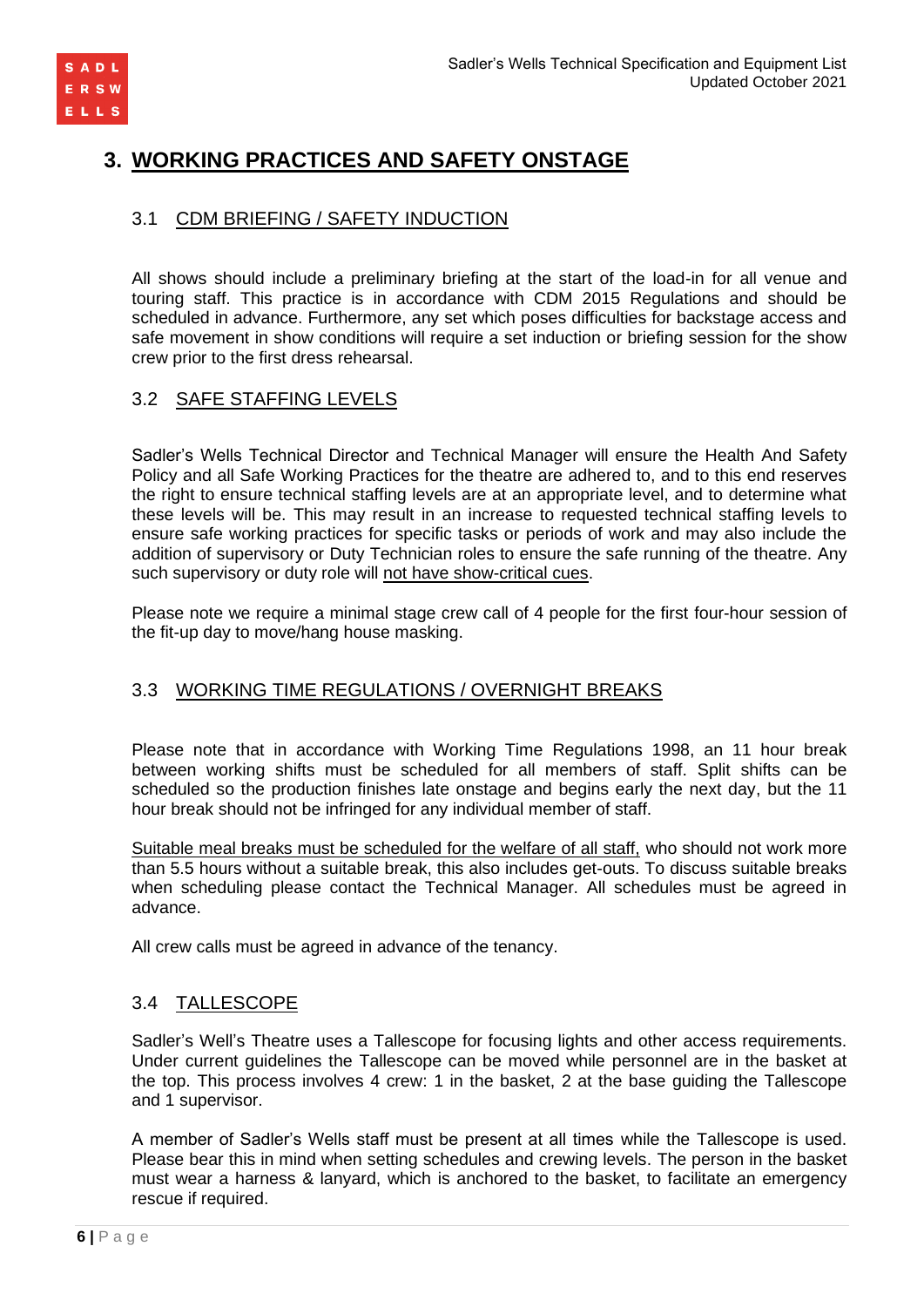

# **3. WORKING PRACTICES AND SAFETY ONSTAGE**

# 3.1 CDM BRIEFING / SAFETY INDUCTION

All shows should include a preliminary briefing at the start of the load-in for all venue and touring staff. This practice is in accordance with CDM 2015 Regulations and should be scheduled in advance. Furthermore, any set which poses difficulties for backstage access and safe movement in show conditions will require a set induction or briefing session for the show crew prior to the first dress rehearsal.

# 3.2 SAFE STAFFING LEVELS

Sadler's Wells Technical Director and Technical Manager will ensure the Health And Safety Policy and all Safe Working Practices for the theatre are adhered to, and to this end reserves the right to ensure technical staffing levels are at an appropriate level, and to determine what these levels will be. This may result in an increase to requested technical staffing levels to ensure safe working practices for specific tasks or periods of work and may also include the addition of supervisory or Duty Technician roles to ensure the safe running of the theatre. Any such supervisory or duty role will not have show-critical cues.

Please note we require a minimal stage crew call of 4 people for the first four-hour session of the fit-up day to move/hang house masking.

# 3.3 WORKING TIME REGULATIONS / OVERNIGHT BREAKS

Please note that in accordance with Working Time Regulations 1998, an 11 hour break between working shifts must be scheduled for all members of staff. Split shifts can be scheduled so the production finishes late onstage and begins early the next day, but the 11 hour break should not be infringed for any individual member of staff.

Suitable meal breaks must be scheduled for the welfare of all staff, who should not work more than 5.5 hours without a suitable break, this also includes get-outs. To discuss suitable breaks when scheduling please contact the Technical Manager. All schedules must be agreed in advance.

All crew calls must be agreed in advance of the tenancy.

# 3.4 TALLESCOPE

Sadler's Well's Theatre uses a Tallescope for focusing lights and other access requirements. Under current guidelines the Tallescope can be moved while personnel are in the basket at the top. This process involves 4 crew: 1 in the basket, 2 at the base guiding the Tallescope and 1 supervisor.

A member of Sadler's Wells staff must be present at all times while the Tallescope is used. Please bear this in mind when setting schedules and crewing levels. The person in the basket must wear a harness & lanyard, which is anchored to the basket, to facilitate an emergency rescue if required.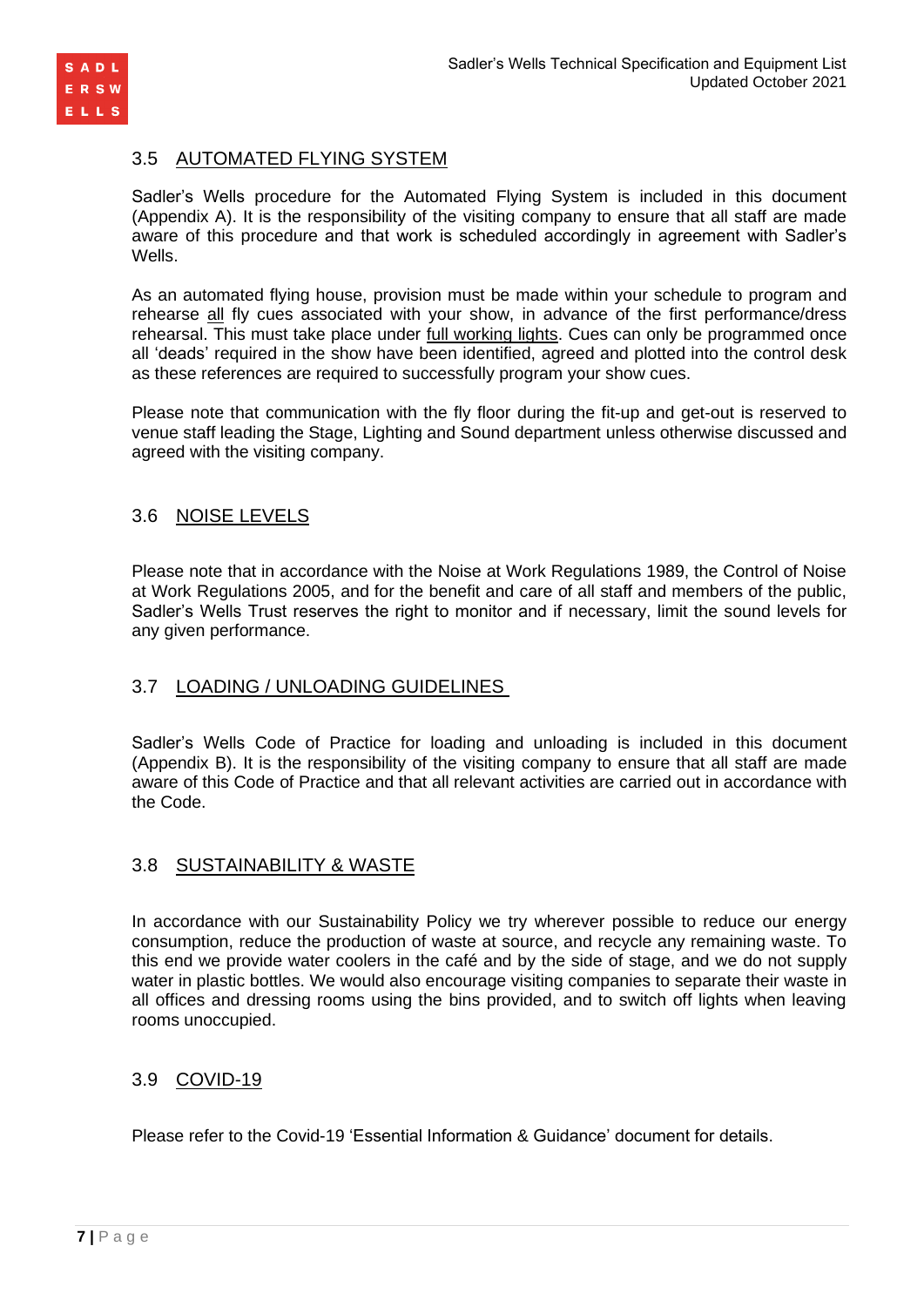

# 3.5 AUTOMATED FLYING SYSTEM

Sadler's Wells procedure for the Automated Flying System is included in this document (Appendix A). It is the responsibility of the visiting company to ensure that all staff are made aware of this procedure and that work is scheduled accordingly in agreement with Sadler's Wells.

As an automated flying house, provision must be made within your schedule to program and rehearse all fly cues associated with your show, in advance of the first performance/dress rehearsal. This must take place under full working lights. Cues can only be programmed once all 'deads' required in the show have been identified, agreed and plotted into the control desk as these references are required to successfully program your show cues.

Please note that communication with the fly floor during the fit-up and get-out is reserved to venue staff leading the Stage, Lighting and Sound department unless otherwise discussed and agreed with the visiting company.

# 3.6 NOISE LEVELS

Please note that in accordance with the Noise at Work Regulations 1989, the Control of Noise at Work Regulations 2005, and for the benefit and care of all staff and members of the public, Sadler's Wells Trust reserves the right to monitor and if necessary, limit the sound levels for any given performance.

# 3.7 LOADING / UNLOADING GUIDELINES

Sadler's Wells Code of Practice for loading and unloading is included in this document (Appendix B). It is the responsibility of the visiting company to ensure that all staff are made aware of this Code of Practice and that all relevant activities are carried out in accordance with the Code.

# 3.8 SUSTAINABILITY & WASTE

In accordance with our Sustainability Policy we try wherever possible to reduce our energy consumption, reduce the production of waste at source, and recycle any remaining waste. To this end we provide water coolers in the café and by the side of stage, and we do not supply water in plastic bottles. We would also encourage visiting companies to separate their waste in all offices and dressing rooms using the bins provided, and to switch off lights when leaving rooms unoccupied.

# 3.9 COVID-19

Please refer to the Covid-19 'Essential Information & Guidance' document for details.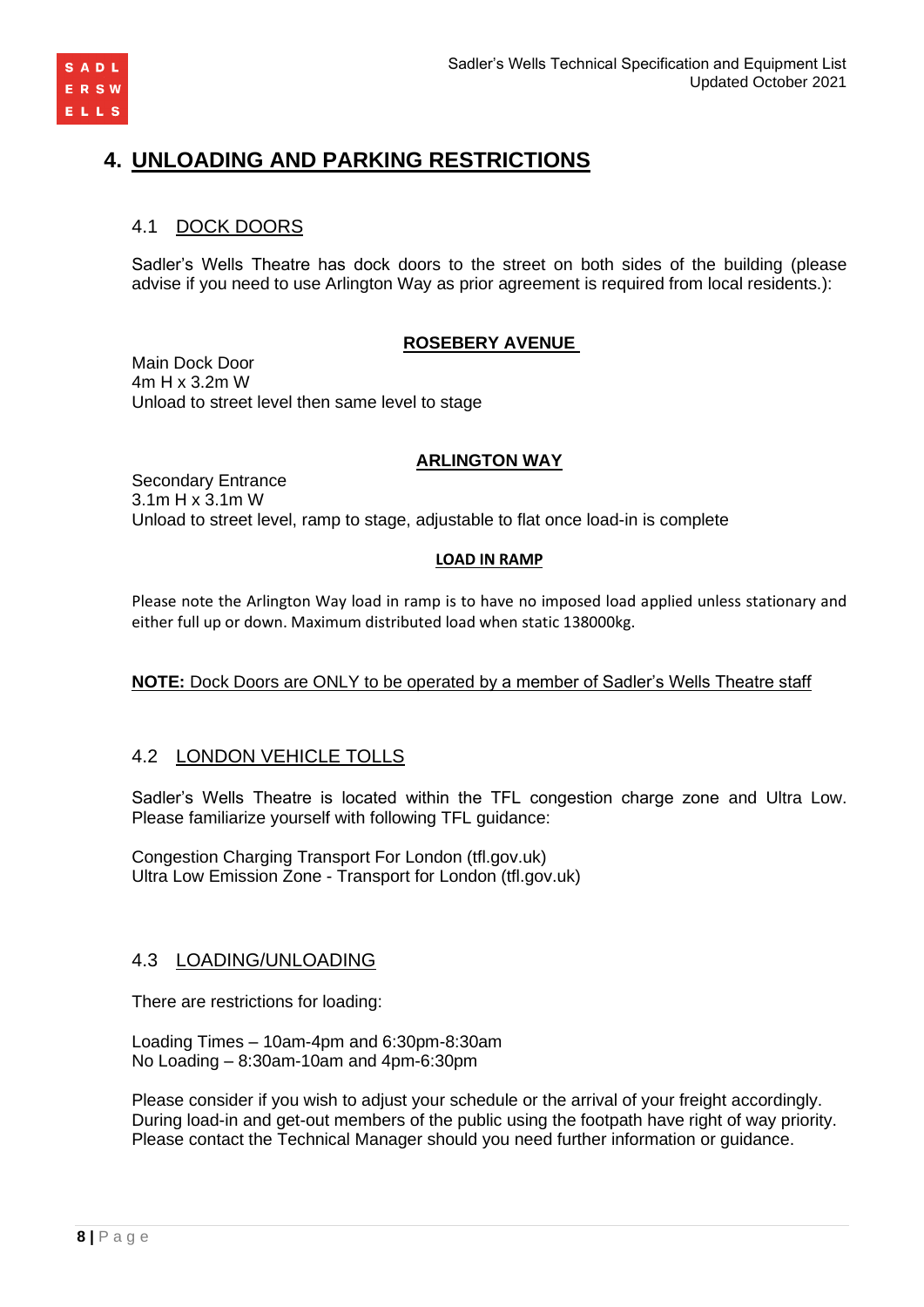

# **4. UNLOADING AND PARKING RESTRICTIONS**

# 4.1 DOCK DOORS

Sadler's Wells Theatre has dock doors to the street on both sides of the building (please advise if you need to use Arlington Way as prior agreement is required from local residents.):

#### **ROSEBERY AVENUE**

Main Dock Door 4m H x 3.2m W Unload to street level then same level to stage

#### **ARLINGTON WAY**

Secondary Entrance 3.1m H x 3.1m W Unload to street level, ramp to stage, adjustable to flat once load-in is complete

#### **LOAD IN RAMP**

Please note the Arlington Way load in ramp is to have no imposed load applied unless stationary and either full up or down. Maximum distributed load when static 138000kg.

### **NOTE:** Dock Doors are ONLY to be operated by a member of Sadler's Wells Theatre staff

# 4.2 LONDON VEHICLE TOLLS

Sadler's Wells Theatre is located within the TFL congestion charge zone and Ultra Low. Please familiarize yourself with following TFL guidance:

[Congestion Charging Transport For London \(tfl.gov.uk\)](http://www.tfl.gov.uk/roadusers/congestioncharging) Ultra Low Emission Zone - [Transport for London \(tfl.gov.uk\)](https://tfl.gov.uk/modes/driving/ultra-low-emission-zone)

### 4.3 LOADING/UNLOADING

There are restrictions for loading:

Loading Times – 10am-4pm and 6:30pm-8:30am No Loading – 8:30am-10am and 4pm-6:30pm

Please consider if you wish to adjust your schedule or the arrival of your freight accordingly. During load-in and get-out members of the public using the footpath have right of way priority. Please contact the Technical Manager should you need further information or guidance.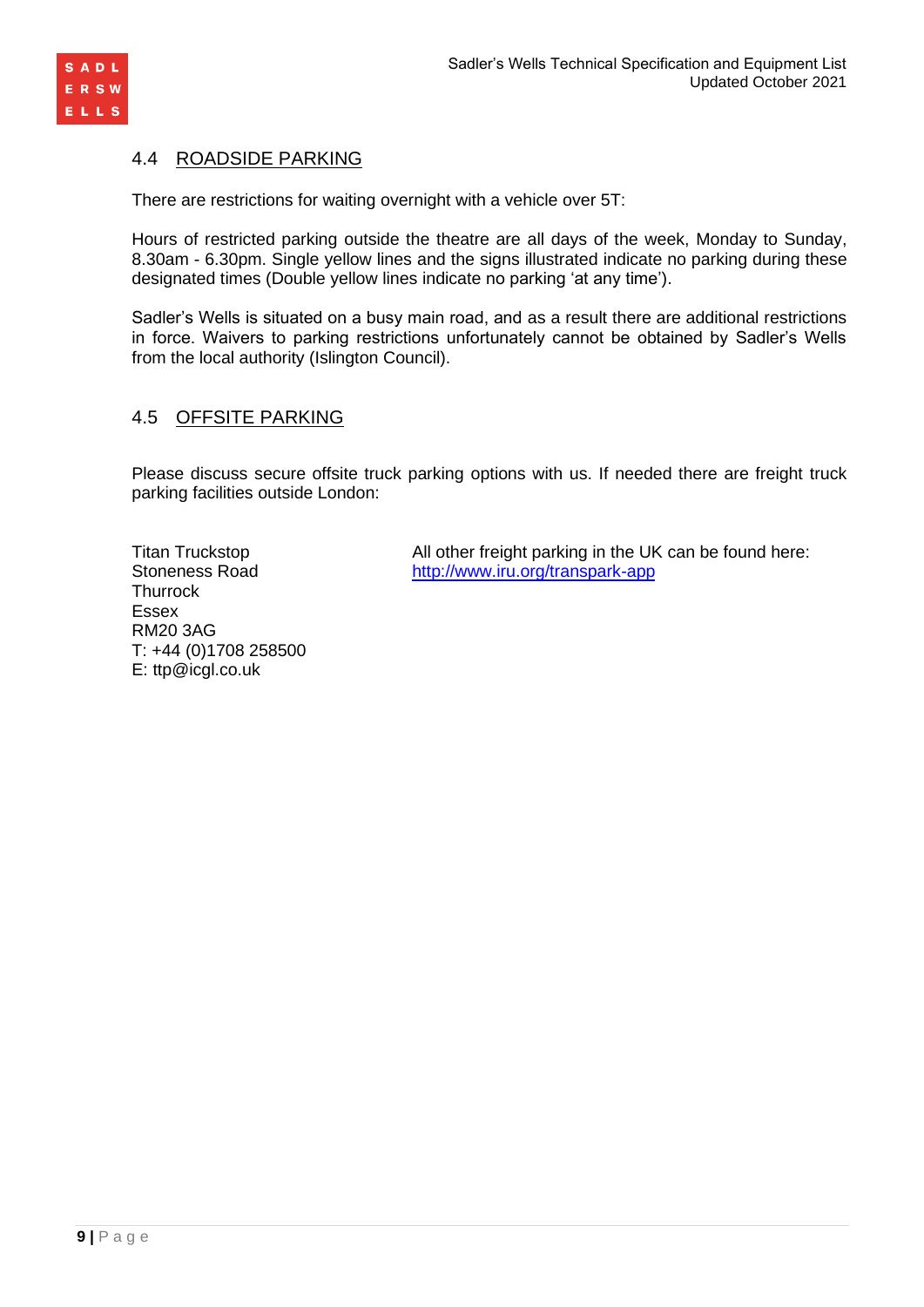

### 4.4 ROADSIDE PARKING

There are restrictions for waiting overnight with a vehicle over 5T:

Hours of restricted parking outside the theatre are all days of the week, Monday to Sunday, 8.30am - 6.30pm. Single yellow lines and the signs illustrated indicate no parking during these designated times (Double yellow lines indicate no parking 'at any time').

Sadler's Wells is situated on a busy main road, and as a result there are additional restrictions in force. Waivers to parking restrictions unfortunately cannot be obtained by Sadler's Wells from the local authority (Islington Council).

# 4.5 OFFSITE PARKING

Please discuss secure offsite truck parking options with us. If needed there are freight truck parking facilities outside London:

**Thurrock** Essex RM20 3AG T: +44 (0)1708 258500 E: ttp@icgl.co.uk

Titan Truckstop All other freight parking in the UK can be found here: Stoneness Road <http://www.iru.org/transpark-app>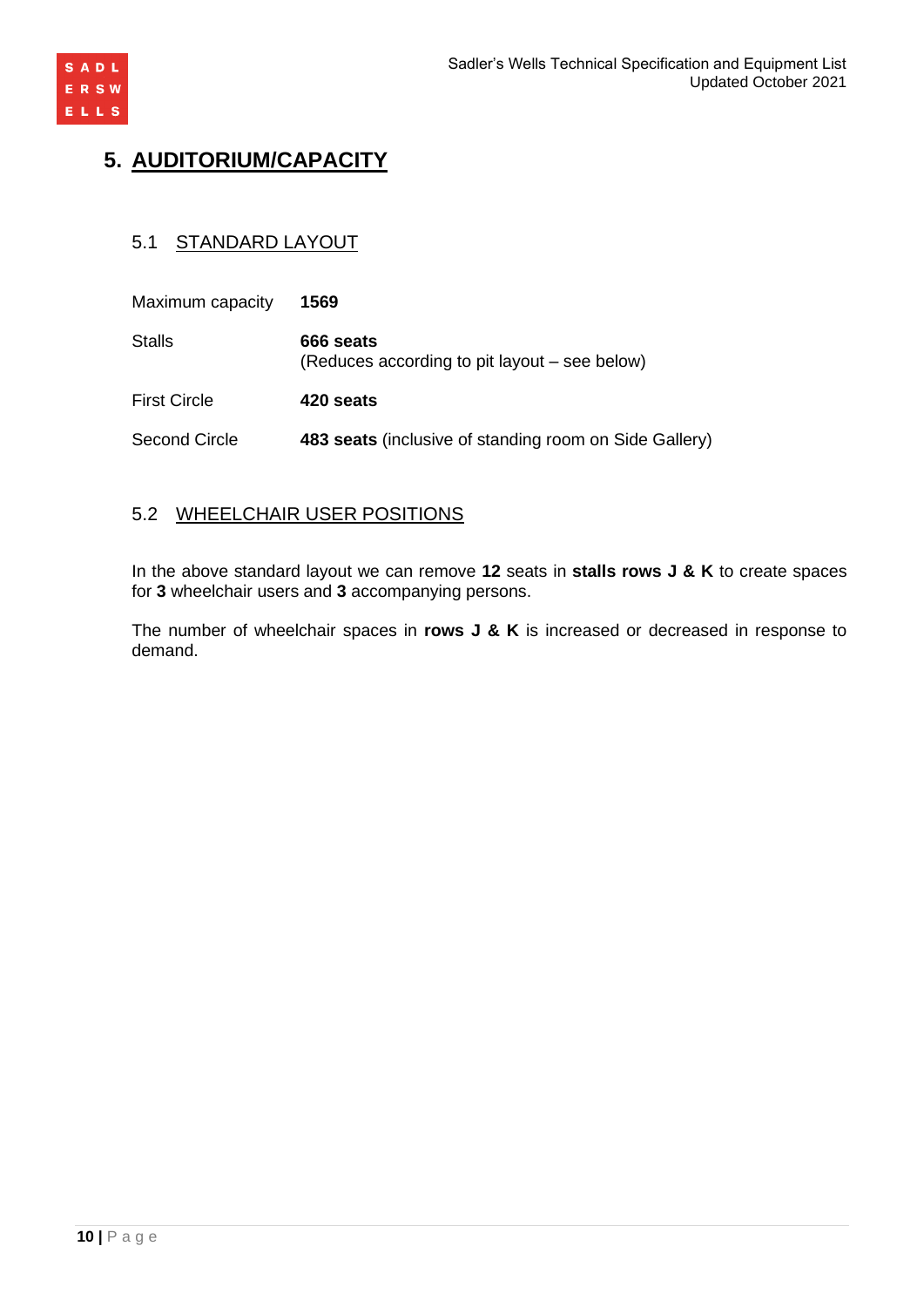

# **5. AUDITORIUM/CAPACITY**

# 5.1 STANDARD LAYOUT

| Maximum capacity     | 1569                                                       |
|----------------------|------------------------------------------------------------|
| <b>Stalls</b>        | 666 seats<br>(Reduces according to pit layout – see below) |
| <b>First Circle</b>  | 420 seats                                                  |
| <b>Second Circle</b> | 483 seats (inclusive of standing room on Side Gallery)     |

# 5.2 WHEELCHAIR USER POSITIONS

In the above standard layout we can remove **12** seats in **stalls rows J & K** to create spaces for **3** wheelchair users and **3** accompanying persons.

The number of wheelchair spaces in **rows J & K** is increased or decreased in response to demand.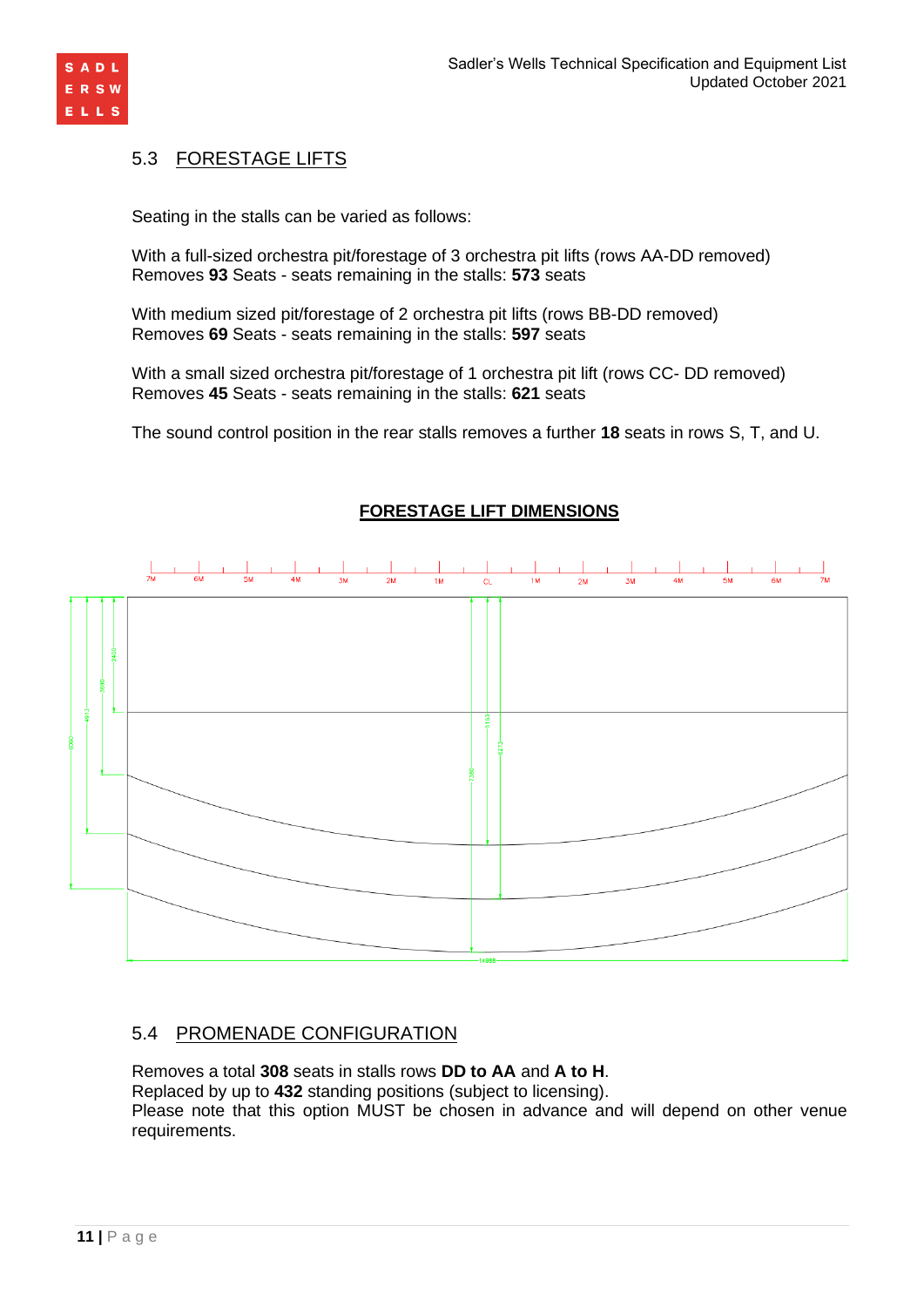

# 5.3 FORESTAGE LIFTS

Seating in the stalls can be varied as follows:

With a full-sized orchestra pit/forestage of 3 orchestra pit lifts (rows AA-DD removed) Removes **93** Seats - seats remaining in the stalls: **573** seats

With medium sized pit/forestage of 2 orchestra pit lifts (rows BB-DD removed) Removes **69** Seats - seats remaining in the stalls: **597** seats

With a small sized orchestra pit/forestage of 1 orchestra pit lift (rows CC- DD removed) Removes **45** Seats - seats remaining in the stalls: **621** seats

The sound control position in the rear stalls removes a further **18** seats in rows S, T, and U.



# **FORESTAGE LIFT DIMENSIONS**

# 5.4 PROMENADE CONFIGURATION

Removes a total **308** seats in stalls rows **DD to AA** and **A to H**. Replaced by up to **432** standing positions (subject to licensing). Please note that this option MUST be chosen in advance and will depend on other venue requirements.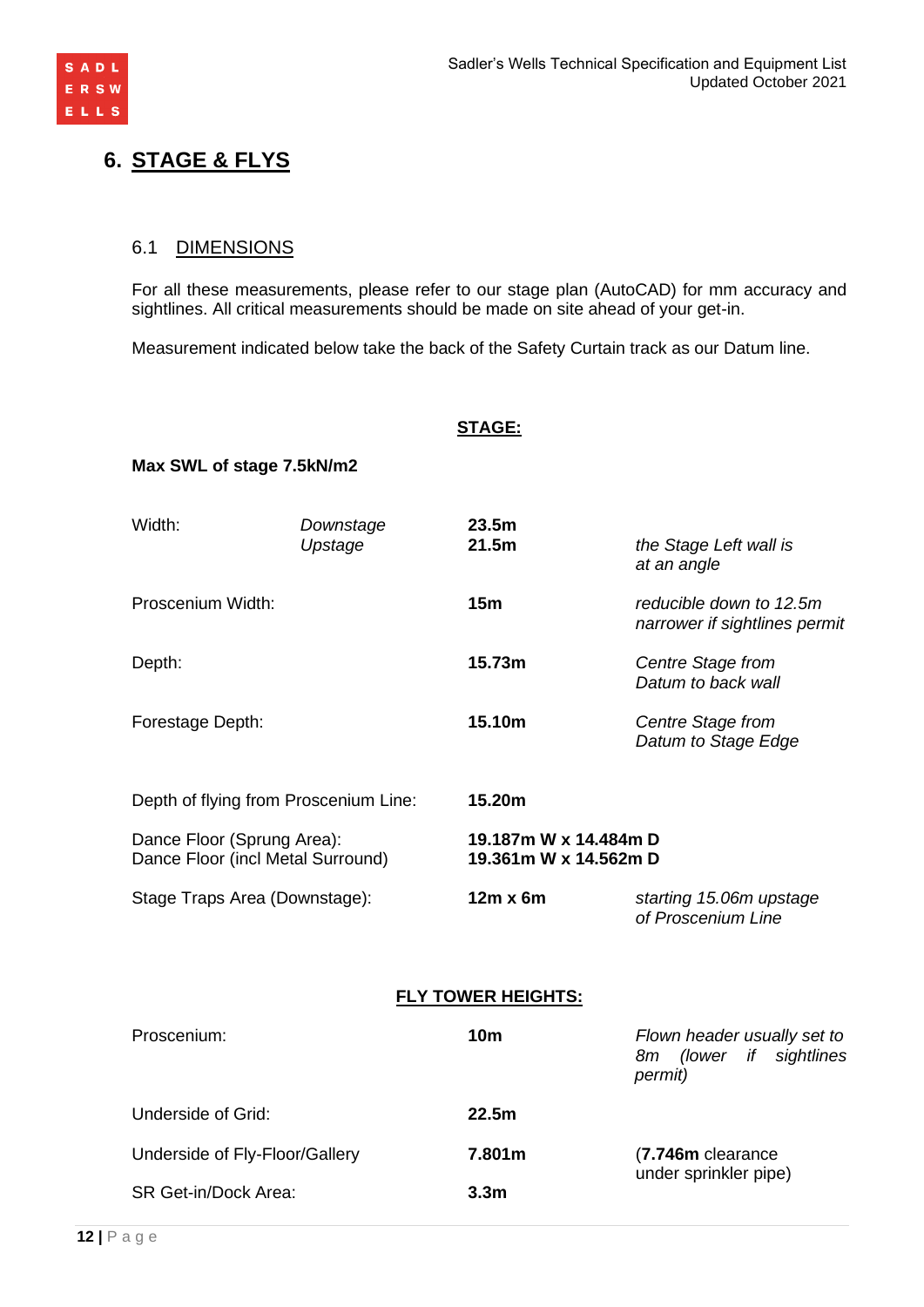

# **6. STAGE & FLYS**

## 6.1 DIMENSIONS

For all these measurements, please refer to our stage plan (AutoCAD) for mm accuracy and sightlines. All critical measurements should be made on site ahead of your get-in.

Measurement indicated below take the back of the Safety Curtain track as our Datum line.

#### **STAGE:**

### **Max SWL of stage 7.5kN/m2**

| Width:                                                          | Downstage<br>Upstage | 23.5 <sub>m</sub><br>21.5m                     | the Stage Left wall is<br>at an angle                    |
|-----------------------------------------------------------------|----------------------|------------------------------------------------|----------------------------------------------------------|
| Proscenium Width:                                               |                      | 15m                                            | reducible down to 12.5m<br>narrower if sightlines permit |
| Depth:                                                          |                      | 15.73m                                         | Centre Stage from<br>Datum to back wall                  |
| Forestage Depth:                                                |                      | 15.10m                                         | Centre Stage from<br>Datum to Stage Edge                 |
| Depth of flying from Proscenium Line:                           |                      | 15.20m                                         |                                                          |
| Dance Floor (Sprung Area):<br>Dance Floor (incl Metal Surround) |                      | 19.187m W x 14.484m D<br>19.361m W x 14.562m D |                                                          |
| Stage Traps Area (Downstage):                                   |                      | $12m \times 6m$                                | starting 15.06m upstage<br>of Proscenium Line            |

### **FLY TOWER HEIGHTS:**

| Proscenium:                    | 10 <sub>m</sub>  | Flown header usually set to<br>(lower if sightlines<br>8m<br>permit) |  |
|--------------------------------|------------------|----------------------------------------------------------------------|--|
| Underside of Grid:             | 22.5m            |                                                                      |  |
| Underside of Fly-Floor/Gallery | 7.801m           | (7.746m clearance<br>under sprinkler pipe)                           |  |
| SR Get-in/Dock Area:           | 3.3 <sub>m</sub> |                                                                      |  |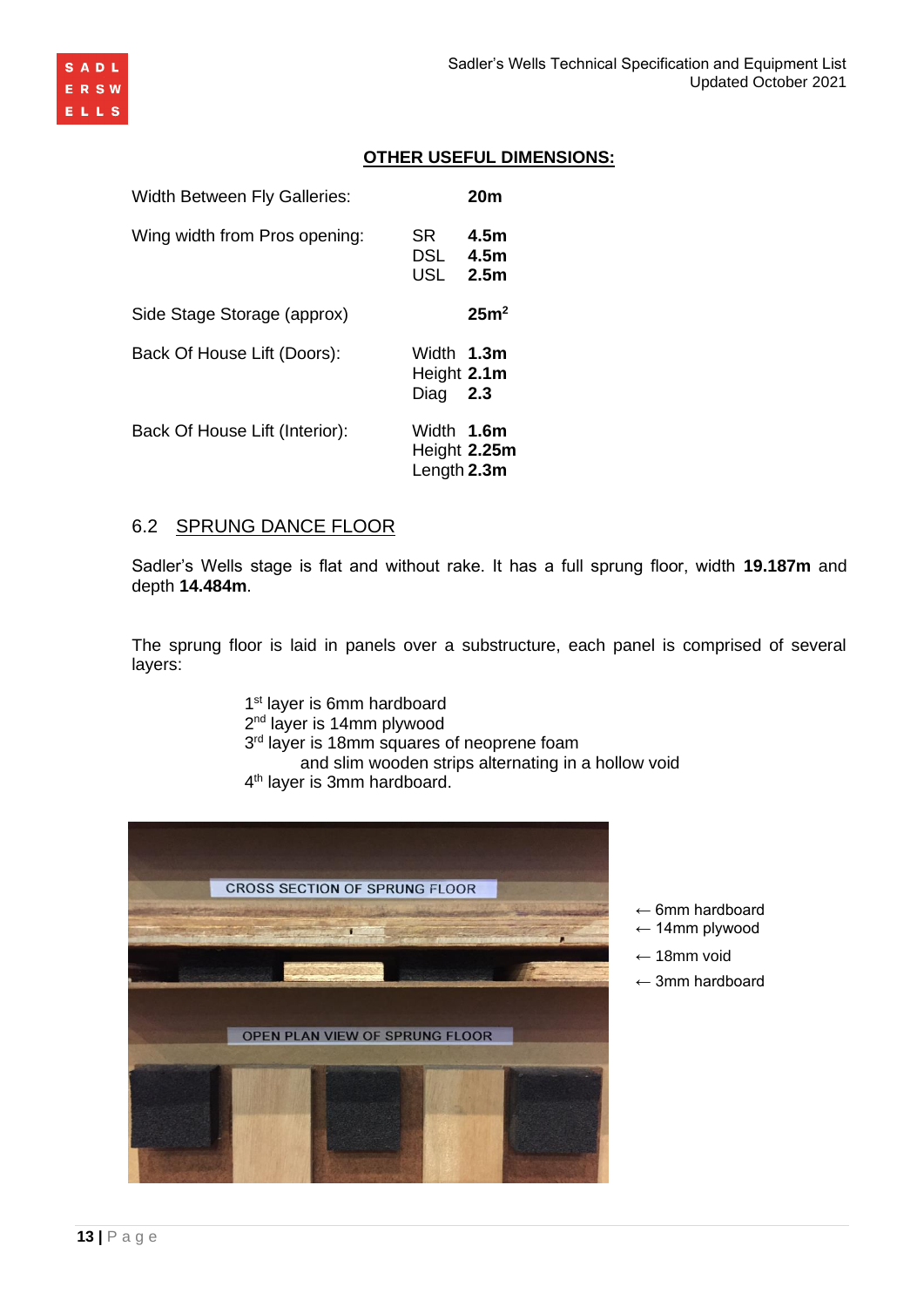

## **OTHER USEFUL DIMENSIONS:**

| <b>Width Between Fly Galleries:</b> |                                           | 20 <sub>m</sub>                  |
|-------------------------------------|-------------------------------------------|----------------------------------|
| Wing width from Pros opening:       | SR.<br>DSL<br><b>USL</b>                  | 4.5m<br>4.5m<br>2.5 <sub>m</sub> |
| Side Stage Storage (approx)         |                                           | 25m <sup>2</sup>                 |
| Back Of House Lift (Doors):         | Width <b>1.3m</b><br>Height 2.1m<br>Diag  | 2.3                              |
| Back Of House Lift (Interior):      | Width 1.6m<br>Height 2.25m<br>Length 2.3m |                                  |

#### 6.2 SPRUNG DANCE FLOOR

Sadler's Wells stage is flat and without rake. It has a full sprung floor, width **19.187m** and depth **14.484m**.

The sprung floor is laid in panels over a substructure, each panel is comprised of several layers:

> 1<sup>st</sup> layer is 6mm hardboard 2<sup>nd</sup> layer is 14mm plywood 3<sup>rd</sup> layer is 18mm squares of neoprene foam and slim wooden strips alternating in a hollow void 4 th layer is 3mm hardboard.



- $\leftarrow$  6mm hardboard
- ← 14mm plywood
- ← 18mm void
- $\leftarrow$  3mm hardboard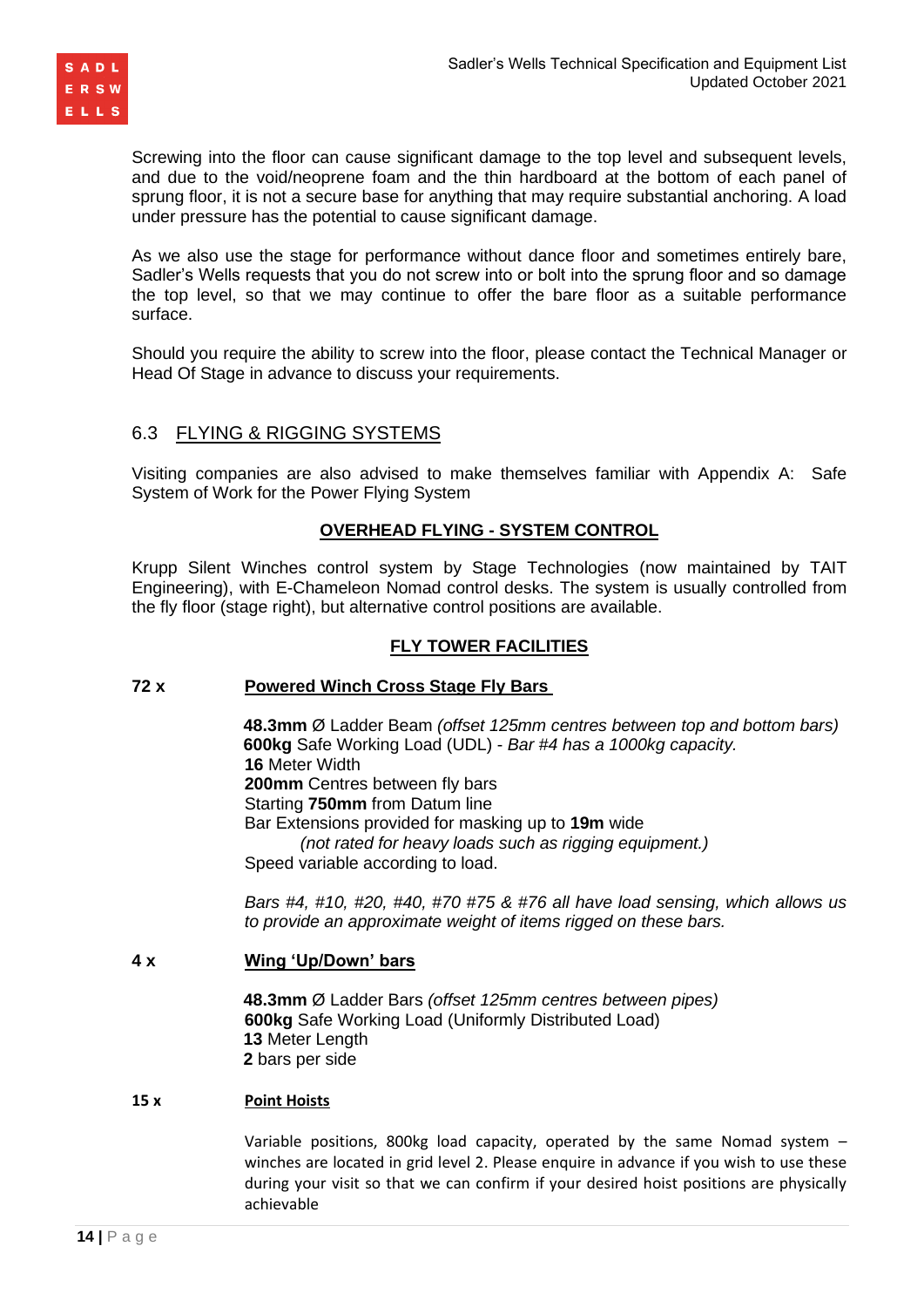

Screwing into the floor can cause significant damage to the top level and subsequent levels. and due to the void/neoprene foam and the thin hardboard at the bottom of each panel of sprung floor, it is not a secure base for anything that may require substantial anchoring. A load under pressure has the potential to cause significant damage.

As we also use the stage for performance without dance floor and sometimes entirely bare, Sadler's Wells requests that you do not screw into or bolt into the sprung floor and so damage the top level, so that we may continue to offer the bare floor as a suitable performance surface.

Should you require the ability to screw into the floor, please contact the Technical Manager or Head Of Stage in advance to discuss your requirements.

# 6.3 FLYING & RIGGING SYSTEMS

Visiting companies are also advised to make themselves familiar with Appendix A: Safe System of Work for the Power Flying System

### **OVERHEAD FLYING - SYSTEM CONTROL**

Krupp Silent Winches control system by Stage Technologies (now maintained by TAIT Engineering), with E-Chameleon Nomad control desks. The system is usually controlled from the fly floor (stage right), but alternative control positions are available.

### **FLY TOWER FACILITIES**

#### **72 x Powered Winch Cross Stage Fly Bars**

**48.3mm** Ø Ladder Beam *(offset 125mm centres between top and bottom bars)* **600kg** Safe Working Load (UDL) - *Bar #4 has a 1000kg capacity.* **16** Meter Width **200mm** Centres between fly bars Starting **750mm** from Datum line Bar Extensions provided for masking up to **19m** wide *(not rated for heavy loads such as rigging equipment.)* Speed variable according to load.

*Bars #4, #10, #20, #40, #70 #75 & #76 all have load sensing, which allows us to provide an approximate weight of items rigged on these bars.* 

#### **4 x Wing 'Up/Down' bars**

**48.3mm** Ø Ladder Bars *(offset 125mm centres between pipes)* **600kg** Safe Working Load (Uniformly Distributed Load) **13** Meter Length **2** bars per side

#### **15 x Point Hoists**

Variable positions, 800kg load capacity, operated by the same Nomad system – winches are located in grid level 2. Please enquire in advance if you wish to use these during your visit so that we can confirm if your desired hoist positions are physically achievable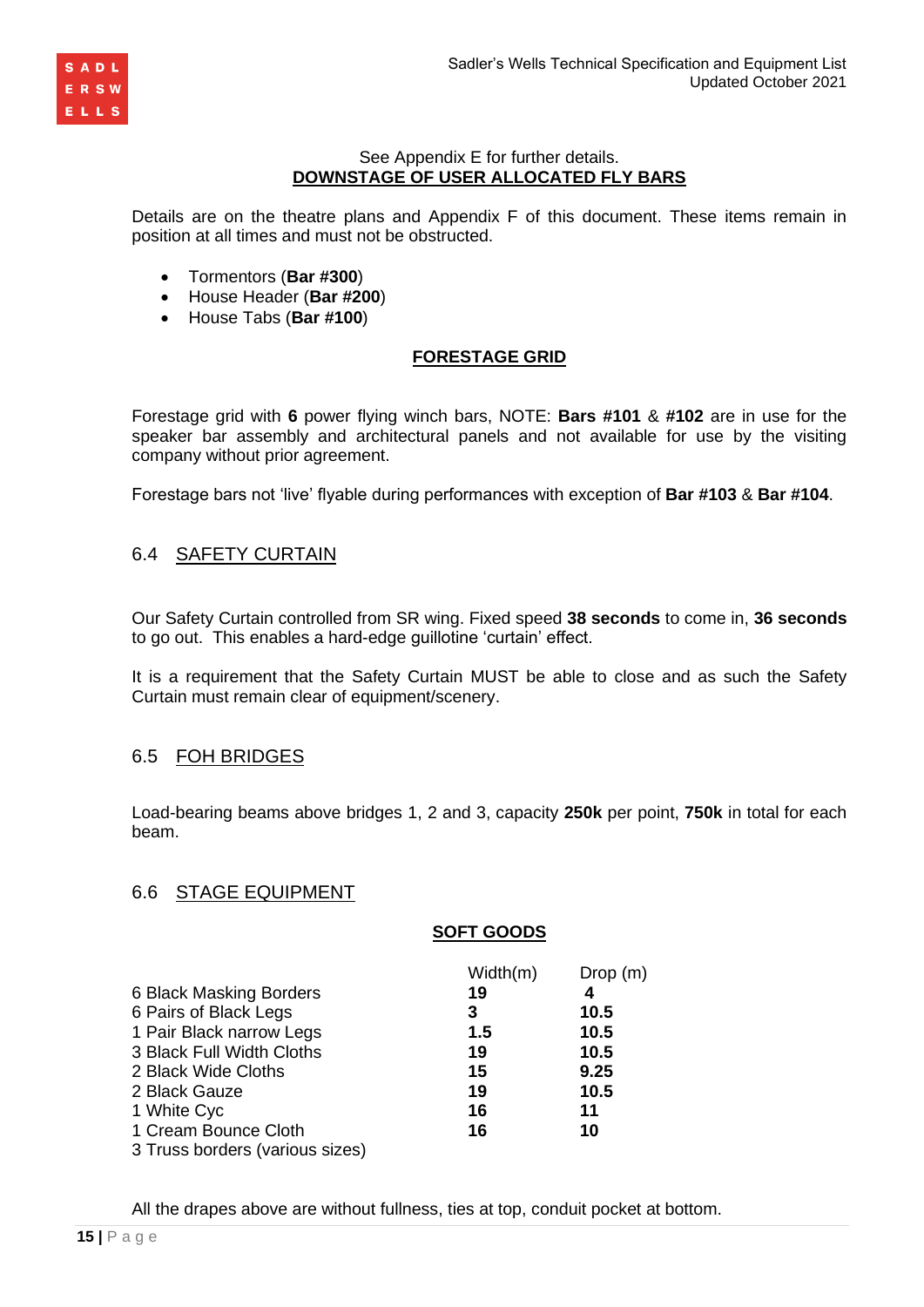

### See Appendix E for further details. **DOWNSTAGE OF USER ALLOCATED FLY BARS**

Details are on the theatre plans and Appendix F of this document. These items remain in position at all times and must not be obstructed.

- Tormentors (**Bar #300**)
- House Header (**Bar #200**)
- House Tabs (**Bar #100**)

# **FORESTAGE GRID**

Forestage grid with **6** power flying winch bars, NOTE: **Bars #101** & **#102** are in use for the speaker bar assembly and architectural panels and not available for use by the visiting company without prior agreement.

Forestage bars not 'live' flyable during performances with exception of **Bar #103** & **Bar #104**.

# 6.4 SAFETY CURTAIN

Our Safety Curtain controlled from SR wing. Fixed speed **38 seconds** to come in, **36 seconds** to go out. This enables a hard-edge guillotine 'curtain' effect.

It is a requirement that the Safety Curtain MUST be able to close and as such the Safety Curtain must remain clear of equipment/scenery.

### 6.5 FOH BRIDGES

Load-bearing beams above bridges 1, 2 and 3, capacity **250k** per point, **750k** in total for each beam.

### 6.6 STAGE EQUIPMENT

#### **SOFT GOODS**

|                                 | Width(m) | Drop(m) |
|---------------------------------|----------|---------|
| 6 Black Masking Borders         | 19       | 4       |
| 6 Pairs of Black Legs           | 3        | 10.5    |
| 1 Pair Black narrow Legs        | 1.5      | 10.5    |
| 3 Black Full Width Cloths       | 19       | 10.5    |
| 2 Black Wide Cloths             | 15       | 9.25    |
| 2 Black Gauze                   | 19       | 10.5    |
| 1 White Cyc                     | 16       | 11      |
| 1 Cream Bounce Cloth            | 16       | 10      |
| 3 Truss borders (various sizes) |          |         |

All the drapes above are without fullness, ties at top, conduit pocket at bottom.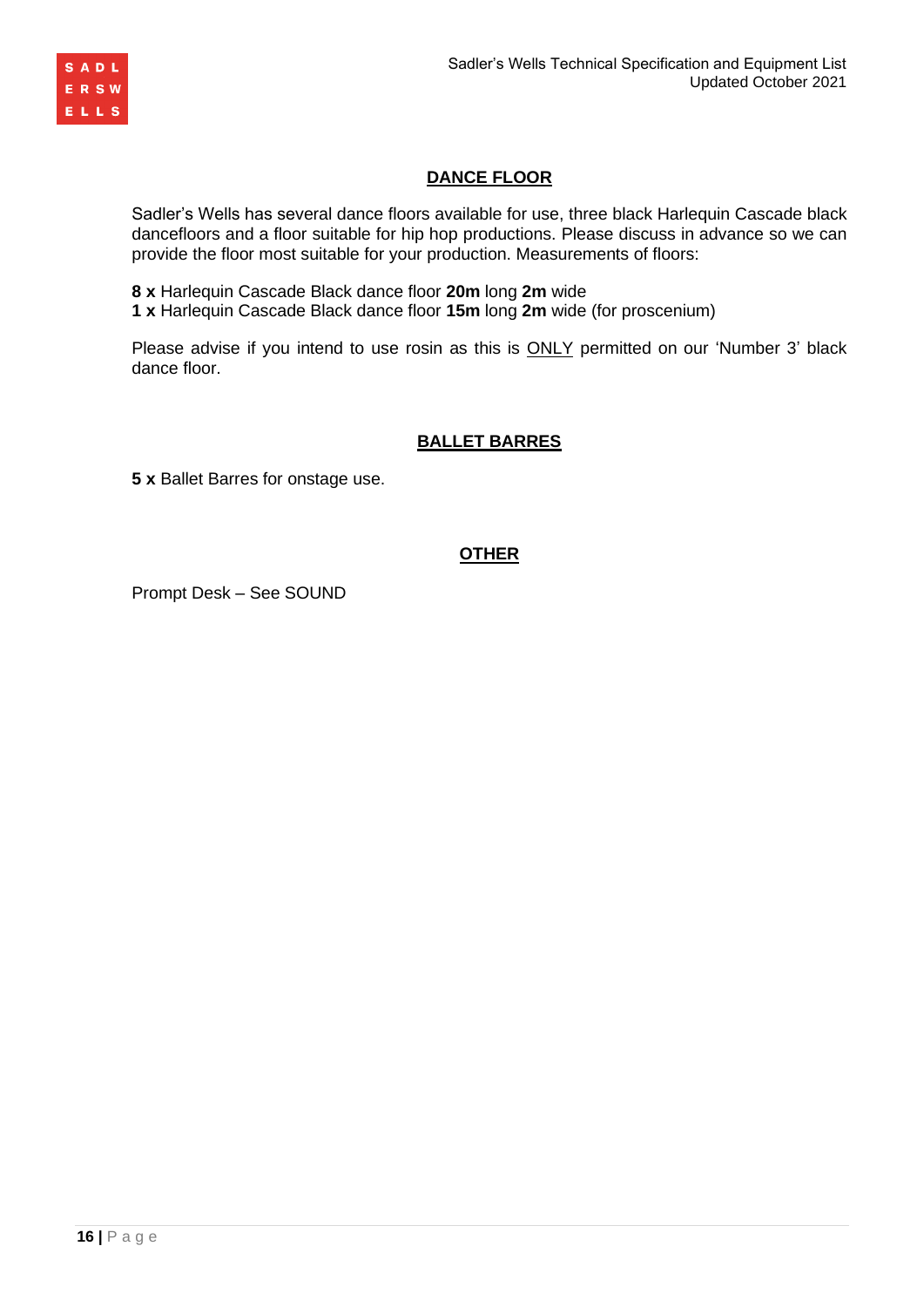

### **DANCE FLOOR**

Sadler's Wells has several dance floors available for use, three black Harlequin Cascade black dancefloors and a floor suitable for hip hop productions. Please discuss in advance so we can provide the floor most suitable for your production. Measurements of floors:

**8 x** Harlequin Cascade Black dance floor **20m** long **2m** wide

**1 x** Harlequin Cascade Black dance floor **15m** long **2m** wide (for proscenium)

Please advise if you intend to use rosin as this is **ONLY** permitted on our 'Number 3' black dance floor.

# **BALLET BARRES**

**5 x** Ballet Barres for onstage use.

### **OTHER**

Prompt Desk – See SOUND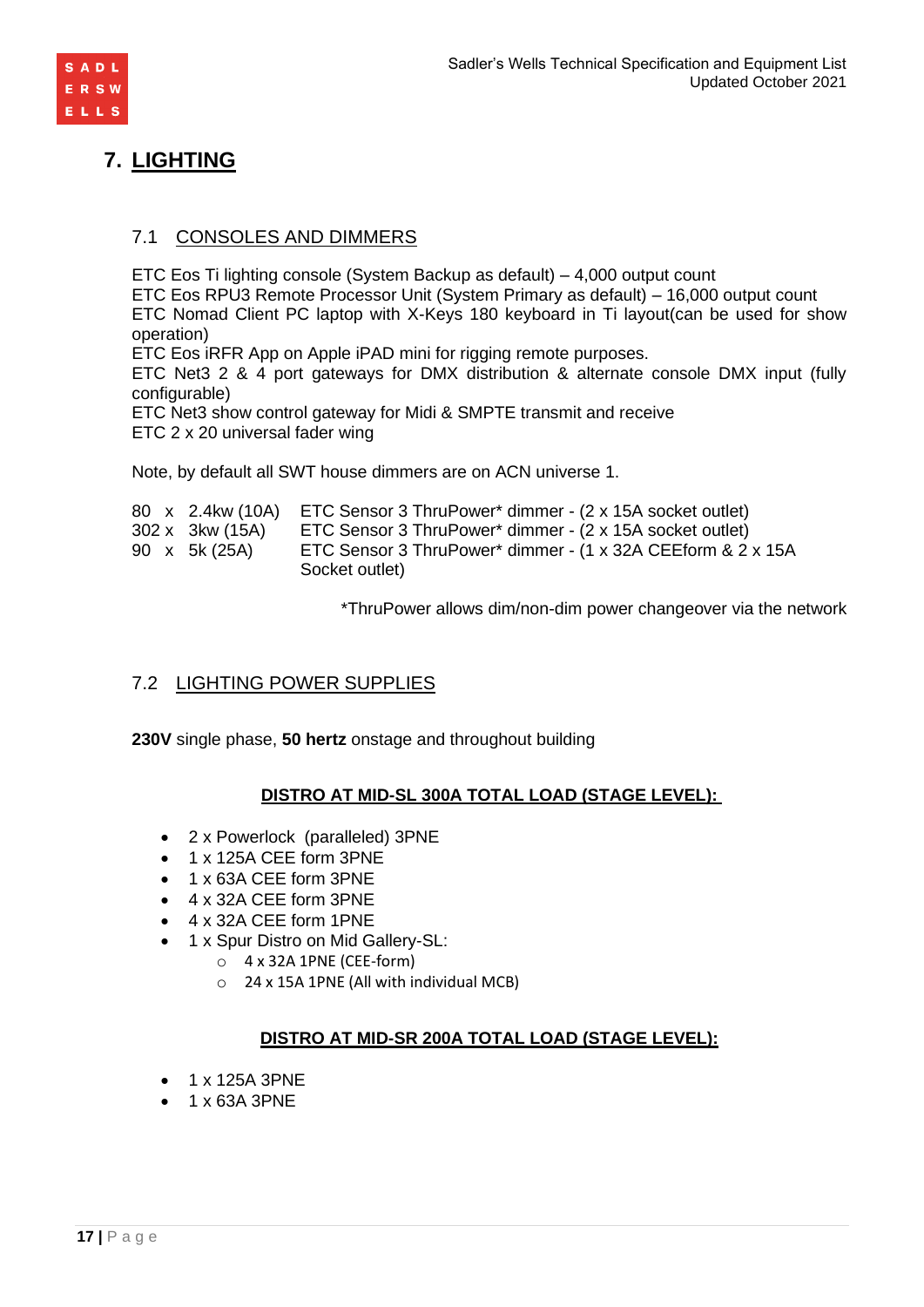

# **7. LIGHTING**

# 7.1 CONSOLES AND DIMMERS

ETC Eos Ti lighting console (System Backup as default) – 4,000 output count

ETC Eos RPU3 Remote Processor Unit (System Primary as default) – 16,000 output count ETC Nomad Client PC laptop with X-Keys 180 keyboard in Ti layout(can be used for show operation)

ETC Eos iRFR App on Apple iPAD mini for rigging remote purposes.

ETC Net3 2 & 4 port gateways for DMX distribution & alternate console DMX input (fully configurable)

ETC Net3 show control gateway for Midi & SMPTE transmit and receive ETC 2 x 20 universal fader wing

Note, by default all SWT house dimmers are on ACN universe 1.

|                 | 80 x 2.4kw (10A) ETC Sensor 3 ThruPower* dimmer - (2 x 15A socket outlet) |
|-----------------|---------------------------------------------------------------------------|
| 302 x 3kw (15A) | ETC Sensor 3 ThruPower* dimmer - (2 x 15A socket outlet)                  |
| 90 x 5k (25A)   | ETC Sensor 3 ThruPower* dimmer - (1 x 32A CEEform & 2 x 15A               |
|                 | Socket outlet)                                                            |

\*ThruPower allows dim/non-dim power changeover via the network

# 7.2 LIGHTING POWER SUPPLIES

**230V** single phase, **50 hertz** onstage and throughout building

# **DISTRO AT MID-SL 300A TOTAL LOAD (STAGE LEVEL):**

- 2 x Powerlock (paralleled) 3PNE
- 1 x 125A CEE form 3PNE
- 1 x 63A CEE form 3PNE
- 4 x 32A CEE form 3PNE
- 4 x 32A CEE form 1PNE
- 1 x Spur Distro on Mid Gallery-SL:
	- $\circ$  4 x 32A 1PNE (CEE-form)
	- o 24 x 15A 1PNE (All with individual MCB)

### **DISTRO AT MID-SR 200A TOTAL LOAD (STAGE LEVEL):**

- 1 x 125A 3PNE
- 1 x 63A 3PNE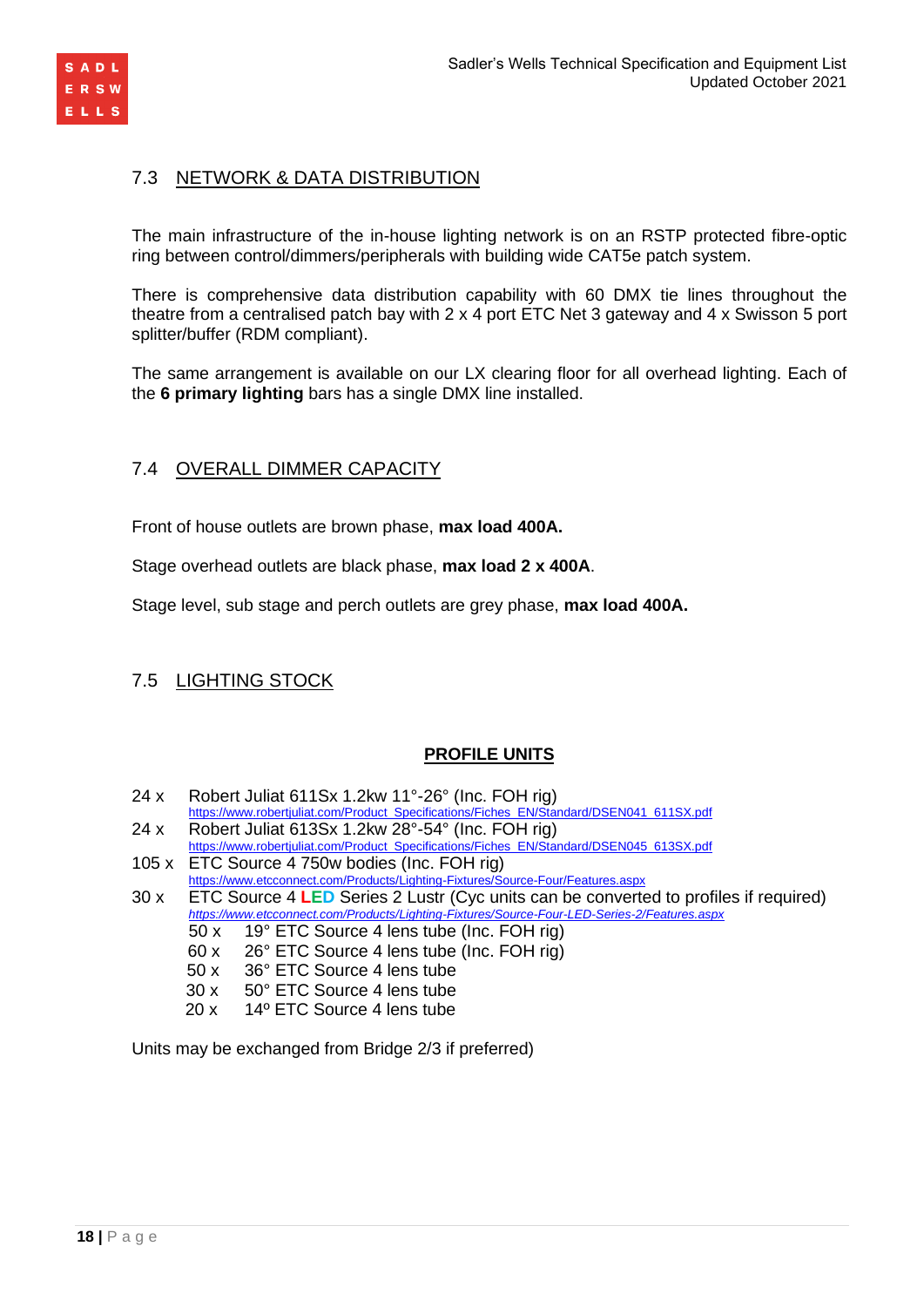

# 7.3 NETWORK & DATA DISTRIBUTION

The main infrastructure of the in-house lighting network is on an RSTP protected fibre-optic ring between control/dimmers/peripherals with building wide CAT5e patch system.

There is comprehensive data distribution capability with 60 DMX tie lines throughout the theatre from a centralised patch bay with 2 x 4 port ETC Net 3 gateway and 4 x Swisson 5 port splitter/buffer (RDM compliant).

The same arrangement is available on our LX clearing floor for all overhead lighting. Each of the **6 primary lighting** bars has a single DMX line installed.

# 7.4 OVERALL DIMMER CAPACITY

Front of house outlets are brown phase, **max load 400A.**

Stage overhead outlets are black phase, **max load 2 x 400A**.

Stage level, sub stage and perch outlets are grey phase, **max load 400A.**

# 7.5 LIGHTING STOCK

### **PROFILE UNITS**

- 24 x Robert Juliat 611Sx 1.2kw 11°-26° (Inc. FOH rig)
- [https://www.robertjuliat.com/Product\\_Specifications/Fiches\\_EN/Standard/DSEN041\\_611SX.pdf](https://www.robertjuliat.com/Product_Specifications/Fiches_EN/Standard/DSEN041_611SX.pdf)
- 24 x Robert Juliat 613Sx 1.2kw 28°-54° (Inc. FOH rig)
- [https://www.robertjuliat.com/Product\\_Specifications/Fiches\\_EN/Standard/DSEN045\\_613SX.pdf](https://www.robertjuliat.com/Product_Specifications/Fiches_EN/Standard/DSEN045_613SX.pdf)
- 105 x ETC Source 4 750w bodies (Inc. FOH rig) <https://www.etcconnect.com/Products/Lighting-Fixtures/Source-Four/Features.aspx>

30 x ETC Source 4 **LED** Series 2 Lustr (Cyc units can be converted to profiles if required) *<https://www.etcconnect.com/Products/Lighting-Fixtures/Source-Four-LED-Series-2/Features.aspx>*

- 50 x 19° ETC Source 4 lens tube (Inc. FOH rig)
- 60 x 26° ETC Source 4 lens tube (Inc. FOH rig)
- 50 x 36° ETC Source 4 lens tube
- 30 x 50° ETC Source 4 lens tube
- 20 x 14º ETC Source 4 lens tube

Units may be exchanged from Bridge 2/3 if preferred)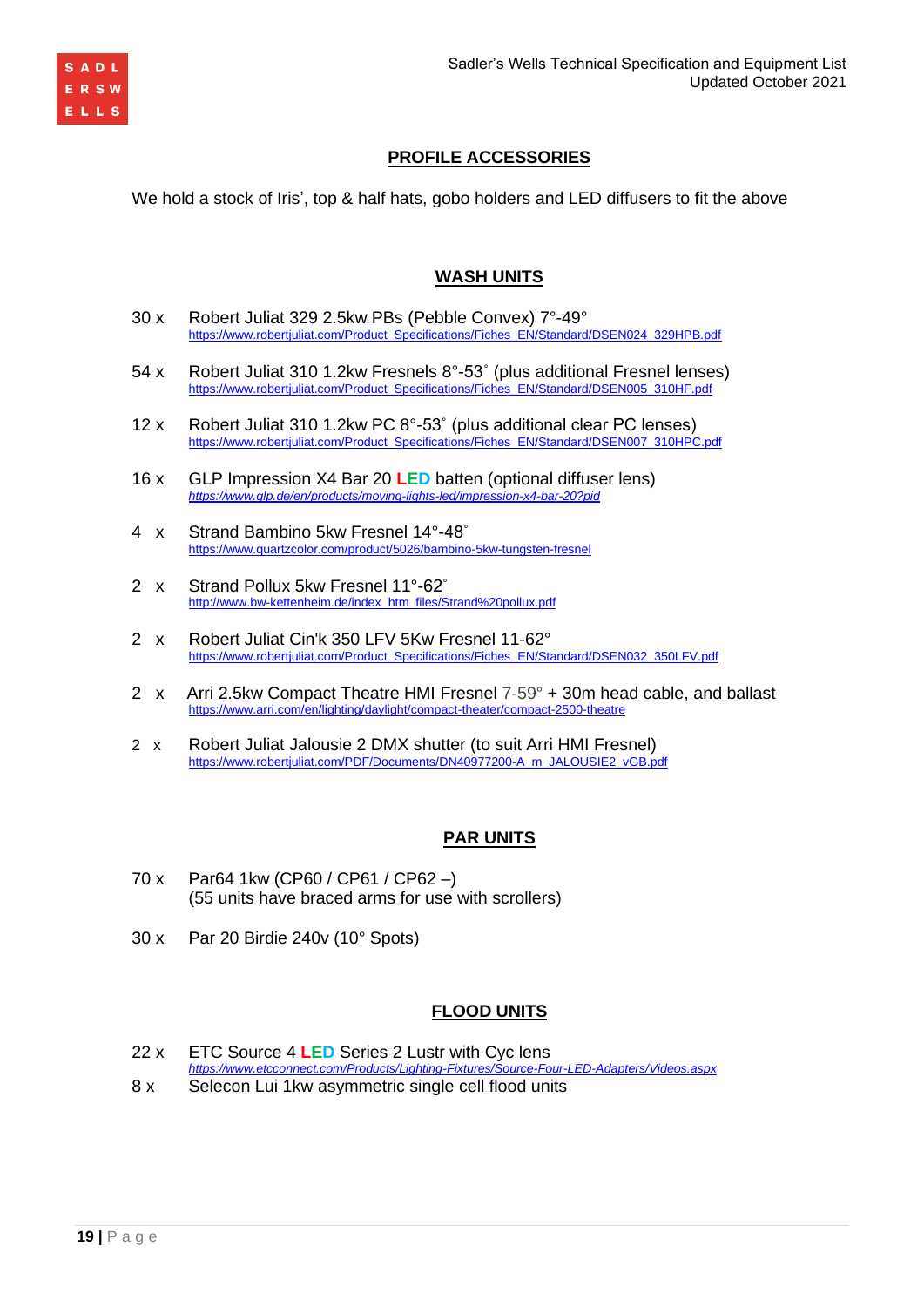

# **PROFILE ACCESSORIES**

We hold a stock of Iris', top & half hats, gobo holders and LED diffusers to fit the above

### **WASH UNITS**

- 30 x Robert Juliat 329 2.5kw PBs (Pebble Convex) 7°-49° [https://www.robertjuliat.com/Product\\_Specifications/Fiches\\_EN/Standard/DSEN024\\_329HPB.pdf](https://www.robertjuliat.com/Product_Specifications/Fiches_EN/Standard/DSEN024_329HPB.pdf)
- 54 x Robert Juliat 310 1.2kw Fresnels 8°-53˚ (plus additional Fresnel lenses) [https://www.robertjuliat.com/Product\\_Specifications/Fiches\\_EN/Standard/DSEN005\\_310HF.pdf](https://www.robertjuliat.com/Product_Specifications/Fiches_EN/Standard/DSEN005_310HF.pdf)
- 12 x Robert Juliat 310 1.2kw PC 8°-53˚ (plus additional clear PC lenses) [https://www.robertjuliat.com/Product\\_Specifications/Fiches\\_EN/Standard/DSEN007\\_310HPC.pdf](https://www.robertjuliat.com/Product_Specifications/Fiches_EN/Standard/DSEN007_310HPC.pdf)
- 16 x GLP Impression X4 Bar 20 **LED** batten (optional diffuser lens) *<https://www.glp.de/en/products/moving-lights-led/impression-x4-bar-20?pid>*
- 4 x Strand Bambino 5kw Fresnel 14°-48˚ <https://www.quartzcolor.com/product/5026/bambino-5kw-tungsten-fresnel>
- 2 x Strand Pollux 5kw Fresnel 11°-62˚ [http://www.bw-kettenheim.de/index\\_htm\\_files/Strand%20pollux.pdf](http://www.bw-kettenheim.de/index_htm_files/Strand%20pollux.pdf)
- 2 x Robert Juliat Cin'k 350 LFV 5Kw Fresnel 11-62° [https://www.robertjuliat.com/Product\\_Specifications/Fiches\\_EN/Standard/DSEN032\\_350LFV.pdf](https://www.robertjuliat.com/Product_Specifications/Fiches_EN/Standard/DSEN032_350LFV.pdf)
- 2  $\times$  Arri 2.5kw Compact Theatre HMI Fresnel 7-59° + 30m head cable, and ballast <https://www.arri.com/en/lighting/daylight/compact-theater/compact-2500-theatre>
- 2 x Robert Juliat Jalousie 2 DMX shutter (to suit Arri HMI Fresnel) [https://www.robertjuliat.com/PDF/Documents/DN40977200-A\\_m\\_JALOUSIE2\\_vGB.pdf](https://www.robertjuliat.com/PDF/Documents/DN40977200-A_m_JALOUSIE2_vGB.pdf)

# **PAR UNITS**

- 70 x Par64 1kw (CP60 / CP61 / CP62 –) (55 units have braced arms for use with scrollers)
- 30 x Par 20 Birdie 240v (10° Spots)

# **FLOOD UNITS**

- 22 x ETC Source 4 **LED** Series 2 Lustr with Cyc lens *<https://www.etcconnect.com/Products/Lighting-Fixtures/Source-Four-LED-Adapters/Videos.aspx>*
- 8 x Selecon Lui 1kw asymmetric single cell flood units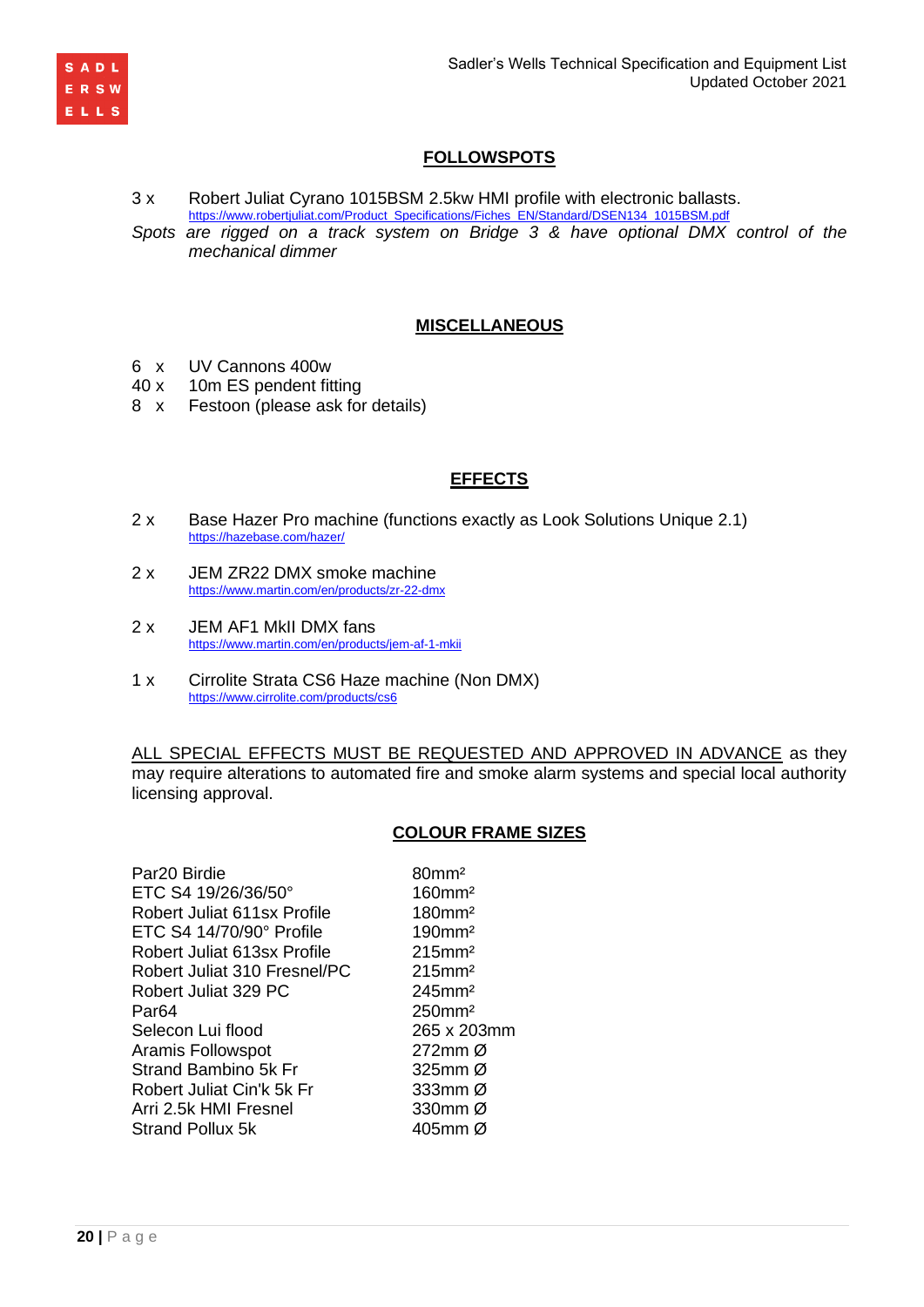

# **FOLLOWSPOTS**

3 x Robert Juliat Cyrano 1015BSM 2.5kw HMI profile with electronic ballasts. [https://www.robertjuliat.com/Product\\_Specifications/Fiches\\_EN/Standard/DSEN134\\_1015BSM.pdf](https://www.robertjuliat.com/Product_Specifications/Fiches_EN/Standard/DSEN134_1015BSM.pdf)

*Spots are rigged on a track system on Bridge 3 & have optional DMX control of the mechanical dimmer*

### **MISCELLANEOUS**

- 6 x UV Cannons 400w
- 40 x 10m ES pendent fitting
- 8 x Festoon (please ask for details)

### **EFFECTS**

- 2 x Base Hazer Pro machine (functions exactly as Look Solutions Unique 2.1) <https://hazebase.com/hazer/>
- 2 x JEM ZR22 DMX smoke machine <https://www.martin.com/en/products/zr-22-dmx>
- 2 x JEM AF1 MkII DMX fans <https://www.martin.com/en/products/jem-af-1-mkii>
- 1 x Cirrolite Strata CS6 Haze machine (Non DMX) <https://www.cirrolite.com/products/cs6>

ALL SPECIAL EFFECTS MUST BE REQUESTED AND APPROVED IN ADVANCE as they may require alterations to automated fire and smoke alarm systems and special local authority licensing approval.

### **COLOUR FRAME SIZES**

| Par20 Birdie                 | $80$ mm <sup>2</sup>  |
|------------------------------|-----------------------|
| ETC S4 19/26/36/50°          | $160$ mm <sup>2</sup> |
| Robert Juliat 611sx Profile  | 180mm <sup>2</sup>    |
| ETC S4 14/70/90° Profile     | 190mm <sup>2</sup>    |
| Robert Juliat 613sx Profile  | $215$ mm <sup>2</sup> |
| Robert Juliat 310 Fresnel/PC | $215$ mm <sup>2</sup> |
| Robert Juliat 329 PC         | $245$ mm <sup>2</sup> |
| Par64                        | $250$ mm <sup>2</sup> |
| Selecon Lui flood            | 265 x 203             |
| Aramis Followspot            | 272mm Ø               |
| Strand Bambino 5k Fr         | 325 $mm$ Ø            |
| Robert Juliat Cin'k 5k Fr    | 333mm $\varnothing$   |
| Arri 2.5k HMI Fresnel        | 330mm Ø               |
| Strand Pollux 5k             | 405mm Ø               |

80mm<sup>2</sup>  $160$  mm<sup>2</sup>  $180$ mm<sup>2</sup>  $190$  mm<sup>2</sup>  $215$ mm<sup>2</sup>  $215$ mm<sup>2</sup>  $245$ mm<sup>2</sup>  $250$ mm<sup>2</sup> 265 x 203mm  $272$ mm Ø  $325$ mm Ø 333mm  $Ø$ 330mm  $\varnothing$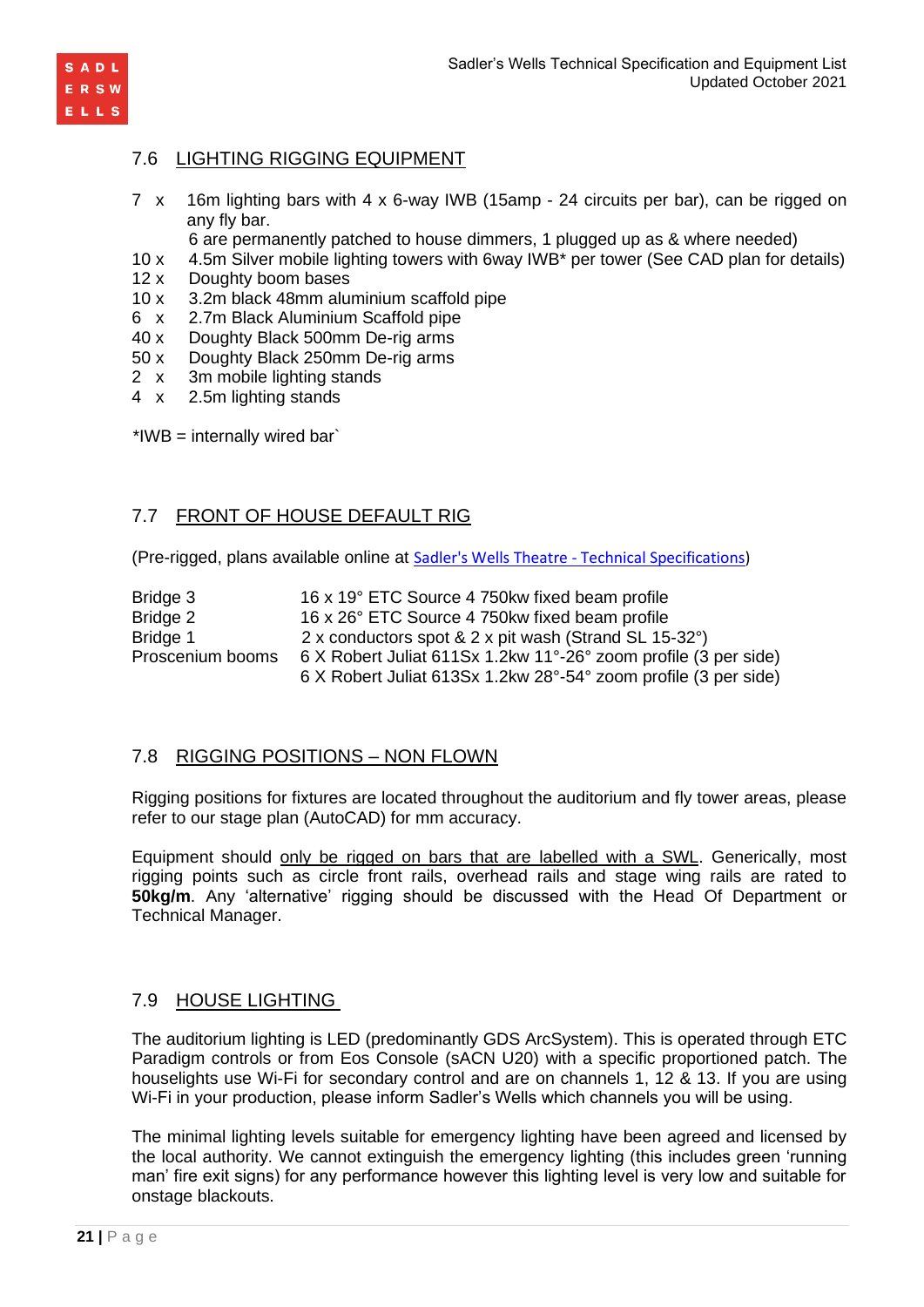

## 7.6 LIGHTING RIGGING EQUIPMENT

- 7 x 16m lighting bars with 4 x 6-way IWB (15amp 24 circuits per bar), can be rigged on any fly bar.
	- 6 are permanently patched to house dimmers, 1 plugged up as & where needed)
- 10 x 4.5m Silver mobile lighting towers with 6way IWB\* per tower (See CAD plan for details)
- 12 x Doughty boom bases
- 10 x 3.2m black 48mm aluminium scaffold pipe
- 6 x 2.7m Black Aluminium Scaffold pipe
- 40 x Doughty Black 500mm De-rig arms
- 50 x Doughty Black 250mm De-rig arms
- 2 x 3m mobile lighting stands
- 4 x 2.5m lighting stands

 $*IWB =$  internally wired bar`

### 7.7 FRONT OF HOUSE DEFAULT RIG

(Pre-rigged, plans available online at Sadler's Wells Theatre - [Technical Specifications\)](https://www.sadlerswells.com/about-us/technical-information/sadlers-wells)

Bridge 3 16 x 19° ETC Source 4 750kw fixed beam profile Bridge 2 16 x 26° ETC Source 4 750kw fixed beam profile Bridge 1 2 x conductors spot & 2 x pit wash (Strand SL 15-32°) Proscenium booms 6 X Robert Juliat 611Sx 1.2kw 11°-26° zoom profile (3 per side) 6 X Robert Juliat 613Sx 1.2kw 28°-54° zoom profile (3 per side)

### 7.8 RIGGING POSITIONS – NON FLOWN

Rigging positions for fixtures are located throughout the auditorium and fly tower areas, please refer to our stage plan (AutoCAD) for mm accuracy.

Equipment should only be rigged on bars that are labelled with a SWL. Generically, most rigging points such as circle front rails, overhead rails and stage wing rails are rated to **50kg/m**. Any 'alternative' rigging should be discussed with the Head Of Department or Technical Manager.

### 7.9 HOUSE LIGHTING

The auditorium lighting is LED (predominantly GDS ArcSystem). This is operated through ETC Paradigm controls or from Eos Console (sACN U20) with a specific proportioned patch. The houselights use Wi-Fi for secondary control and are on channels 1, 12 & 13. If you are using Wi-Fi in your production, please inform Sadler's Wells which channels you will be using.

The minimal lighting levels suitable for emergency lighting have been agreed and licensed by the local authority. We cannot extinguish the emergency lighting (this includes green 'running man' fire exit signs) for any performance however this lighting level is very low and suitable for onstage blackouts.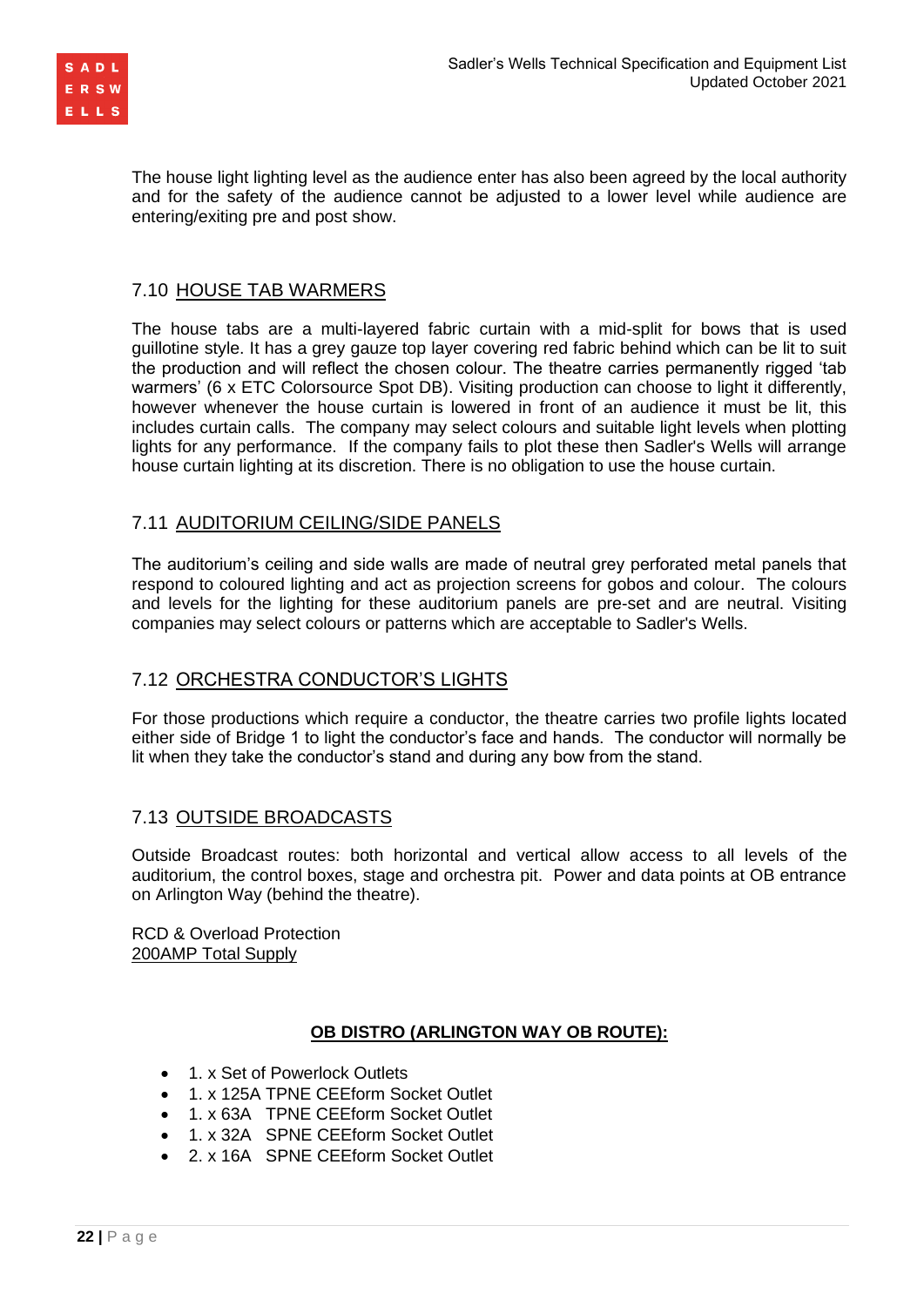

The house light lighting level as the audience enter has also been agreed by the local authority and for the safety of the audience cannot be adjusted to a lower level while audience are entering/exiting pre and post show.

## 7.10 HOUSE TAB WARMERS

The house tabs are a multi-layered fabric curtain with a mid-split for bows that is used guillotine style. It has a grey gauze top layer covering red fabric behind which can be lit to suit the production and will reflect the chosen colour. The theatre carries permanently rigged 'tab warmers' (6 x ETC Colorsource Spot DB). Visiting production can choose to light it differently, however whenever the house curtain is lowered in front of an audience it must be lit, this includes curtain calls. The company may select colours and suitable light levels when plotting lights for any performance. If the company fails to plot these then Sadler's Wells will arrange house curtain lighting at its discretion. There is no obligation to use the house curtain.

### 7.11 AUDITORIUM CEILING/SIDE PANELS

The auditorium's ceiling and side walls are made of neutral grey perforated metal panels that respond to coloured lighting and act as projection screens for gobos and colour. The colours and levels for the lighting for these auditorium panels are pre-set and are neutral. Visiting companies may select colours or patterns which are acceptable to Sadler's Wells.

# 7.12 ORCHESTRA CONDUCTOR'S LIGHTS

For those productions which require a conductor, the theatre carries two profile lights located either side of Bridge 1 to light the conductor's face and hands. The conductor will normally be lit when they take the conductor's stand and during any bow from the stand.

### 7.13 OUTSIDE BROADCASTS

Outside Broadcast routes: both horizontal and vertical allow access to all levels of the auditorium, the control boxes, stage and orchestra pit. Power and data points at OB entrance on Arlington Way (behind the theatre).

RCD & Overload Protection 200AMP Total Supply

### **OB DISTRO (ARLINGTON WAY OB ROUTE):**

- 1. x Set of Powerlock Outlets
- 1. x 125A TPNE CEEform Socket Outlet
- 1. x 63A TPNE CEEform Socket Outlet
- 1. x 32A SPNE CEEform Socket Outlet
- 2. x 16A SPNE CEEform Socket Outlet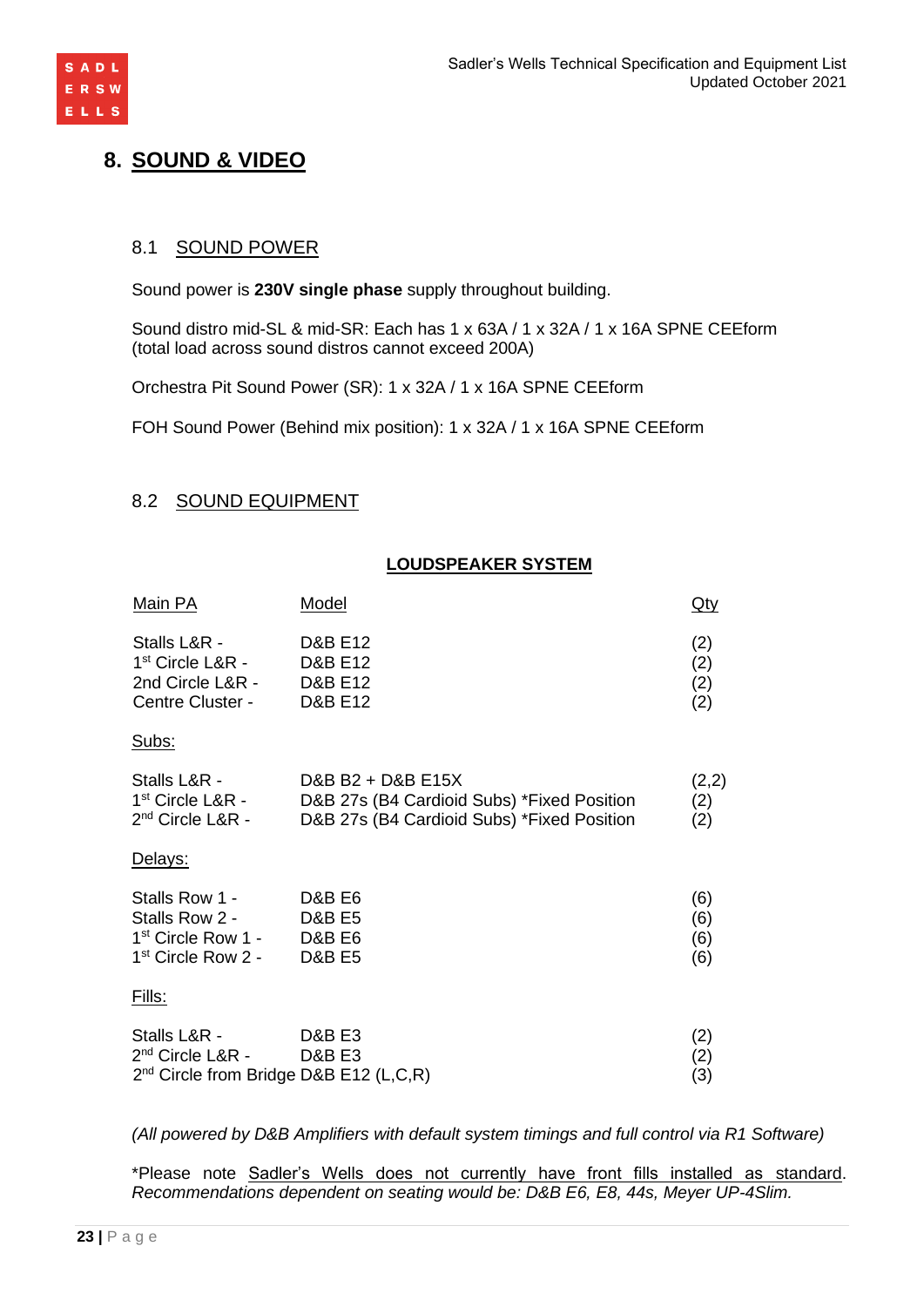

# **8. SOUND & VIDEO**

# 8.1 SOUND POWER

Sound power is **230V single phase** supply throughout building.

Sound distro mid-SL & mid-SR: Each has 1 x 63A / 1 x 32A / 1 x 16A SPNE CEEform (total load across sound distros cannot exceed 200A)

Orchestra Pit Sound Power (SR): 1 x 32A / 1 x 16A SPNE CEEform

FOH Sound Power (Behind mix position): 1 x 32A / 1 x 16A SPNE CEEform

### 8.2 SOUND EQUIPMENT

### **LOUDSPEAKER SYSTEM**

| Main PA                                                                    | Model                                                                                | Qty               |
|----------------------------------------------------------------------------|--------------------------------------------------------------------------------------|-------------------|
| Stalls L&R -<br>$1st$ Circle L&R -<br>2nd Circle L&R -<br>Centre Cluster - | <b>D&amp;B E12</b><br><b>D&amp;B E12</b><br><b>D&amp;B E12</b><br><b>D&amp;B E12</b> | (2)<br>(2)<br>(2) |

#### Subs:

| Stalls L&R -       | D&B B2 + D&B E15X                          | (2,2) |
|--------------------|--------------------------------------------|-------|
| $1st$ Circle L&R - | D&B 27s (B4 Cardioid Subs) *Fixed Position | (2)   |
| $2nd$ Circle L&R - | D&B 27s (B4 Cardioid Subs) *Fixed Position | (2)   |

#### Delays:

| Stalls Row 1 -       | D&B E6 | (6) |
|----------------------|--------|-----|
| Stalls Row 2 -       | D&B E5 | (6) |
| $1st$ Circle Row 1 - | D&B E6 | (6) |
| $1st$ Circle Row 2 - | D&B E5 | (6) |

#### Fills:

| Stalls L&R -                                | D&B E3 | (2) |
|---------------------------------------------|--------|-----|
| 2 <sup>nd</sup> Circle L&R -                | D&B E3 | (2) |
| $2^{nd}$ Circle from Bridge D&B E12 (L,C,R) |        | (3) |

*(All powered by D&B Amplifiers with default system timings and full control via R1 Software)*

\*Please note Sadler's Wells does not currently have front fills installed as standard. *Recommendations dependent on seating would be: D&B E6, E8, 44s, Meyer UP-4Slim.*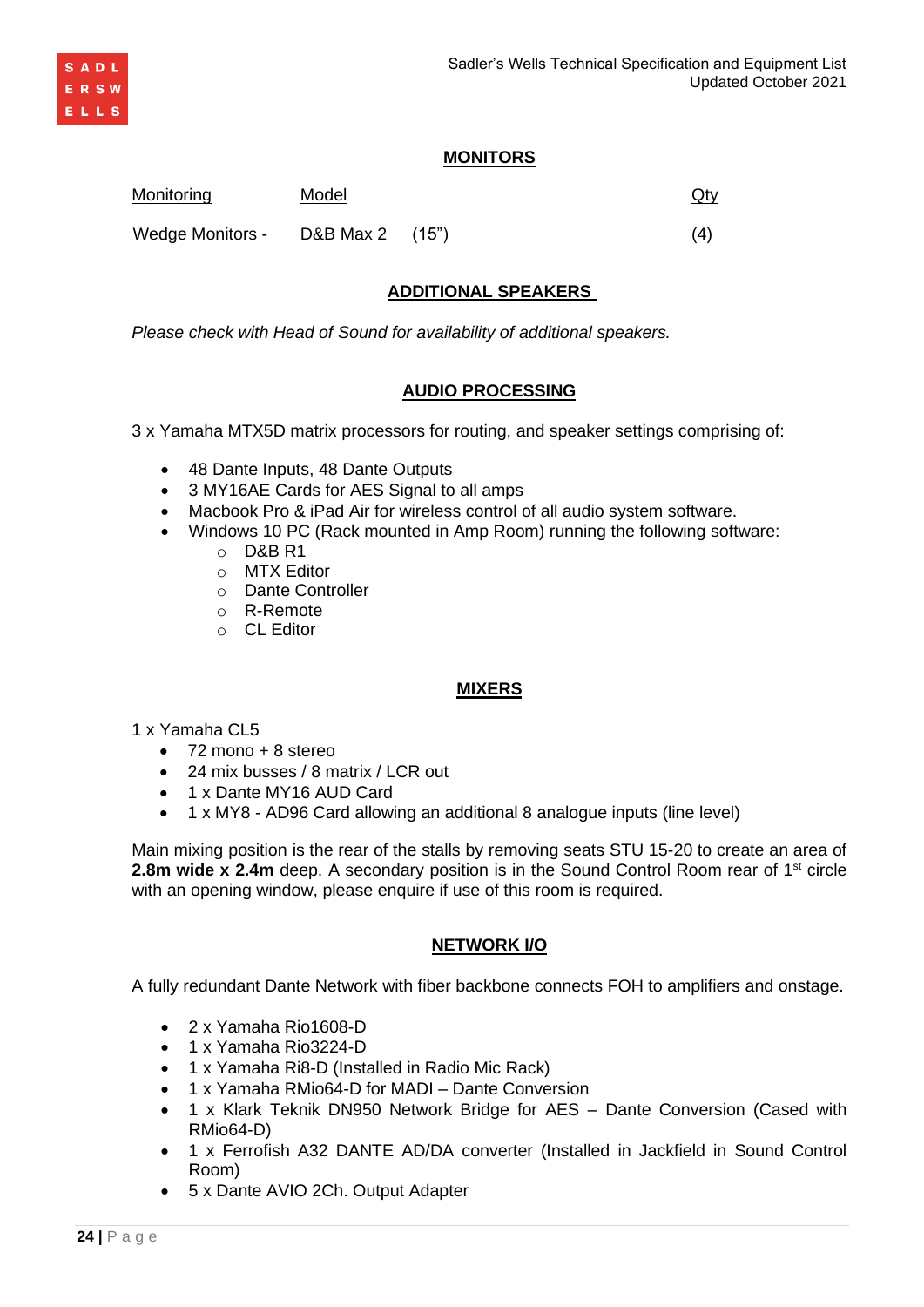## **MONITORS**

**ADDITIONAL SPEAKERS** 

**AUDIO PROCESSING**

3 x Yamaha MTX5D matrix processors for routing, and speaker settings comprising of:

• Macbook Pro & iPad Air for wireless control of all audio system software. • Windows 10 PC (Rack mounted in Amp Room) running the following software:

• 1 x Dante MY16 AUD Card • 1 x MY8 - AD96 Card allowing an additional 8 analogue inputs (line level)

• 72 mono + 8 stereo

1 x Yamaha CL5

Main mixing position is the rear of the stalls by removing seats STU 15-20 to create an area of **2.8m wide x 2.4m** deep. A secondary position is in the Sound Control Room rear of 1<sup>st</sup> circle with an opening window, please enquire if use of this room is required.

**MIXERS**

# **NETWORK I/O**

A fully redundant Dante Network with fiber backbone connects FOH to amplifiers and onstage.

- 2 x Yamaha Rio1608-D
- 1 x Yamaha Rio3224-D
- 1 x Yamaha Ri8-D (Installed in Radio Mic Rack)
- 1 x Yamaha RMio64-D for MADI Dante Conversion
- 1 x Klark Teknik DN950 Network Bridge for AES Dante Conversion (Cased with RMio64-D)
- 1 x Ferrofish A32 DANTE AD/DA converter (Installed in Jackfield in Sound Control Room)
- 5 x Dante AVIO 2Ch. Output Adapter

Monitoring Model **Model Monitoring** Qty

• 48 Dante Inputs, 48 Dante Outputs

• 24 mix busses / 8 matrix / LCR out

o D&B R1 o MTX Editor o Dante Controller o R-Remote o CL Editor

• 3 MY16AE Cards for AES Signal to all amps

Wedge Monitors - D&B Max 2 (15") (4)

*Please check with Head of Sound for availability of additional speakers.*

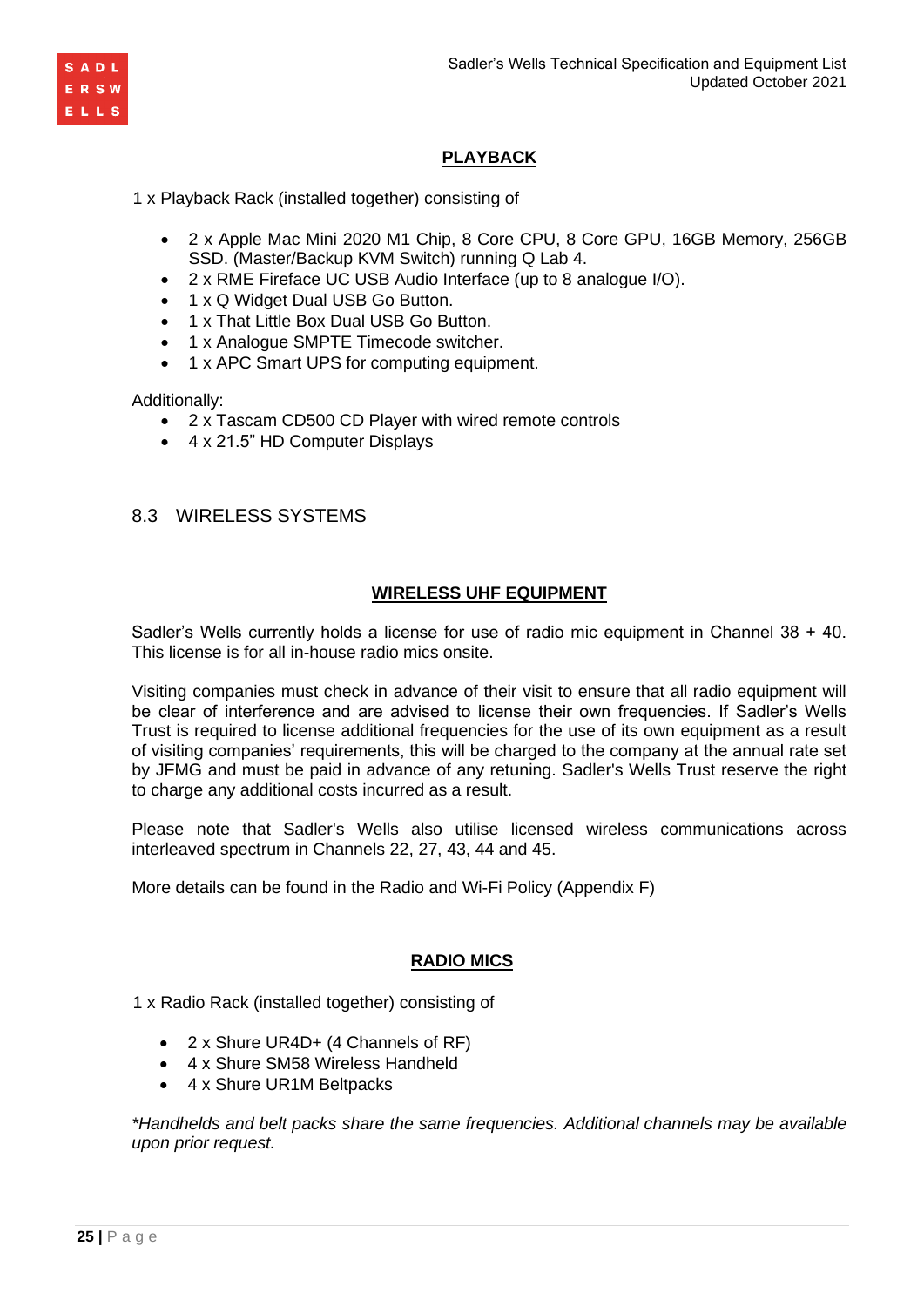

# **PLAYBACK**

1 x Playback Rack (installed together) consisting of

- 2 x Apple Mac Mini 2020 M1 Chip, 8 Core CPU, 8 Core GPU, 16GB Memory, 256GB SSD. (Master/Backup KVM Switch) running Q Lab 4.
- 2 x RME Fireface UC USB Audio Interface (up to 8 analogue I/O).
- 1 x Q Widget Dual USB Go Button.
- 1 x That Little Box Dual USB Go Button.
- 1 x Analogue SMPTE Timecode switcher.
- 1 x APC Smart UPS for computing equipment.

Additionally:

- 2 x Tascam CD500 CD Player with wired remote controls
- 4 x 21.5" HD Computer Displays

# 8.3 WIRELESS SYSTEMS

# **WIRELESS UHF EQUIPMENT**

Sadler's Wells currently holds a license for use of radio mic equipment in Channel 38 + 40. This license is for all in-house radio mics onsite.

Visiting companies must check in advance of their visit to ensure that all radio equipment will be clear of interference and are advised to license their own frequencies. If Sadler's Wells Trust is required to license additional frequencies for the use of its own equipment as a result of visiting companies' requirements, this will be charged to the company at the annual rate set by JFMG and must be paid in advance of any retuning. Sadler's Wells Trust reserve the right to charge any additional costs incurred as a result.

Please note that Sadler's Wells also utilise licensed wireless communications across interleaved spectrum in Channels 22, 27, 43, 44 and 45.

More details can be found in the Radio and Wi-Fi Policy (Appendix F)

# **RADIO MICS**

1 x Radio Rack (installed together) consisting of

- 2 x Shure UR4D+ (4 Channels of RF)
- 4 x Shure SM58 Wireless Handheld
- 4 x Shure UR1M Beltpacks

*\*Handhelds and belt packs share the same frequencies. Additional channels may be available upon prior request.*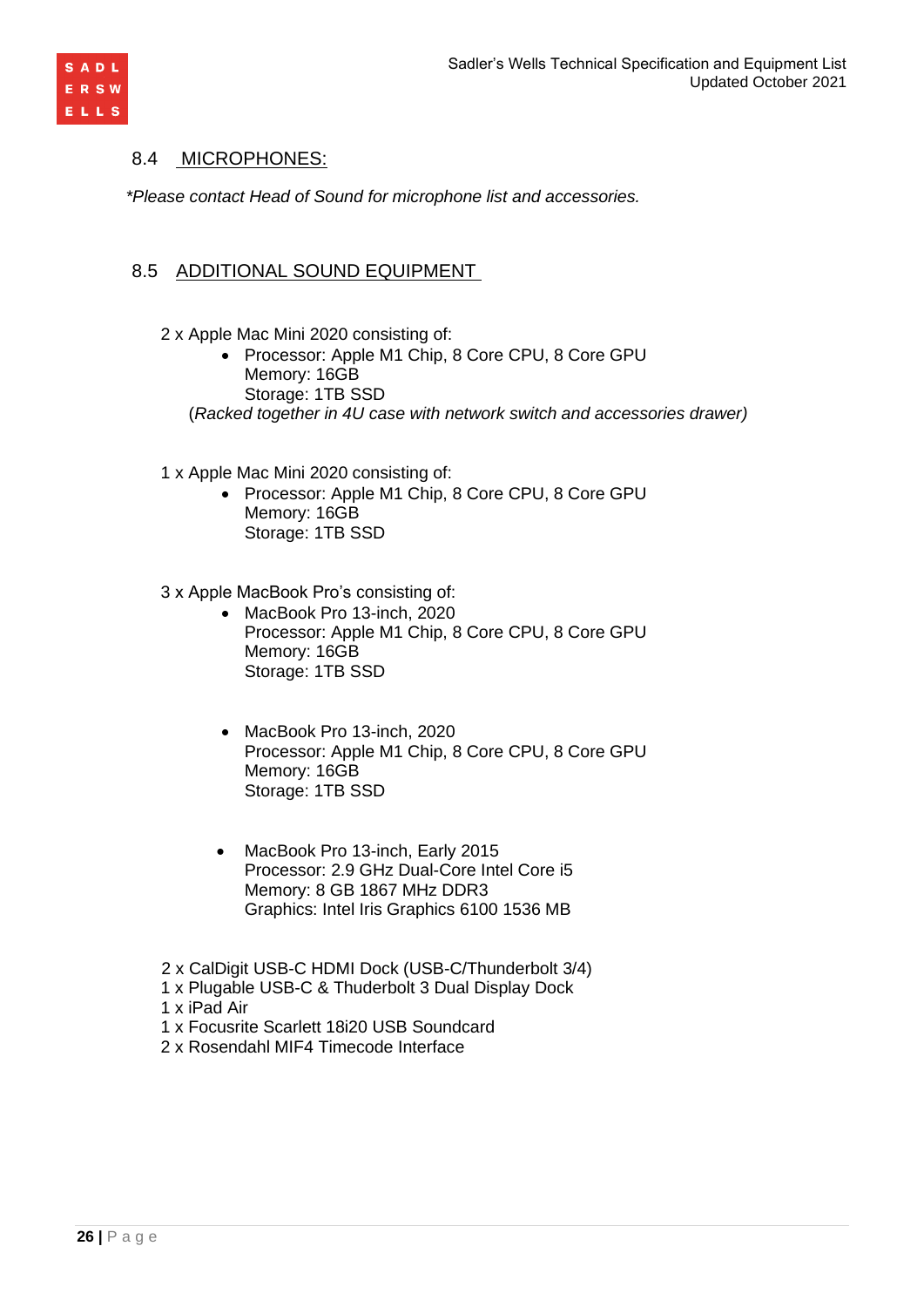

## 8.4 MICROPHONES:

*\*Please contact Head of Sound for microphone list and accessories.*

# 8.5 ADDITIONAL SOUND EQUIPMENT

- 2 x Apple Mac Mini 2020 consisting of:
	- Processor: Apple M1 Chip, 8 Core CPU, 8 Core GPU Memory: 16GB Storage: 1TB SSD

(*Racked together in 4U case with network switch and accessories drawer)*

- 1 x Apple Mac Mini 2020 consisting of:
	- Processor: Apple M1 Chip, 8 Core CPU, 8 Core GPU Memory: 16GB Storage: 1TB SSD
- 3 x Apple MacBook Pro's consisting of:
	- MacBook Pro 13-inch, 2020 Processor: Apple M1 Chip, 8 Core CPU, 8 Core GPU Memory: 16GB Storage: 1TB SSD
	- MacBook Pro 13-inch, 2020 Processor: Apple M1 Chip, 8 Core CPU, 8 Core GPU Memory: 16GB Storage: 1TB SSD
	- MacBook Pro 13-inch, Early 2015 Processor: 2.9 GHz Dual-Core Intel Core i5 Memory: 8 GB 1867 MHz DDR3 Graphics: Intel Iris Graphics 6100 1536 MB
- 2 x CalDigit USB-C HDMI Dock (USB-C/Thunderbolt 3/4)
- 1 x Plugable USB-C & Thuderbolt 3 Dual Display Dock
- 1 x iPad Air
- 1 x Focusrite Scarlett 18i20 USB Soundcard
- 2 x Rosendahl MIF4 Timecode Interface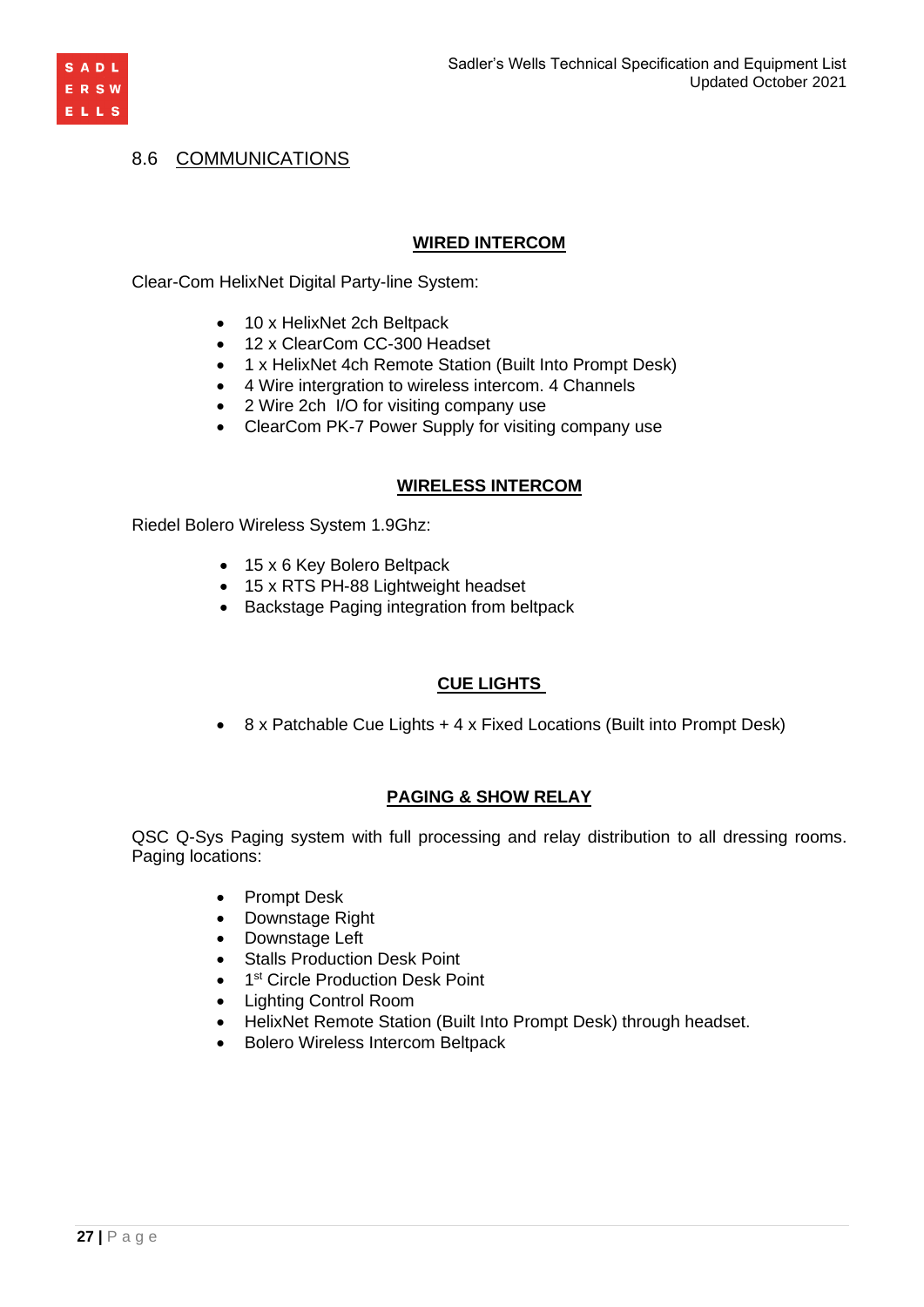

# 8.6 COMMUNICATIONS

### **WIRED INTERCOM**

Clear-Com HelixNet Digital Party-line System:

- 10 x HelixNet 2ch Beltpack
- 12 x ClearCom CC-300 Headset
- 1 x HelixNet 4ch Remote Station (Built Into Prompt Desk)
- 4 Wire intergration to wireless intercom. 4 Channels
- 2 Wire 2ch I/O for visiting company use
- ClearCom PK-7 Power Supply for visiting company use

### **WIRELESS INTERCOM**

Riedel Bolero Wireless System 1.9Ghz:

- 15 x 6 Key Bolero Beltpack
- 15 x RTS PH-88 Lightweight headset
- Backstage Paging integration from beltpack

# **CUE LIGHTS**

• 8 x Patchable Cue Lights + 4 x Fixed Locations (Built into Prompt Desk)

# **PAGING & SHOW RELAY**

QSC Q-Sys Paging system with full processing and relay distribution to all dressing rooms. Paging locations:

- Prompt Desk
- Downstage Right
- Downstage Left
- Stalls Production Desk Point
- 1<sup>st</sup> Circle Production Desk Point
- Lighting Control Room
- HelixNet Remote Station (Built Into Prompt Desk) through headset.
- Bolero Wireless Intercom Beltpack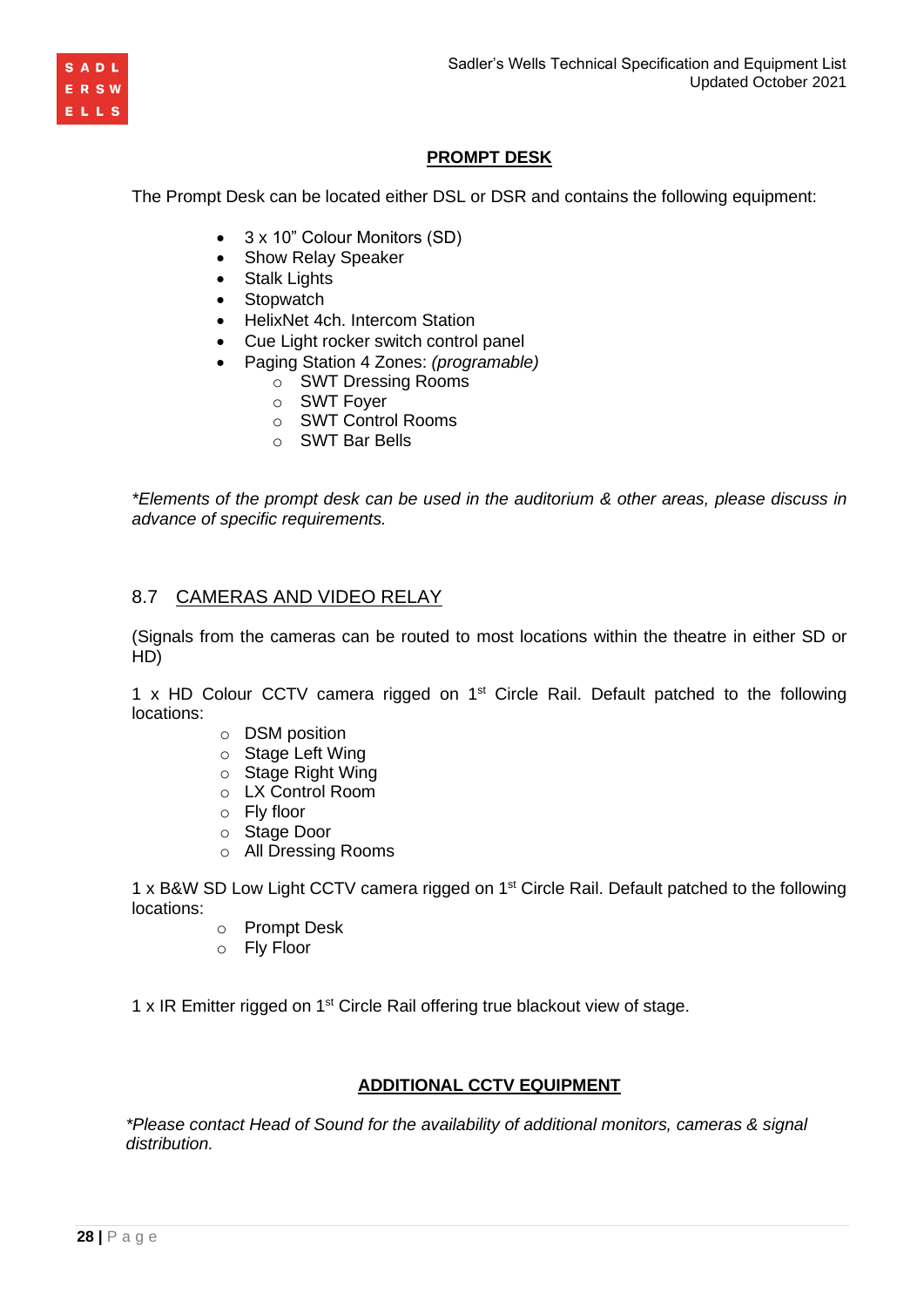



# **PROMPT DESK**

The Prompt Desk can be located either DSL or DSR and contains the following equipment:

- 3 x 10" Colour Monitors (SD)
- Show Relay Speaker
- Stalk Lights
- Stopwatch
- HelixNet 4ch. Intercom Station
- Cue Light rocker switch control panel
- Paging Station 4 Zones: *(programable)*
	- o SWT Dressing Rooms
	- o SWT Foyer
	- o SWT Control Rooms
	- o SWT Bar Bells

*\*Elements of the prompt desk can be used in the auditorium & other areas, please discuss in advance of specific requirements.*

# 8.7 CAMERAS AND VIDEO RELAY

(Signals from the cameras can be routed to most locations within the theatre in either SD or HD)

1 x HD Colour CCTV camera rigged on  $1<sup>st</sup>$  Circle Rail. Default patched to the following locations:

- o DSM position
- o Stage Left Wing
- o Stage Right Wing
- o LX Control Room
- o Fly floor
- o Stage Door
- o All Dressing Rooms

1 x B&W SD Low Light CCTV camera rigged on 1<sup>st</sup> Circle Rail. Default patched to the following locations:

- o Prompt Desk
- o Fly Floor

1 x IR Emitter rigged on 1<sup>st</sup> Circle Rail offering true blackout view of stage.

# **ADDITIONAL CCTV EQUIPMENT**

*\*Please contact Head of Sound for the availability of additional monitors, cameras & signal distribution.*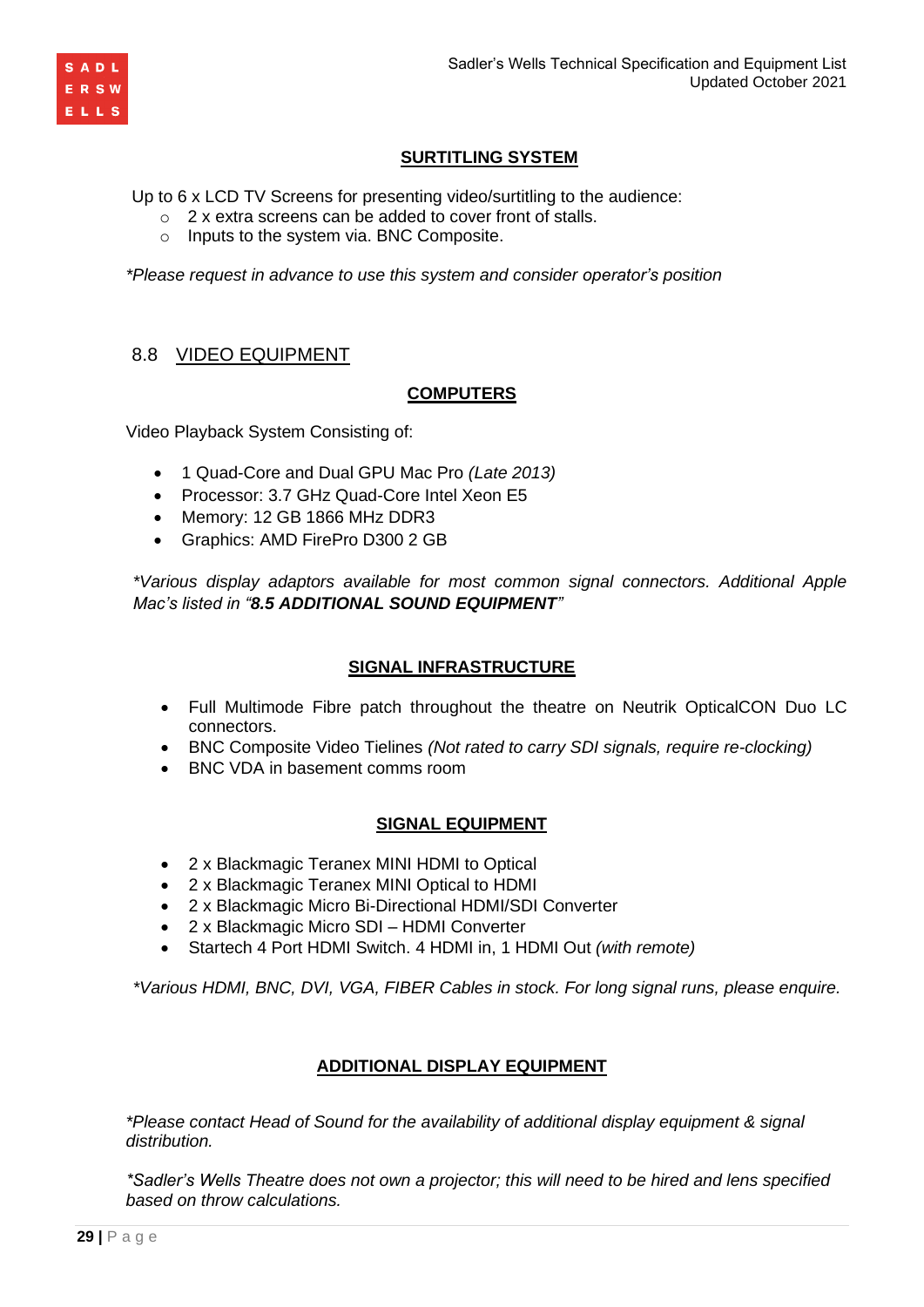

# **SURTITLING SYSTEM**

Up to 6 x LCD TV Screens for presenting video/surtitling to the audience:

- o 2 x extra screens can be added to cover front of stalls.
- o Inputs to the system via. BNC Composite.

*\*Please request in advance to use this system and consider operator's position*

### 8.8 VIDEO EQUIPMENT

### **COMPUTERS**

Video Playback System Consisting of:

- 1 Quad-Core and Dual GPU Mac Pro *(Late 2013)*
- Processor: 3.7 GHz Quad-Core Intel Xeon E5
- Memory: 12 GB 1866 MHz DDR3
- Graphics: AMD FirePro D300 2 GB

*\*Various display adaptors available for most common signal connectors. Additional Apple Mac's listed in "8.5 ADDITIONAL SOUND EQUIPMENT"*

### **SIGNAL INFRASTRUCTURE**

- Full Multimode Fibre patch throughout the theatre on Neutrik OpticalCON Duo LC connectors.
- BNC Composite Video Tielines *(Not rated to carry SDI signals, require re-clocking)*
- BNC VDA in basement comms room

### **SIGNAL EQUIPMENT**

- 2 x Blackmagic Teranex MINI HDMI to Optical
- 2 x Blackmagic Teranex MINI Optical to HDMI
- 2 x Blackmagic Micro Bi-Directional HDMI/SDI Converter
- 2 x Blackmagic Micro SDI HDMI Converter
- Startech 4 Port HDMI Switch. 4 HDMI in, 1 HDMI Out *(with remote)*

*\*Various HDMI, BNC, DVI, VGA, FIBER Cables in stock. For long signal runs, please enquire.*

### **ADDITIONAL DISPLAY EQUIPMENT**

*\*Please contact Head of Sound for the availability of additional display equipment & signal distribution.*

*\*Sadler's Wells Theatre does not own a projector; this will need to be hired and lens specified based on throw calculations.*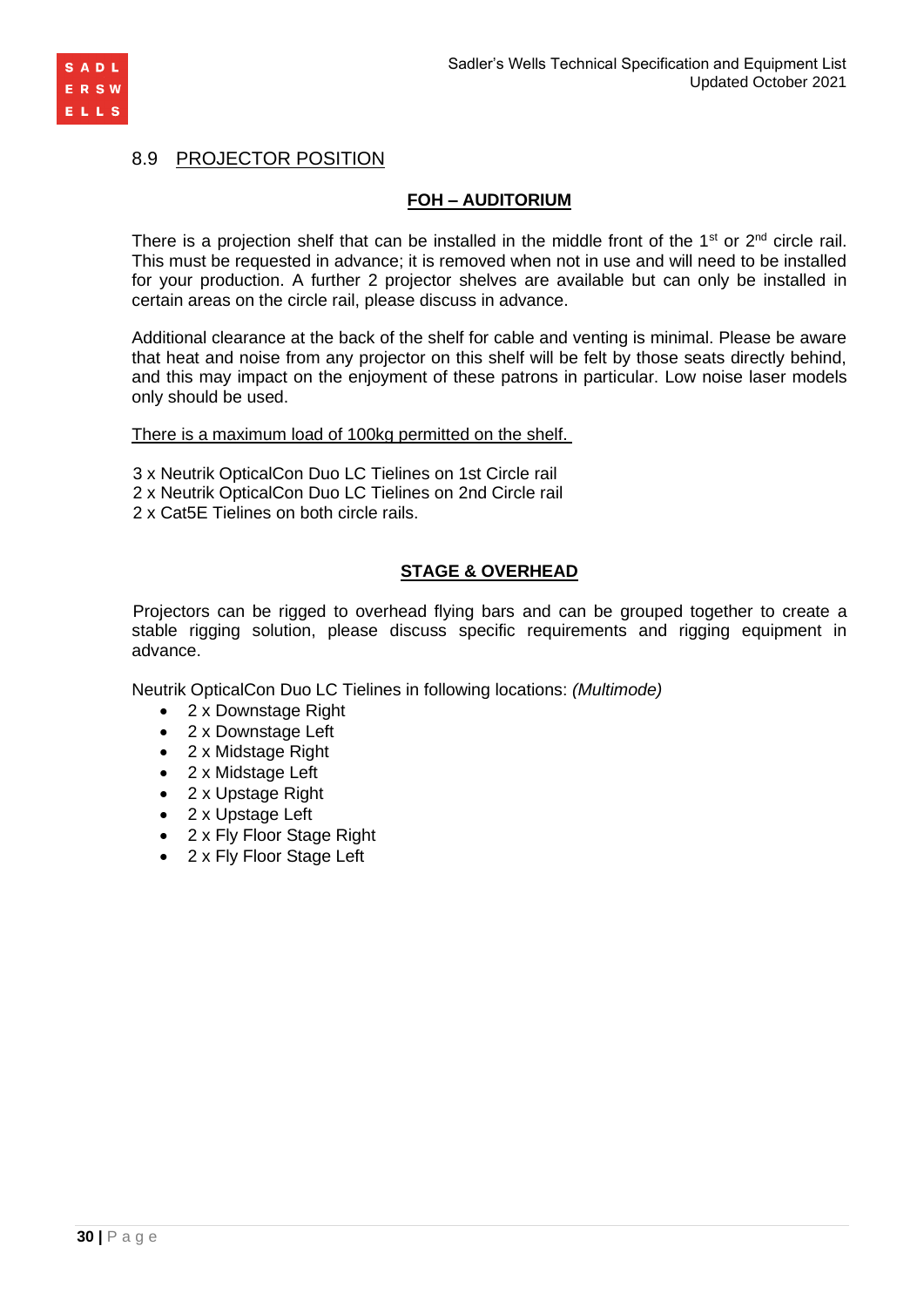

# 8.9 PROJECTOR POSITION

## **FOH – AUDITORIUM**

There is a projection shelf that can be installed in the middle front of the  $1<sup>st</sup>$  or  $2<sup>nd</sup>$  circle rail. This must be requested in advance; it is removed when not in use and will need to be installed for your production. A further 2 projector shelves are available but can only be installed in certain areas on the circle rail, please discuss in advance.

Additional clearance at the back of the shelf for cable and venting is minimal. Please be aware that heat and noise from any projector on this shelf will be felt by those seats directly behind, and this may impact on the enjoyment of these patrons in particular. Low noise laser models only should be used.

There is a maximum load of 100kg permitted on the shelf.

- 3 x Neutrik OpticalCon Duo LC Tielines on 1st Circle rail
- 2 x Neutrik OpticalCon Duo LC Tielines on 2nd Circle rail
- 2 x Cat5E Tielines on both circle rails.

### **STAGE & OVERHEAD**

Projectors can be rigged to overhead flying bars and can be grouped together to create a stable rigging solution, please discuss specific requirements and rigging equipment in advance.

Neutrik OpticalCon Duo LC Tielines in following locations: *(Multimode)*

- 2 x Downstage Right
- 2 x Downstage Left
- 2 x Midstage Right
- 2 x Midstage Left
- 2 x Upstage Right
- 2 x Upstage Left
- 2 x Fly Floor Stage Right
- 2 x Fly Floor Stage Left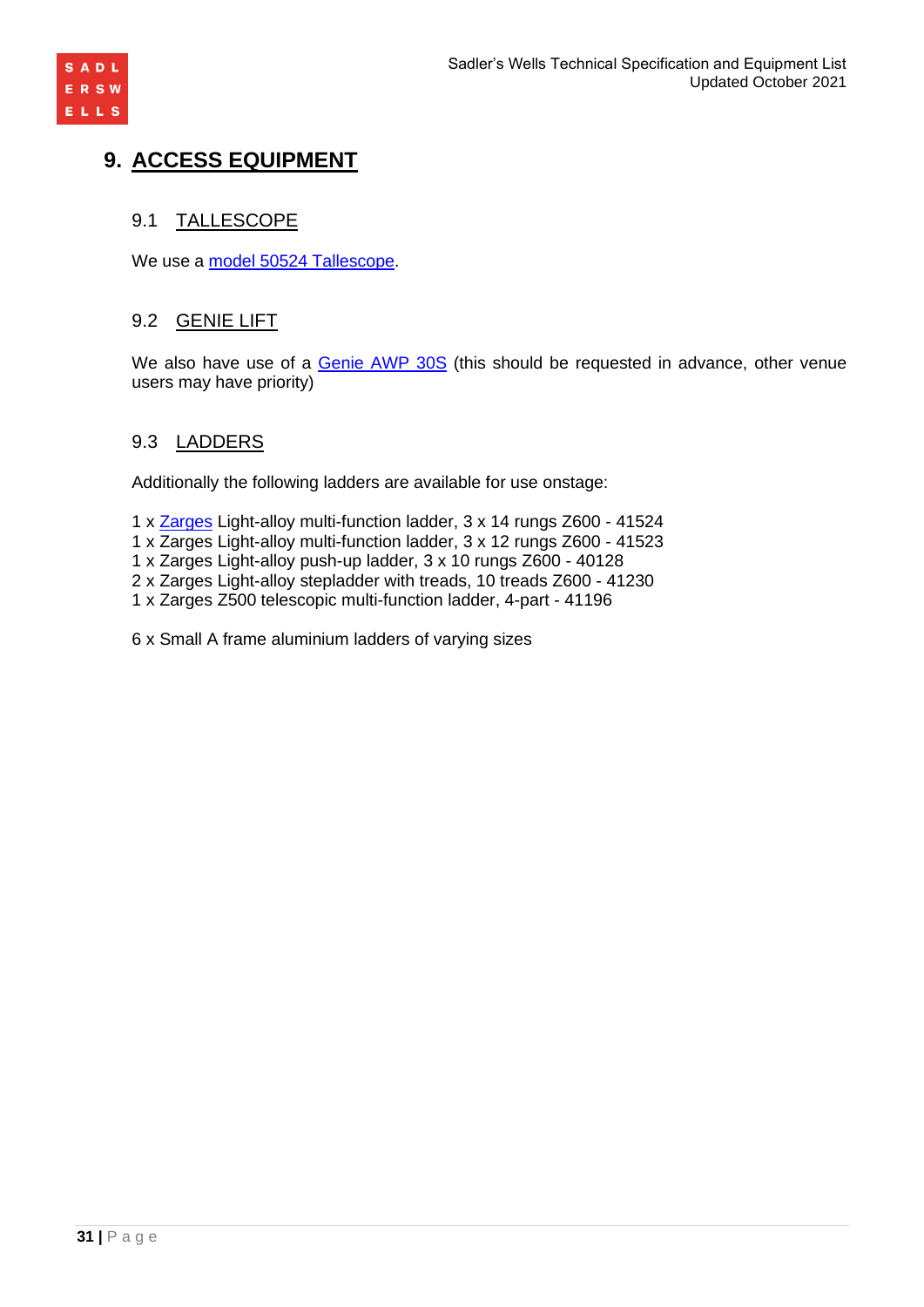

# **9. ACCESS EQUIPMENT**

# 9.1 TALLESCOPE

We use a [model 50524 Tallescope.](http://www.tallescope.co.uk/tallescopemodels.pdf)

# 9.2 GENIE LIFT

We also have use of a [Genie AWP](http://www.genielift.com/en/products/new-equipment/aerial-work-platforms/awp-super-series/index.htm) 30S (this should be requested in advance, other venue users may have priority)

# 9.3 LADDERS

Additionally the following ladders are available for use onstage:

- 1 x [Zarges](http://www.zarges.com/) Light-alloy multi-function ladder, 3 x 14 rungs Z600 41524
- 1 x Zarges Light-alloy multi-function ladder, 3 x 12 rungs Z600 41523
- 1 x Zarges Light-alloy push-up ladder, 3 x 10 rungs Z600 40128
- 2 x Zarges Light-alloy stepladder with treads, 10 treads Z600 41230
- 1 x Zarges Z500 telescopic multi-function ladder, 4-part 41196

6 x Small A frame aluminium ladders of varying sizes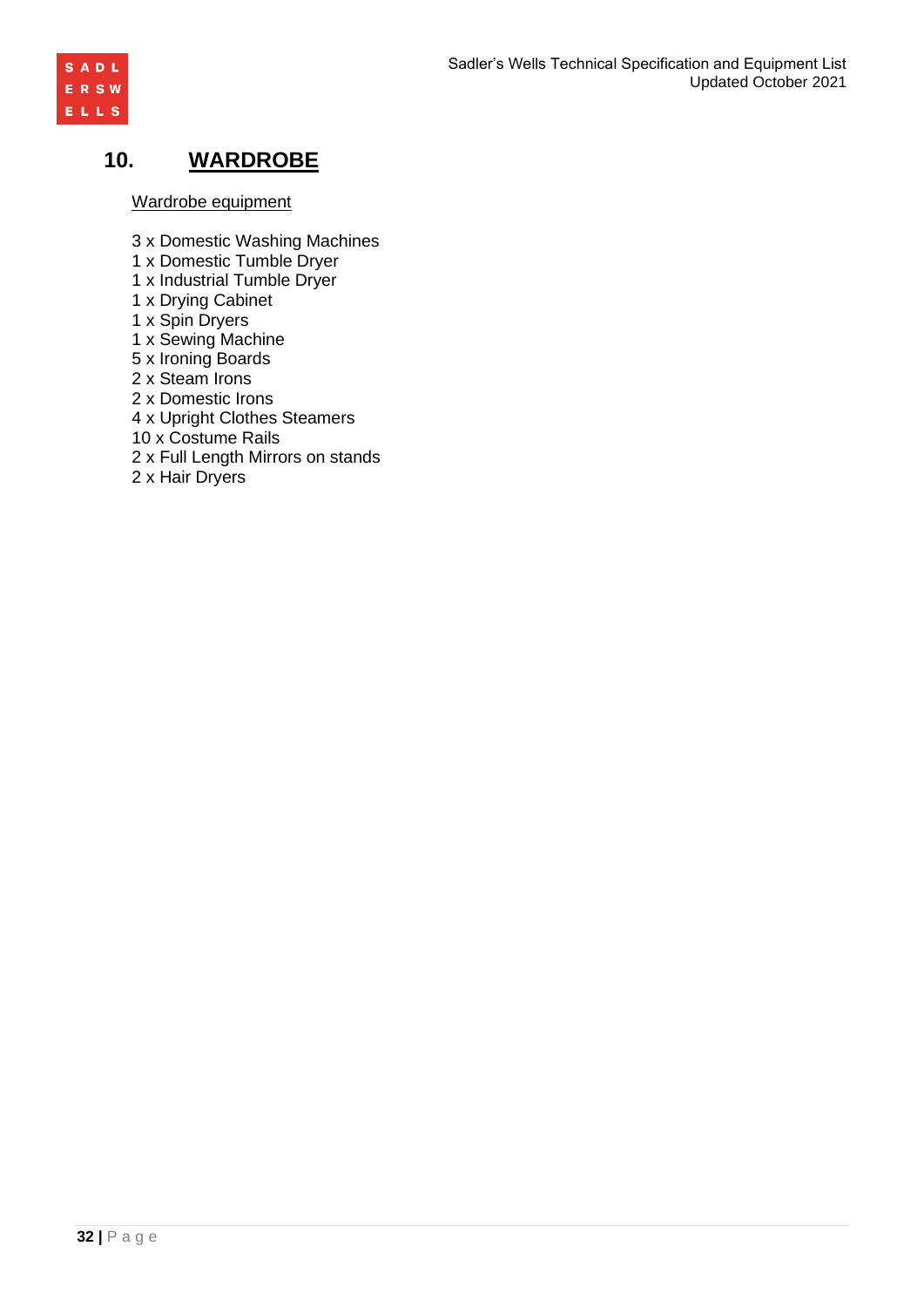

# **10. WARDROBE**

Wardrobe equipment

- 3 x Domestic Washing Machines
- 1 x Domestic Tumble Dryer
- 1 x Industrial Tumble Dryer
- 1 x Drying Cabinet
- 1 x Spin Dryers
- 1 x Sewing Machine
- 5 x Ironing Boards
- 2 x Steam Irons
- 2 x Domestic Irons
- 4 x Upright Clothes Steamers
- 10 x Costume Rails
- 2 x Full Length Mirrors on stands
- 2 x Hair Dryers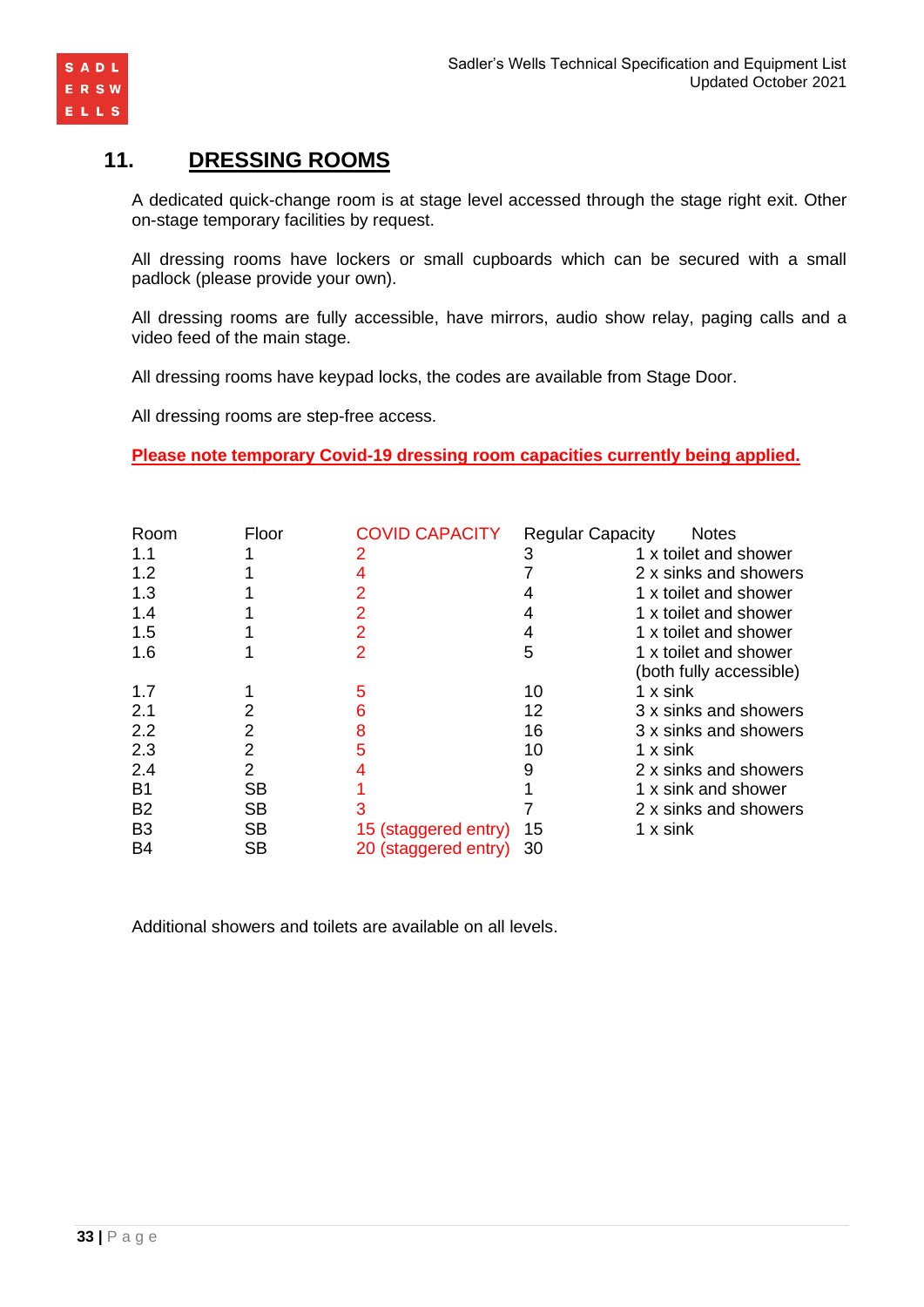



# **11. DRESSING ROOMS**

A dedicated quick-change room is at stage level accessed through the stage right exit. Other on-stage temporary facilities by request.

All dressing rooms have lockers or small cupboards which can be secured with a small padlock (please provide your own).

All dressing rooms are fully accessible, have mirrors, audio show relay, paging calls and a video feed of the main stage.

All dressing rooms have keypad locks, the codes are available from Stage Door.

All dressing rooms are step-free access.

**Please note temporary Covid-19 dressing room capacities currently being applied.**

| Room           | Floor     | <b>COVID CAPACITY</b> | <b>Regular Capacity</b> | <b>Notes</b>            |
|----------------|-----------|-----------------------|-------------------------|-------------------------|
| 1.1            |           |                       | 3                       | 1 x toilet and shower   |
| 1.2            |           |                       |                         | 2 x sinks and showers   |
| 1.3            |           |                       |                         | 1 x toilet and shower   |
| 1.4            |           |                       |                         | 1 x toilet and shower   |
| 1.5            |           |                       | 4                       | 1 x toilet and shower   |
| 1.6            |           |                       | 5                       | 1 x toilet and shower   |
|                |           |                       |                         | (both fully accessible) |
| 1.7            |           | 5                     | 10                      | 1 x sink                |
| 2.1            |           | 6                     | 12                      | 3 x sinks and showers   |
| 2.2            | 2         | 8                     | 16                      | 3 x sinks and showers   |
| 2.3            | 2         |                       | 10                      | 1 x sink                |
| 2.4            | 2         |                       | 9                       | 2 x sinks and showers   |
| <b>B1</b>      | SB        |                       |                         | 1 x sink and shower     |
| <b>B2</b>      | <b>SB</b> |                       |                         | 2 x sinks and showers   |
| B <sub>3</sub> | <b>SB</b> | 15 (staggered entry)  | 15                      | 1 x sink                |
| <b>B4</b>      | SB        | 20 (staggered entry)  | -30                     |                         |

Additional showers and toilets are available on all levels.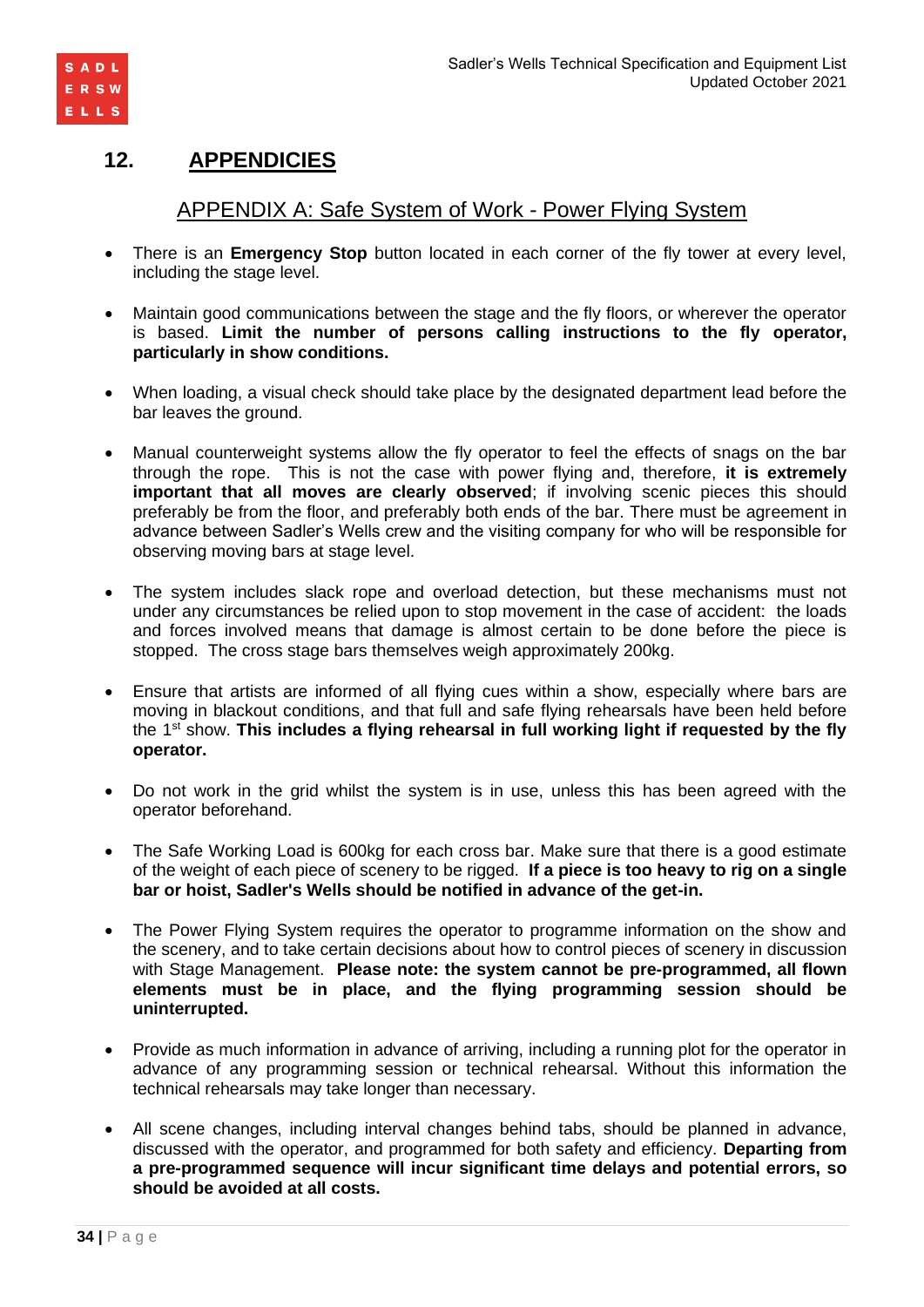

# **12. APPENDICIES**

# APPENDIX A: Safe System of Work - Power Flying System

- There is an **Emergency Stop** button located in each corner of the fly tower at every level, including the stage level.
- Maintain good communications between the stage and the fly floors, or wherever the operator is based. **Limit the number of persons calling instructions to the fly operator, particularly in show conditions.**
- When loading, a visual check should take place by the designated department lead before the bar leaves the ground.
- Manual counterweight systems allow the fly operator to feel the effects of snags on the bar through the rope. This is not the case with power flying and, therefore, **it is extremely important that all moves are clearly observed**; if involving scenic pieces this should preferably be from the floor, and preferably both ends of the bar. There must be agreement in advance between Sadler's Wells crew and the visiting company for who will be responsible for observing moving bars at stage level.
- The system includes slack rope and overload detection, but these mechanisms must not under any circumstances be relied upon to stop movement in the case of accident: the loads and forces involved means that damage is almost certain to be done before the piece is stopped. The cross stage bars themselves weigh approximately 200kg.
- Ensure that artists are informed of all flying cues within a show, especially where bars are moving in blackout conditions, and that full and safe flying rehearsals have been held before the 1st show. **This includes a flying rehearsal in full working light if requested by the fly operator.**
- Do not work in the grid whilst the system is in use, unless this has been agreed with the operator beforehand.
- The Safe Working Load is 600kg for each cross bar. Make sure that there is a good estimate of the weight of each piece of scenery to be rigged. **If a piece is too heavy to rig on a single bar or hoist, Sadler's Wells should be notified in advance of the get-in.**
- The Power Flying System requires the operator to programme information on the show and the scenery, and to take certain decisions about how to control pieces of scenery in discussion with Stage Management. **Please note: the system cannot be pre-programmed, all flown elements must be in place, and the flying programming session should be uninterrupted.**
- Provide as much information in advance of arriving, including a running plot for the operator in advance of any programming session or technical rehearsal. Without this information the technical rehearsals may take longer than necessary.
- All scene changes, including interval changes behind tabs, should be planned in advance, discussed with the operator, and programmed for both safety and efficiency. **Departing from a pre-programmed sequence will incur significant time delays and potential errors, so should be avoided at all costs.**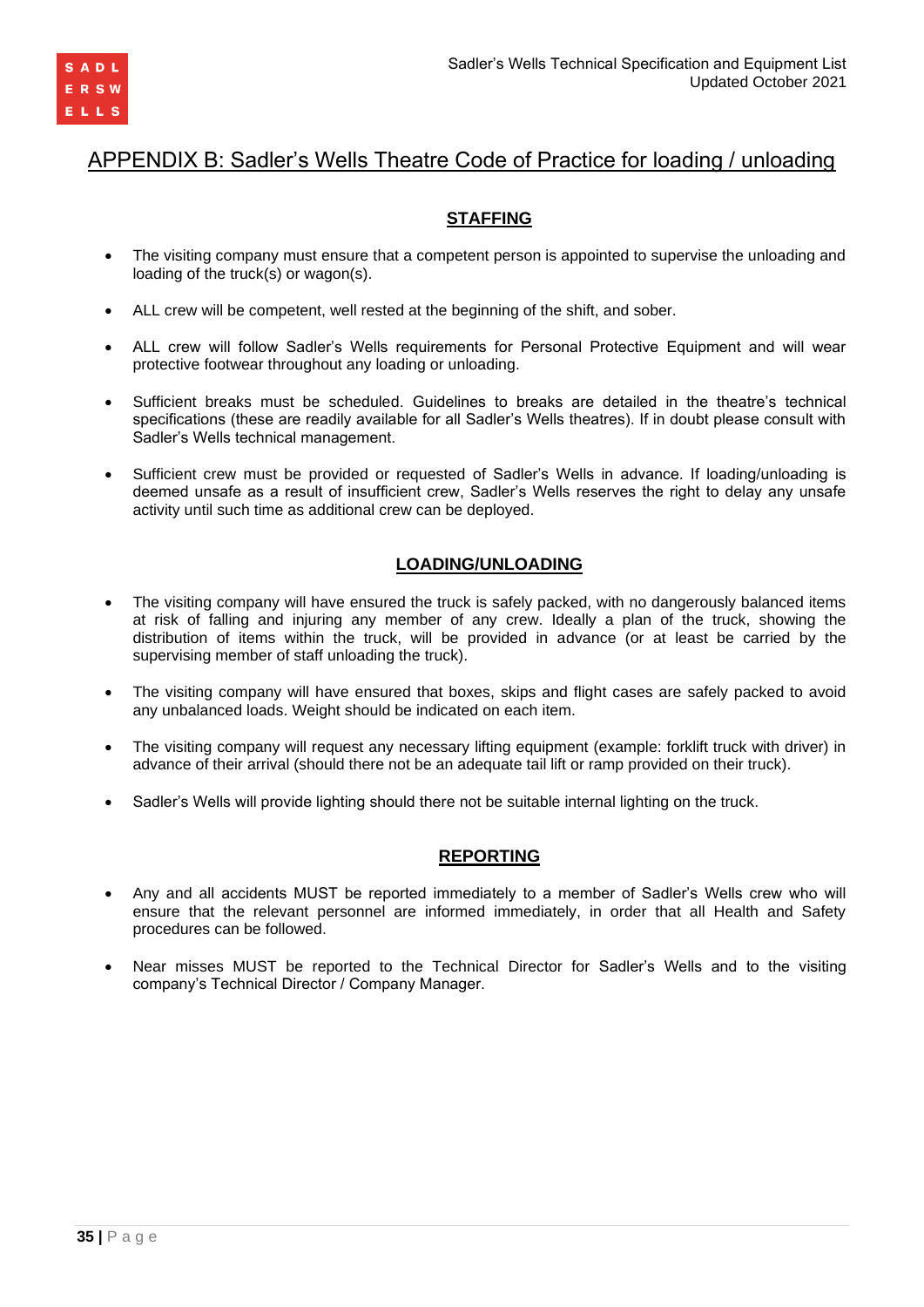

# APPENDIX B: Sadler's Wells Theatre Code of Practice for loading / unloading

# **STAFFING**

- The visiting company must ensure that a competent person is appointed to supervise the unloading and loading of the truck(s) or wagon(s).
- ALL crew will be competent, well rested at the beginning of the shift, and sober.
- ALL crew will follow Sadler's Wells requirements for Personal Protective Equipment and will wear protective footwear throughout any loading or unloading.
- Sufficient breaks must be scheduled. Guidelines to breaks are detailed in the theatre's technical specifications (these are readily available for all Sadler's Wells theatres). If in doubt please consult with Sadler's Wells technical management.
- Sufficient crew must be provided or requested of Sadler's Wells in advance. If loading/unloading is deemed unsafe as a result of insufficient crew, Sadler's Wells reserves the right to delay any unsafe activity until such time as additional crew can be deployed.

### **LOADING/UNLOADING**

- The visiting company will have ensured the truck is safely packed, with no dangerously balanced items at risk of falling and injuring any member of any crew. Ideally a plan of the truck, showing the distribution of items within the truck, will be provided in advance (or at least be carried by the supervising member of staff unloading the truck).
- The visiting company will have ensured that boxes, skips and flight cases are safely packed to avoid any unbalanced loads. Weight should be indicated on each item.
- The visiting company will request any necessary lifting equipment (example: forklift truck with driver) in advance of their arrival (should there not be an adequate tail lift or ramp provided on their truck).
- Sadler's Wells will provide lighting should there not be suitable internal lighting on the truck.

### **REPORTING**

- Any and all accidents MUST be reported immediately to a member of Sadler's Wells crew who will ensure that the relevant personnel are informed immediately, in order that all Health and Safety procedures can be followed.
- Near misses MUST be reported to the Technical Director for Sadler's Wells and to the visiting company's Technical Director / Company Manager.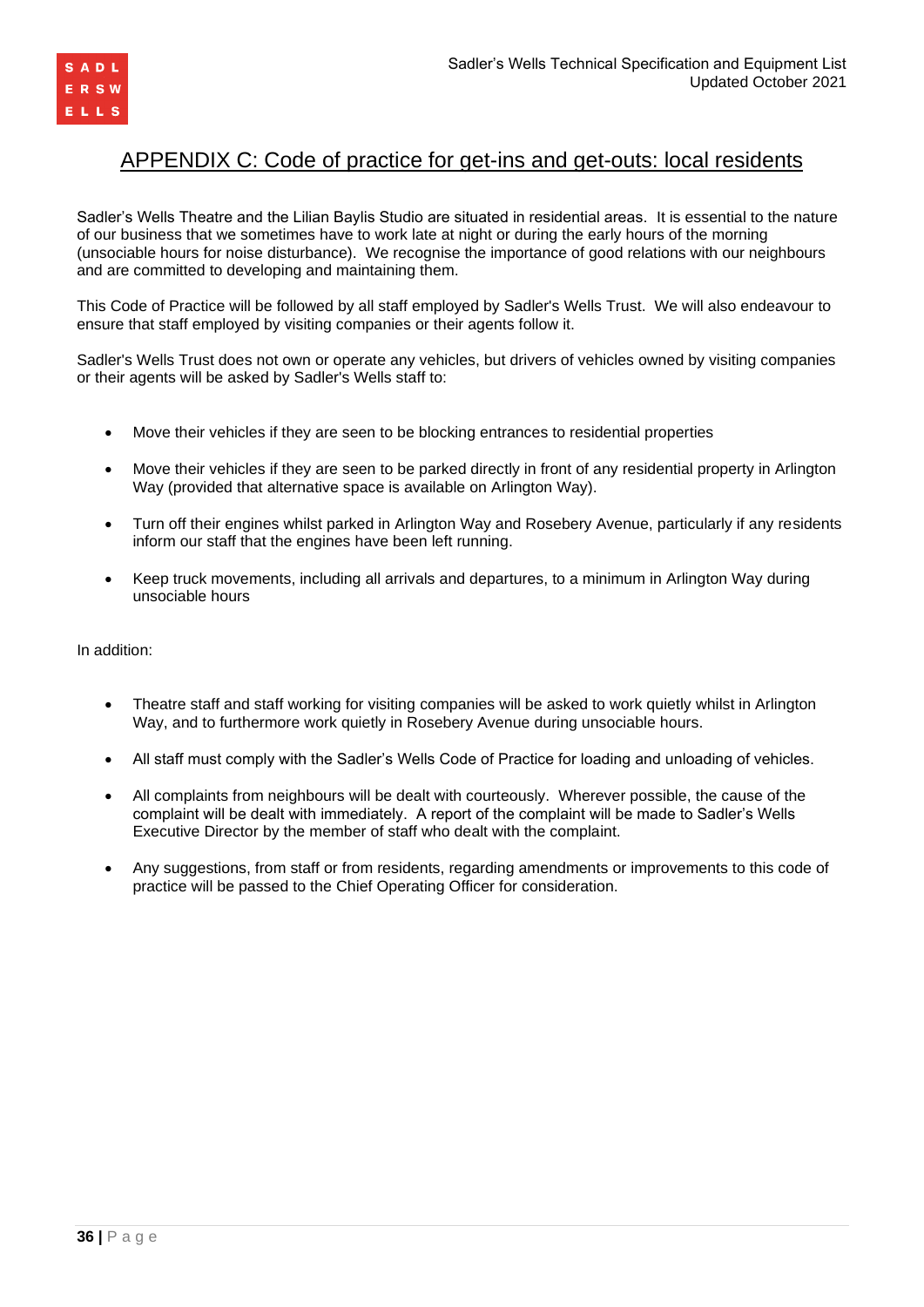

# APPENDIX C: Code of practice for get-ins and get-outs: local residents

Sadler's Wells Theatre and the Lilian Baylis Studio are situated in residential areas. It is essential to the nature of our business that we sometimes have to work late at night or during the early hours of the morning (unsociable hours for noise disturbance). We recognise the importance of good relations with our neighbours and are committed to developing and maintaining them.

This Code of Practice will be followed by all staff employed by Sadler's Wells Trust. We will also endeavour to ensure that staff employed by visiting companies or their agents follow it.

Sadler's Wells Trust does not own or operate any vehicles, but drivers of vehicles owned by visiting companies or their agents will be asked by Sadler's Wells staff to:

- Move their vehicles if they are seen to be blocking entrances to residential properties
- Move their vehicles if they are seen to be parked directly in front of any residential property in Arlington Way (provided that alternative space is available on Arlington Way).
- Turn off their engines whilst parked in Arlington Way and Rosebery Avenue, particularly if any residents inform our staff that the engines have been left running.
- Keep truck movements, including all arrivals and departures, to a minimum in Arlington Way during unsociable hours

In addition:

- Theatre staff and staff working for visiting companies will be asked to work quietly whilst in Arlington Way, and to furthermore work quietly in Rosebery Avenue during unsociable hours.
- All staff must comply with the Sadler's Wells Code of Practice for loading and unloading of vehicles.
- All complaints from neighbours will be dealt with courteously. Wherever possible, the cause of the complaint will be dealt with immediately. A report of the complaint will be made to Sadler's Wells Executive Director by the member of staff who dealt with the complaint.
- Any suggestions, from staff or from residents, regarding amendments or improvements to this code of practice will be passed to the Chief Operating Officer for consideration.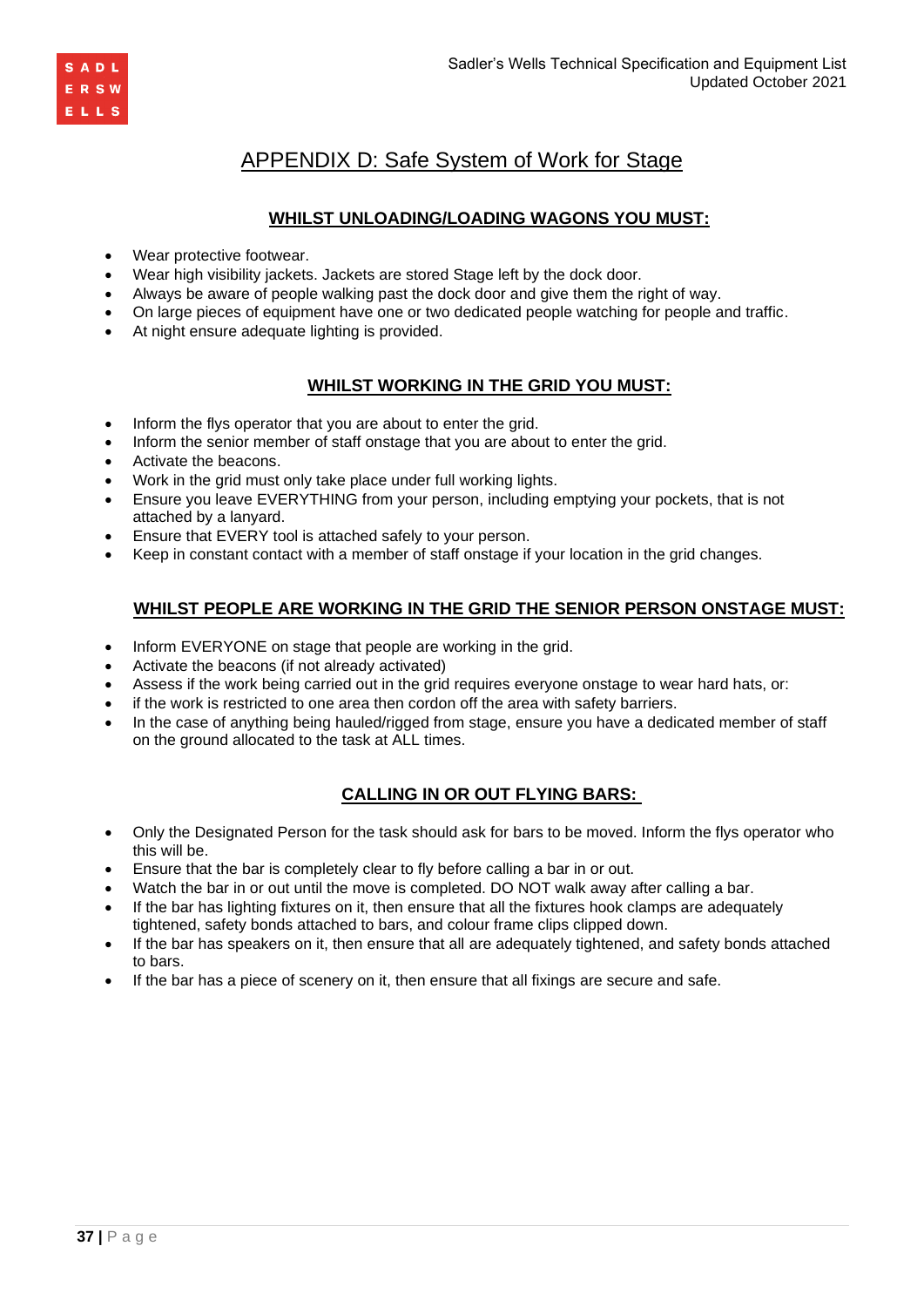

# APPENDIX D: Safe System of Work for Stage

## **WHILST UNLOADING/LOADING WAGONS YOU MUST:**

- Wear protective footwear.
- Wear high visibility jackets. Jackets are stored Stage left by the dock door.
- Always be aware of people walking past the dock door and give them the right of way.
- On large pieces of equipment have one or two dedicated people watching for people and traffic.
- At night ensure adequate lighting is provided.

### **WHILST WORKING IN THE GRID YOU MUST:**

- Inform the flys operator that you are about to enter the grid.
- Inform the senior member of staff onstage that you are about to enter the grid.
- Activate the beacons.
- Work in the grid must only take place under full working lights.
- Ensure you leave EVERYTHING from your person, including emptying your pockets, that is not attached by a lanyard.
- Ensure that EVERY tool is attached safely to your person.
- Keep in constant contact with a member of staff onstage if your location in the grid changes.

### **WHILST PEOPLE ARE WORKING IN THE GRID THE SENIOR PERSON ONSTAGE MUST:**

- Inform EVERYONE on stage that people are working in the grid.
- Activate the beacons (if not already activated)
- Assess if the work being carried out in the grid requires everyone onstage to wear hard hats, or:
- if the work is restricted to one area then cordon off the area with safety barriers.
- In the case of anything being hauled/rigged from stage, ensure you have a dedicated member of staff on the ground allocated to the task at ALL times.

### **CALLING IN OR OUT FLYING BARS:**

- Only the Designated Person for the task should ask for bars to be moved. Inform the flys operator who this will be.
- Ensure that the bar is completely clear to fly before calling a bar in or out.
- Watch the bar in or out until the move is completed. DO NOT walk away after calling a bar.
- If the bar has lighting fixtures on it, then ensure that all the fixtures hook clamps are adequately tightened, safety bonds attached to bars, and colour frame clips clipped down.
- If the bar has speakers on it, then ensure that all are adequately tightened, and safety bonds attached to bars.
- If the bar has a piece of scenery on it, then ensure that all fixings are secure and safe.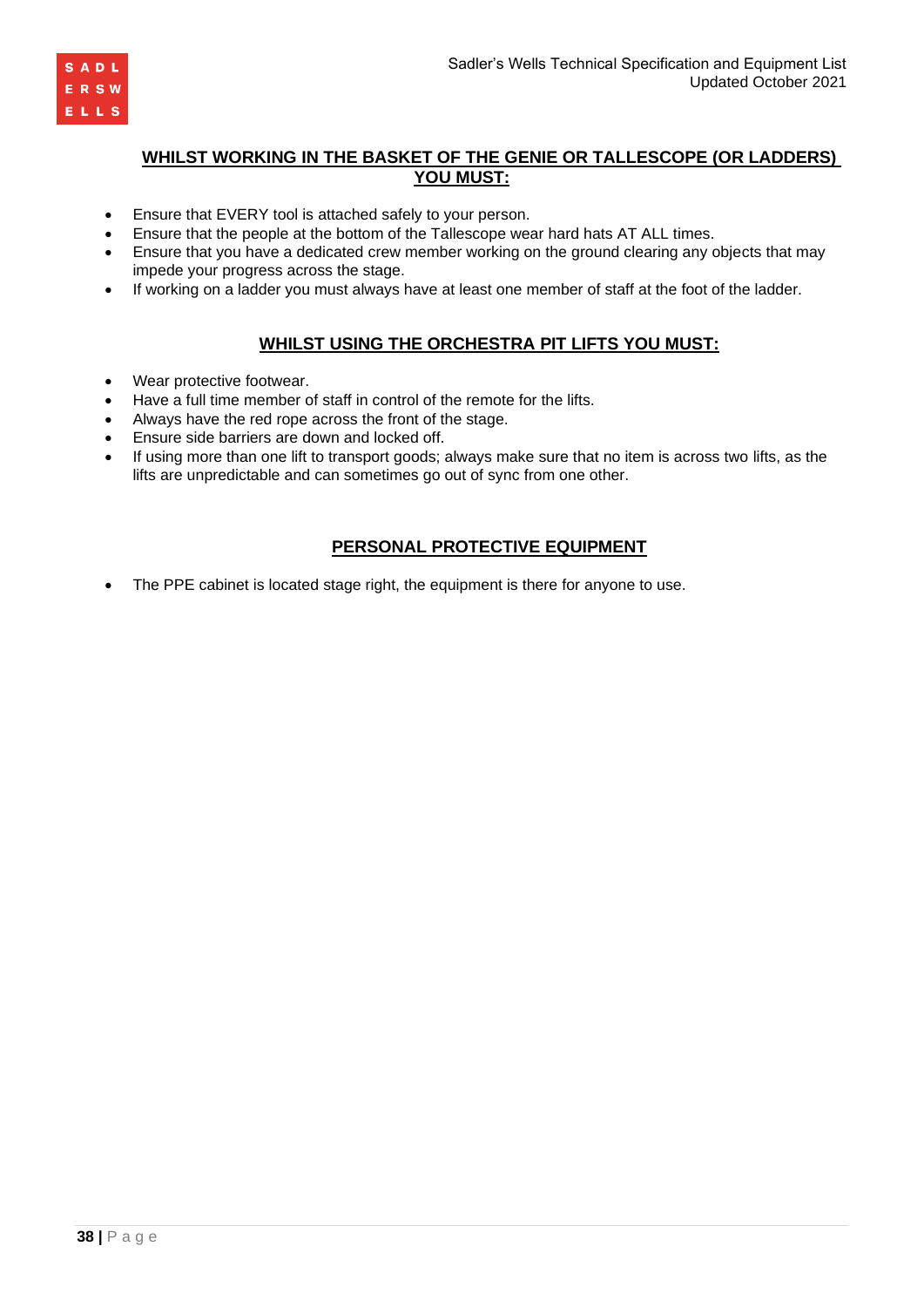

### **WHILST WORKING IN THE BASKET OF THE GENIE OR TALLESCOPE (OR LADDERS) YOU MUST:**

- Ensure that EVERY tool is attached safely to your person.
- Ensure that the people at the bottom of the Tallescope wear hard hats AT ALL times.
- Ensure that you have a dedicated crew member working on the ground clearing any objects that may impede your progress across the stage.
- If working on a ladder you must always have at least one member of staff at the foot of the ladder.

### **WHILST USING THE ORCHESTRA PIT LIFTS YOU MUST:**

- Wear protective footwear.
- Have a full time member of staff in control of the remote for the lifts.
- Always have the red rope across the front of the stage.
- Ensure side barriers are down and locked off.
- If using more than one lift to transport goods; always make sure that no item is across two lifts, as the lifts are unpredictable and can sometimes go out of sync from one other.

### **PERSONAL PROTECTIVE EQUIPMENT**

• The PPE cabinet is located stage right, the equipment is there for anyone to use.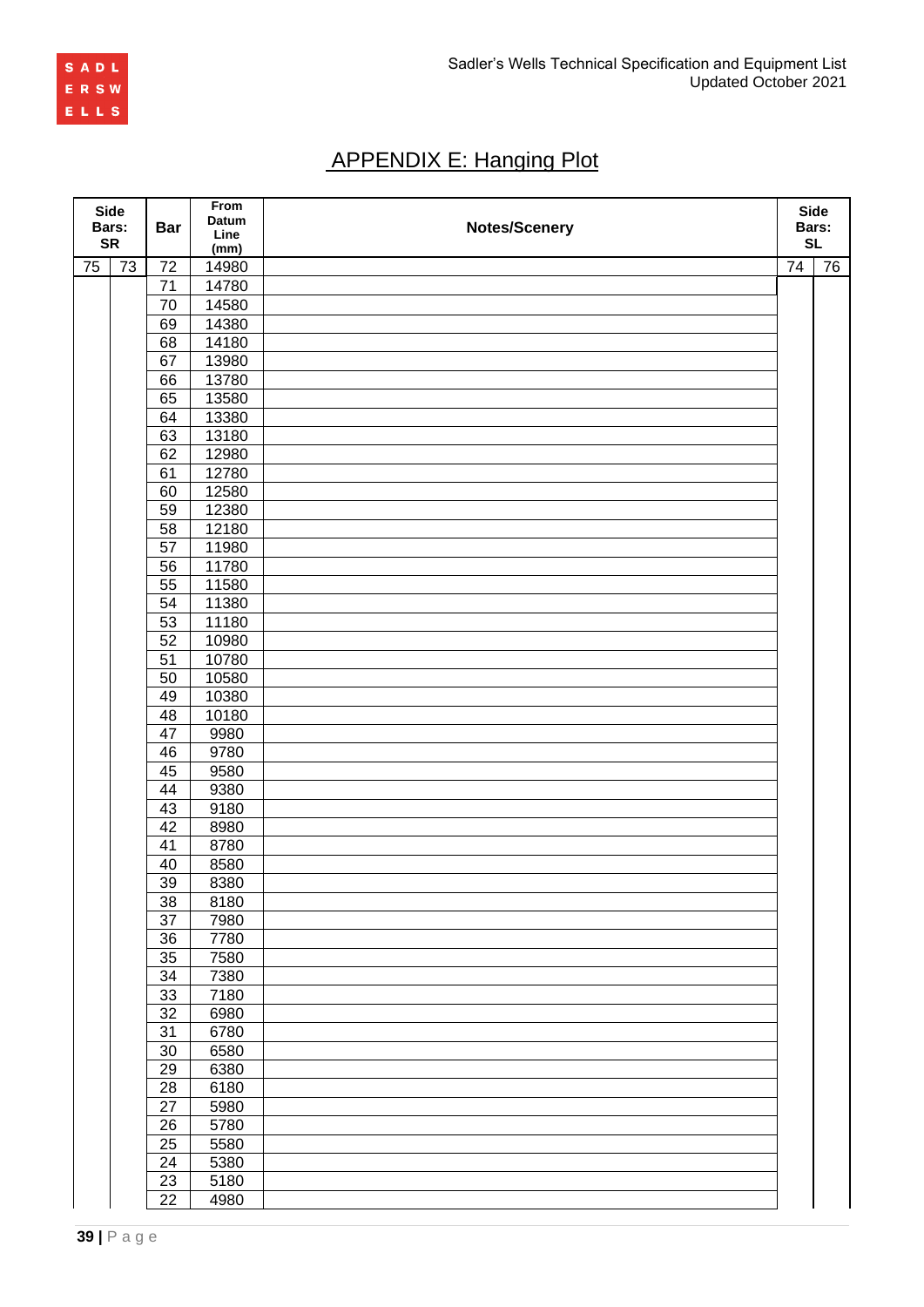

# APPENDIX E: Hanging Plot

| <b>Side</b><br>Bars: |                 | <b>Bar</b>      | From<br>Datum<br>Line | <b>Notes/Scenery</b> |                 | <b>Side</b><br>Bars: |
|----------------------|-----------------|-----------------|-----------------------|----------------------|-----------------|----------------------|
| <b>SR</b>            |                 |                 | (mm)                  |                      |                 | <b>SL</b>            |
| 75                   | $\overline{73}$ | 72              | 14980                 |                      | $\overline{74}$ | 76                   |
|                      |                 | 71              | 14780                 |                      |                 |                      |
|                      |                 | 70              | 14580                 |                      |                 |                      |
|                      |                 | 69              | 14380                 |                      |                 |                      |
|                      |                 | 68              | 14180                 |                      |                 |                      |
|                      |                 | 67              | 13980                 |                      |                 |                      |
|                      |                 | 66              | 13780                 |                      |                 |                      |
|                      |                 | 65              | 13580                 |                      |                 |                      |
|                      |                 | 64              | 13380                 |                      |                 |                      |
|                      |                 | 63              | 13180                 |                      |                 |                      |
|                      |                 | 62              |                       |                      |                 |                      |
|                      |                 |                 | 12980                 |                      |                 |                      |
|                      |                 | 61              | 12780                 |                      |                 |                      |
|                      |                 | 60              | 12580                 |                      |                 |                      |
|                      |                 | 59              | 12380                 |                      |                 |                      |
|                      |                 | 58              | 12180                 |                      |                 |                      |
|                      |                 | 57              | 11980                 |                      |                 |                      |
|                      |                 | 56              | 11780                 |                      |                 |                      |
|                      |                 | 55              | 11580                 |                      |                 |                      |
|                      |                 | 54              | 11380                 |                      |                 |                      |
|                      |                 | 53              | 11180                 |                      |                 |                      |
|                      |                 | 52              | 10980                 |                      |                 |                      |
|                      |                 | 51              | 10780                 |                      |                 |                      |
|                      |                 | 50              | 10580                 |                      |                 |                      |
|                      |                 | 49              | 10380                 |                      |                 |                      |
|                      |                 | 48              | 10180                 |                      |                 |                      |
|                      |                 | 47              | 9980                  |                      |                 |                      |
|                      |                 | 46              | 9780                  |                      |                 |                      |
|                      |                 | 45              | 9580                  |                      |                 |                      |
|                      |                 | 44              | 9380                  |                      |                 |                      |
|                      |                 | 43              | 9180                  |                      |                 |                      |
|                      |                 | 42              | 8980                  |                      |                 |                      |
|                      |                 | 41              | 8780                  |                      |                 |                      |
|                      |                 | 40              | 8580                  |                      |                 |                      |
|                      |                 | 39              | 8380                  |                      |                 |                      |
|                      |                 | 38              | 8180                  |                      |                 |                      |
|                      |                 | $\overline{37}$ | 7980                  |                      |                 |                      |
|                      |                 | $\overline{36}$ | 7780                  |                      |                 |                      |
|                      |                 | $\overline{35}$ | 7580                  |                      |                 |                      |
|                      |                 | $\overline{34}$ | 7380                  |                      |                 |                      |
|                      |                 | 33              | 7180                  |                      |                 |                      |
|                      |                 | $\overline{32}$ | 6980                  |                      |                 |                      |
|                      |                 | $\overline{31}$ | 6780                  |                      |                 |                      |
|                      |                 | $\overline{30}$ | 6580                  |                      |                 |                      |
|                      |                 | $\overline{29}$ | 6380                  |                      |                 |                      |
|                      |                 | 28              | 6180                  |                      |                 |                      |
|                      |                 | $\overline{27}$ | 5980                  |                      |                 |                      |
|                      |                 | 26              | 5780                  |                      |                 |                      |
|                      |                 | $\overline{25}$ | 5580                  |                      |                 |                      |
|                      |                 | 24              | 5380                  |                      |                 |                      |
|                      |                 | 23              | 5180                  |                      |                 |                      |
|                      |                 | $\overline{22}$ | 4980                  |                      |                 |                      |
|                      |                 |                 |                       |                      |                 |                      |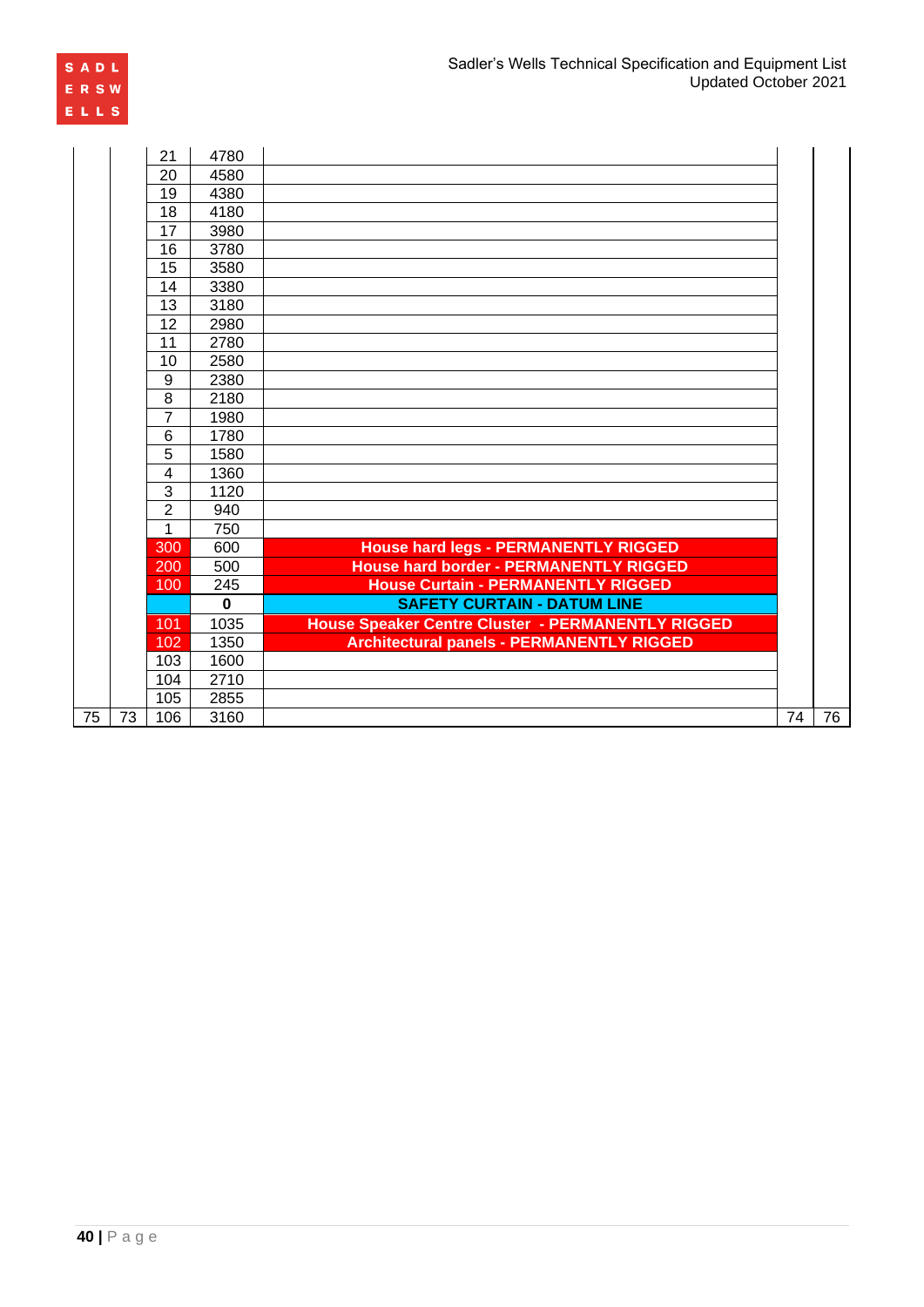

|                 |    | 21                      | 4780     |                                                   |    |    |
|-----------------|----|-------------------------|----------|---------------------------------------------------|----|----|
|                 |    | 20                      | 4580     |                                                   |    |    |
|                 |    | 19                      | 4380     |                                                   |    |    |
|                 |    | 18                      | 4180     |                                                   |    |    |
|                 |    | 17                      | 3980     |                                                   |    |    |
|                 |    | 16                      | 3780     |                                                   |    |    |
|                 |    | 15                      | 3580     |                                                   |    |    |
|                 |    | 14                      | 3380     |                                                   |    |    |
|                 |    | 13                      | 3180     |                                                   |    |    |
|                 |    | 12                      | 2980     |                                                   |    |    |
|                 |    | 11                      | 2780     |                                                   |    |    |
|                 |    | 10                      | 2580     |                                                   |    |    |
|                 |    | 9                       | 2380     |                                                   |    |    |
|                 |    | 8                       | 2180     |                                                   |    |    |
|                 |    | $\overline{7}$          | 1980     |                                                   |    |    |
|                 |    | 6                       | 1780     |                                                   |    |    |
|                 |    | 5                       | 1580     |                                                   |    |    |
|                 |    | $\overline{\mathbf{4}}$ | 1360     |                                                   |    |    |
|                 |    | 3                       | 1120     |                                                   |    |    |
|                 |    | $\overline{2}$          | 940      |                                                   |    |    |
|                 |    | 1                       | 750      |                                                   |    |    |
|                 |    | 300                     | 600      | <b>House hard legs - PERMANENTLY RIGGED</b>       |    |    |
|                 |    | 200                     | 500      | <b>House hard border - PERMANENTLY RIGGED</b>     |    |    |
|                 |    | 100                     | 245      | <b>House Curtain - PERMANENTLY RIGGED</b>         |    |    |
|                 |    |                         | $\Omega$ | <b>SAFETY CURTAIN - DATUM LINE</b>                |    |    |
|                 |    | 101                     | 1035     | House Speaker Centre Cluster - PERMANENTLY RIGGED |    |    |
|                 |    | 102                     | 1350     | <b>Architectural panels - PERMANENTLY RIGGED</b>  |    |    |
|                 |    | 103                     | 1600     |                                                   |    |    |
|                 |    | 104                     | 2710     |                                                   |    |    |
|                 |    | 105                     | 2855     |                                                   |    |    |
| $\overline{75}$ | 73 | 106                     | 3160     |                                                   | 74 | 76 |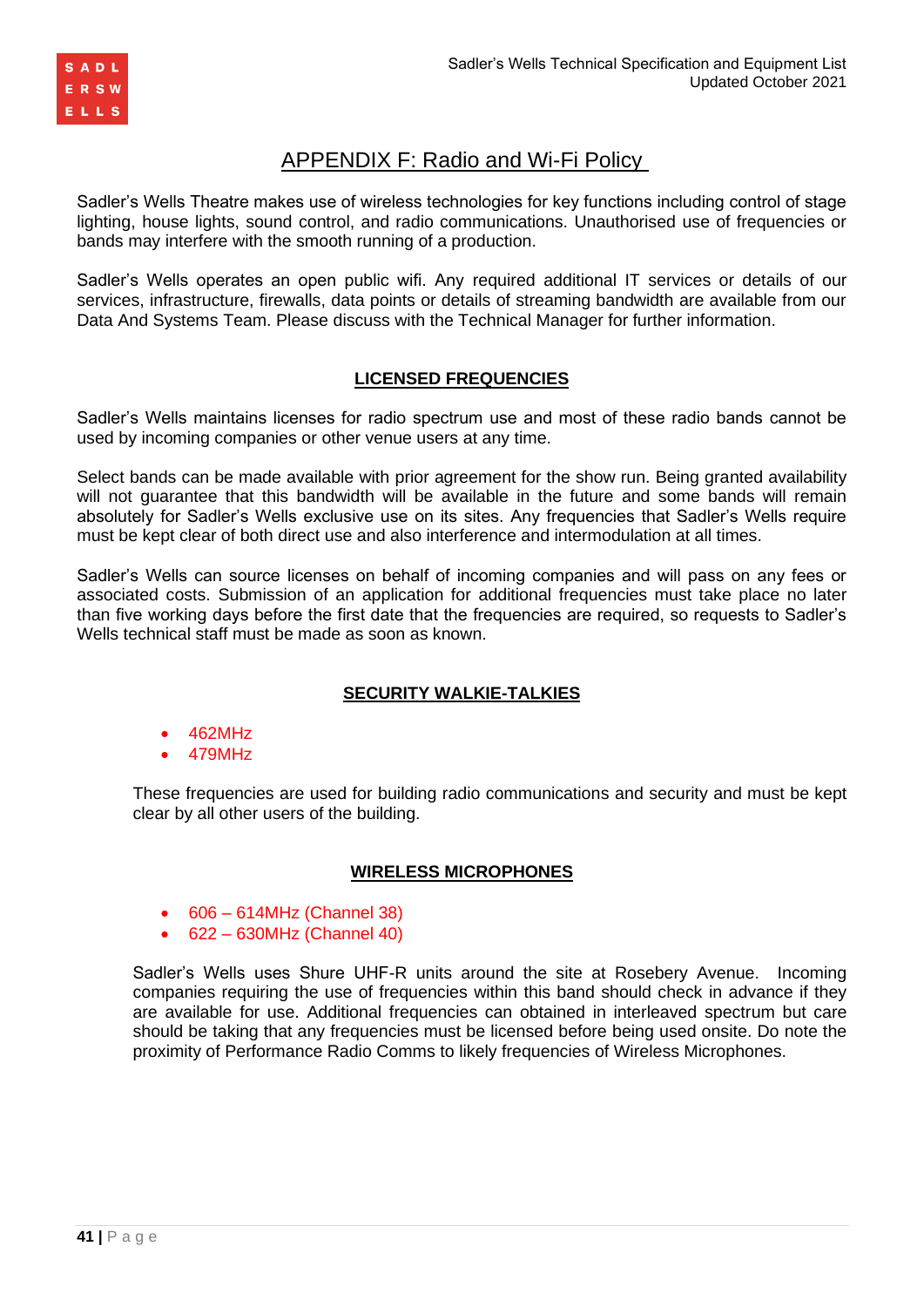

# APPENDIX F: Radio and Wi-Fi Policy

Sadler's Wells Theatre makes use of wireless technologies for key functions including control of stage lighting, house lights, sound control, and radio communications. Unauthorised use of frequencies or bands may interfere with the smooth running of a production.

Sadler's Wells operates an open public wifi. Any required additional IT services or details of our services, infrastructure, firewalls, data points or details of streaming bandwidth are available from our Data And Systems Team. Please discuss with the Technical Manager for further information.

### **LICENSED FREQUENCIES**

Sadler's Wells maintains licenses for radio spectrum use and most of these radio bands cannot be used by incoming companies or other venue users at any time.

Select bands can be made available with prior agreement for the show run. Being granted availability will not guarantee that this bandwidth will be available in the future and some bands will remain absolutely for Sadler's Wells exclusive use on its sites. Any frequencies that Sadler's Wells require must be kept clear of both direct use and also interference and intermodulation at all times.

Sadler's Wells can source licenses on behalf of incoming companies and will pass on any fees or associated costs. Submission of an application for additional frequencies must take place no later than five working days before the first date that the frequencies are required, so requests to Sadler's Wells technical staff must be made as soon as known.

# **SECURITY WALKIE-TALKIES**

- 462MHz
- 479MHz

These frequencies are used for building radio communications and security and must be kept clear by all other users of the building.

### **WIRELESS MICROPHONES**

- 606 614MHz (Channel 38)
- 622 630MHz (Channel 40)

Sadler's Wells uses Shure UHF-R units around the site at Rosebery Avenue. Incoming companies requiring the use of frequencies within this band should check in advance if they are available for use. Additional frequencies can obtained in interleaved spectrum but care should be taking that any frequencies must be licensed before being used onsite. Do note the proximity of Performance Radio Comms to likely frequencies of Wireless Microphones.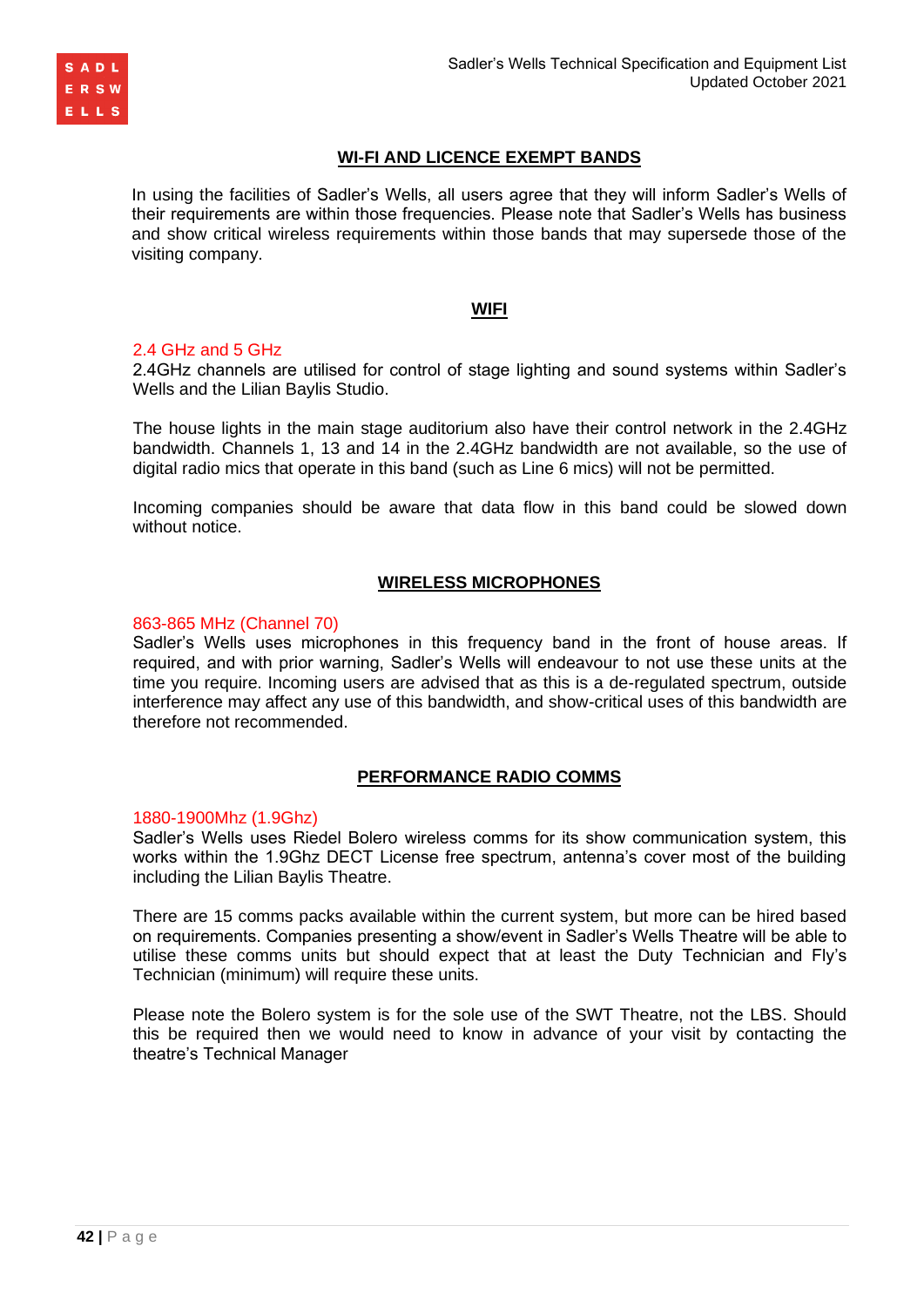

### **WI-FI AND LICENCE EXEMPT BANDS**

In using the facilities of Sadler's Wells, all users agree that they will inform Sadler's Wells of their requirements are within those frequencies. Please note that Sadler's Wells has business and show critical wireless requirements within those bands that may supersede those of the visiting company.

#### **WIFI**

#### 2.4 GHz and 5 GHz

2.4GHz channels are utilised for control of stage lighting and sound systems within Sadler's Wells and the Lilian Baylis Studio.

The house lights in the main stage auditorium also have their control network in the 2.4GHz bandwidth. Channels 1, 13 and 14 in the 2.4GHz bandwidth are not available, so the use of digital radio mics that operate in this band (such as Line 6 mics) will not be permitted.

Incoming companies should be aware that data flow in this band could be slowed down without notice.

#### **WIRELESS MICROPHONES**

#### 863-865 MHz (Channel 70)

Sadler's Wells uses microphones in this frequency band in the front of house areas. If required, and with prior warning, Sadler's Wells will endeavour to not use these units at the time you require. Incoming users are advised that as this is a de-regulated spectrum, outside interference may affect any use of this bandwidth, and show-critical uses of this bandwidth are therefore not recommended.

#### **PERFORMANCE RADIO COMMS**

#### 1880-1900Mhz (1.9Ghz)

Sadler's Wells uses Riedel Bolero wireless comms for its show communication system, this works within the 1.9Ghz DECT License free spectrum, antenna's cover most of the building including the Lilian Baylis Theatre.

There are 15 comms packs available within the current system, but more can be hired based on requirements. Companies presenting a show/event in Sadler's Wells Theatre will be able to utilise these comms units but should expect that at least the Duty Technician and Fly's Technician (minimum) will require these units.

Please note the Bolero system is for the sole use of the SWT Theatre, not the LBS. Should this be required then we would need to know in advance of your visit by contacting the theatre's Technical Manager